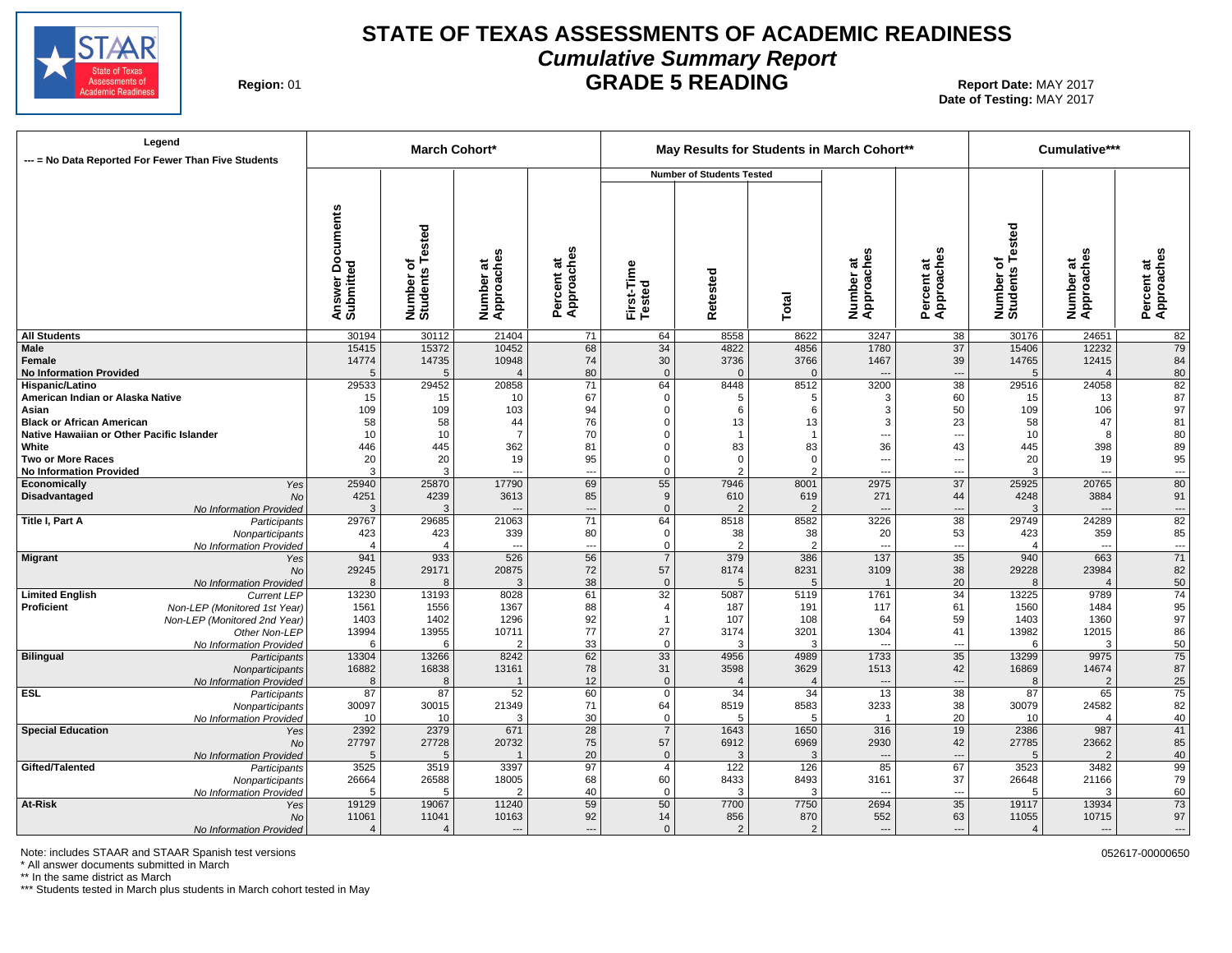

# **STATE OF TEXAS ASSESSMENTS OF ACADEMIC READINESS Cumulative Summary Report GRADE 5 READING** Report Date: MAY 2017

**Region: 01** 

**Date of Testing:**  MAY 2017

| Legend<br>--- = No Data Reported For Fewer Than Five Students |                                            |                              | March Cohort*                |                                             |                      |                                  |                        | May Results for Students in March Cohort** |                          |                              | Cumulative***            |                                |
|---------------------------------------------------------------|--------------------------------------------|------------------------------|------------------------------|---------------------------------------------|----------------------|----------------------------------|------------------------|--------------------------------------------|--------------------------|------------------------------|--------------------------|--------------------------------|
|                                                               |                                            |                              |                              |                                             |                      | <b>Number of Students Tested</b> |                        |                                            |                          |                              |                          |                                |
|                                                               | <b>Documents</b><br>Answer Do<br>Submitted | Number of<br>Students Tested | w<br>Number at<br>Approaches | w<br>Percent at<br>Approaches               | First-Time<br>Tested | Retested                         | Total                  | Number at<br>Approaches                    | Percent at<br>Approaches | Number of<br>Students Tested | Number at<br>Approaches  | Percent at<br>Approaches       |
| <b>All Students</b>                                           | 30194                                      | 30112                        | 21404                        | 71                                          | 64                   | 8558                             | 8622                   | 3247                                       | 38                       | 30176                        | 24651                    | 82                             |
| Male                                                          | 15415                                      | 15372                        | 10452                        | 68                                          | 34                   | 4822                             | 4856                   | 1780                                       | 37                       | 15406                        | 12232                    | 79                             |
| Female                                                        | 14774                                      | 14735                        | 10948                        | 74                                          | 30                   | 3736                             | 3766                   | 1467                                       | 39                       | 14765                        | 12415                    | 84                             |
| <b>No Information Provided</b><br>Hispanic/Latino             | $\overline{5}$<br>29533                    | 5<br>29452                   | $\overline{4}$<br>20858      | 80<br>71                                    | $\mathbf 0$<br>64    | $\Omega$<br>8448                 | $\Omega$<br>8512       | $\overline{\phantom{a}}$<br>3200           | ---<br>38                | 5<br>29516                   | $\overline{4}$<br>24058  | 80<br>82                       |
| American Indian or Alaska Native                              | 15                                         | 15                           | 10                           | 67                                          | $\mathbf 0$          | 5                                | 5                      | 3                                          | 60                       | 15                           | 13                       | 87                             |
| Asian                                                         | 109                                        | 109                          | 103                          | 94                                          | $\Omega$             | 6                                | 6                      | 3                                          | 50                       | 109                          | 106                      | 97                             |
| <b>Black or African American</b>                              | 58                                         | 58                           | 44                           | 76                                          | $\Omega$             | 13                               | 13                     | 3                                          | 23                       | 58                           | 47                       | 81                             |
| Native Hawaiian or Other Pacific Islander                     | 10                                         | 10                           | $\overline{7}$               | 70                                          | 0                    | $\overline{1}$                   |                        | ---                                        | ---                      | 10                           | 8                        | 80                             |
| White                                                         | 446                                        | 445                          | 362                          | 81                                          | $\Omega$             | 83                               | 83                     | 36                                         | 43                       | 445                          | 398                      | 89                             |
| <b>Two or More Races</b>                                      | 20                                         | 20                           | 19                           | 95                                          | $\Omega$             | $\mathbf 0$                      | $\Omega$               | ---                                        | ---                      | 20                           | 19                       | 95                             |
| <b>No Information Provided</b>                                | Э                                          | 3                            |                              | $\overline{a}$                              | $\Omega$             | $\overline{2}$                   | 2                      | $\overline{a}$                             | ---                      | 3                            | $\overline{a}$           | $\hspace{0.05cm} \ldots$       |
| Economically<br>Yes                                           | 25940                                      | 25870                        | 17790                        | 69                                          | 55                   | 7946                             | 8001                   | 2975                                       | 37                       | 25925                        | 20765                    | 80                             |
| Disadvantaged<br>No                                           | 4251                                       | 4239                         | 3613                         | 85                                          | 9                    | 610                              | 619                    | 271                                        | 44                       | 4248                         | 3884                     | 91                             |
| No Information Provided                                       | Э<br>29767                                 | 3<br>29685                   | 21063                        | $\overline{\phantom{a}}$<br>$\overline{71}$ | $\mathbf{0}$         |                                  | $\overline{2}$<br>8582 | $---$<br>3226                              | ---<br>$\overline{38}$   | 3<br>29749                   | $\overline{a}$<br>24289  | $\hspace{0.05cm} \cdots$<br>82 |
| Title I, Part A<br>Participants<br>Nonparticipants            | 423                                        | 423                          | 339                          | 80                                          | 64<br>$\mathbf 0$    | 8518<br>38                       | 38                     | 20                                         | 53                       | 423                          | 359                      | 85                             |
| No Information Provided                                       | $\Delta$                                   |                              | $\overline{a}$               | $\overline{\phantom{a}}$                    | $\mathbf 0$          | $\mathcal{P}$                    | $\overline{2}$         | ---                                        | ---                      |                              | $\overline{\phantom{a}}$ | $\hspace{0.05cm} \ldots$       |
| Migrant<br>Yes                                                | 941                                        | 933                          | 526                          | 56                                          | $\overline{7}$       | 379                              | 386                    | 137                                        | 35                       | 940                          | 663                      | 71                             |
| <b>No</b>                                                     | 29245                                      | 29171                        | 20875                        | 72                                          | 57                   | 8174                             | 8231                   | 3109                                       | 38                       | 29228                        | 23984                    | 82                             |
| No Information Provided                                       | ρ                                          | $\mathsf{R}$                 | 3                            | 38                                          | $\mathbf{0}$         | 5                                | 5                      | $\overline{1}$                             | 20                       | $\mathsf{R}$                 | $\overline{4}$           | 50                             |
| <b>Limited English</b><br><b>Current LEP</b>                  | 13230                                      | 13193                        | 8028                         | 61                                          | 32                   | 5087                             | 5119                   | 1761                                       | 34                       | 13225                        | 9789                     | $\overline{74}$                |
| Proficient<br>Non-LEP (Monitored 1st Year)                    | 1561                                       | 1556                         | 1367                         | 88                                          | $\overline{4}$       | 187                              | 191                    | 117                                        | 61                       | 1560                         | 1484                     | 95                             |
| Non-LEP (Monitored 2nd Year)                                  | 1403                                       | 1402                         | 1296                         | 92                                          |                      | 107                              | 108                    | 64                                         | 59                       | 1403                         | 1360                     | 97                             |
| Other Non-LEP                                                 | 13994                                      | 13955                        | 10711                        | 77                                          | 27                   | 3174                             | 3201                   | 1304                                       | 41                       | 13982                        | 12015                    | 86                             |
| No Information Provided                                       | 6                                          | 6                            | $\overline{2}$               | 33                                          | $\mathbf 0$          | 3                                | 3                      | $\overline{\phantom{a}}$                   | ---                      | 6                            | 3                        | 50                             |
| Bilingual<br>Participants                                     | 13304<br>16882                             | 13266<br>16838               | 8242<br>13161                | 62<br>78                                    | 33<br>31             | 4956<br>3598                     | 4989<br>3629           | 1733<br>1513                               | 35<br>42                 | 13299<br>16869               | 9975<br>14674            | 75<br>87                       |
| Nonparticipants<br>No Information Provided                    | 8                                          | 8                            |                              | 12                                          | $\mathbf{0}$         |                                  | $\overline{4}$         | $\overline{\phantom{a}}$                   | ---                      | 8                            | $\overline{2}$           | 25                             |
| <b>ESL</b><br>Participants                                    | 87                                         | 87                           | 52                           | 60                                          | $\mathbf 0$          | 34                               | 34                     | 13                                         | $\overline{38}$          | 87                           | 65                       | 75                             |
| Nonparticipants                                               | 30097                                      | 30015                        | 21349                        | 71                                          | 64                   | 8519                             | 8583                   | 3233                                       | 38                       | 30079                        | 24582                    | 82                             |
| No Information Provided                                       | 10                                         | 10                           | 3                            | 30                                          | $\mathbf{0}$         | 5                                | 5                      | $\overline{1}$                             | 20                       | 10                           | $\overline{4}$           | 40                             |
| <b>Special Education</b><br>Yes                               | 2392                                       | 2379                         | 671                          | $\overline{28}$                             | $\overline{7}$       | 1643                             | 1650                   | 316                                        | 19                       | 2386                         | 987                      | $\overline{41}$                |
| <b>No</b>                                                     | 27797                                      | 27728                        | 20732                        | 75                                          | 57                   | 6912                             | 6969                   | 2930                                       | 42                       | 27785                        | 23662                    | 85                             |
| No Information Provided                                       | F                                          | 5                            |                              | 20                                          | $\mathbf{0}$         | 3                                | 3                      | $\overline{\phantom{a}}$                   | ---                      | 5                            | $\overline{2}$           | 40                             |
| Gifted/Talented<br>Participants                               | 3525                                       | 3519                         | 3397                         | 97                                          | $\overline{4}$       | 122                              | 126                    | 85                                         | 67                       | 3523                         | 3482                     | $\overline{99}$                |
| Nonparticipants                                               | 26664                                      | 26588                        | 18005                        | 68                                          | 60                   | 8433                             | 8493                   | 3161                                       | 37                       | 26648                        | 21166                    | 79                             |
| No Information Provided<br>At-Risk                            | F<br>19129                                 | 5<br>19067                   | $\overline{2}$<br>11240      | 40<br>59                                    | $\mathbf 0$<br>50    | 3<br>7700                        | 3<br>7750              | $\overline{\phantom{a}}$<br>2694           | ---<br>$\overline{35}$   | 5<br>19117                   | 3<br>13934               | 60<br>73                       |
| Yes<br><b>No</b>                                              | 11061                                      | 11041                        | 10163                        | 92                                          | 14                   | 856                              | 870                    | 552                                        | 63                       | 11055                        | 10715                    | 97                             |
| No Information Provided                                       | $\boldsymbol{\Lambda}$                     |                              | $\sim$                       | $\overline{a}$                              | $\Omega$             | $\overline{2}$                   | 2                      | $\sim$                                     | $\overline{a}$           | $\overline{4}$               | $\overline{a}$           | ---                            |

Note: includes STAAR and STAAR Spanish test versions **by a state of the state of the state of the state of the state of the state of the state of the state of the state of the state of the state of the state of the state o** 

\* All answer documents submitted in March

\*\* In the same district as March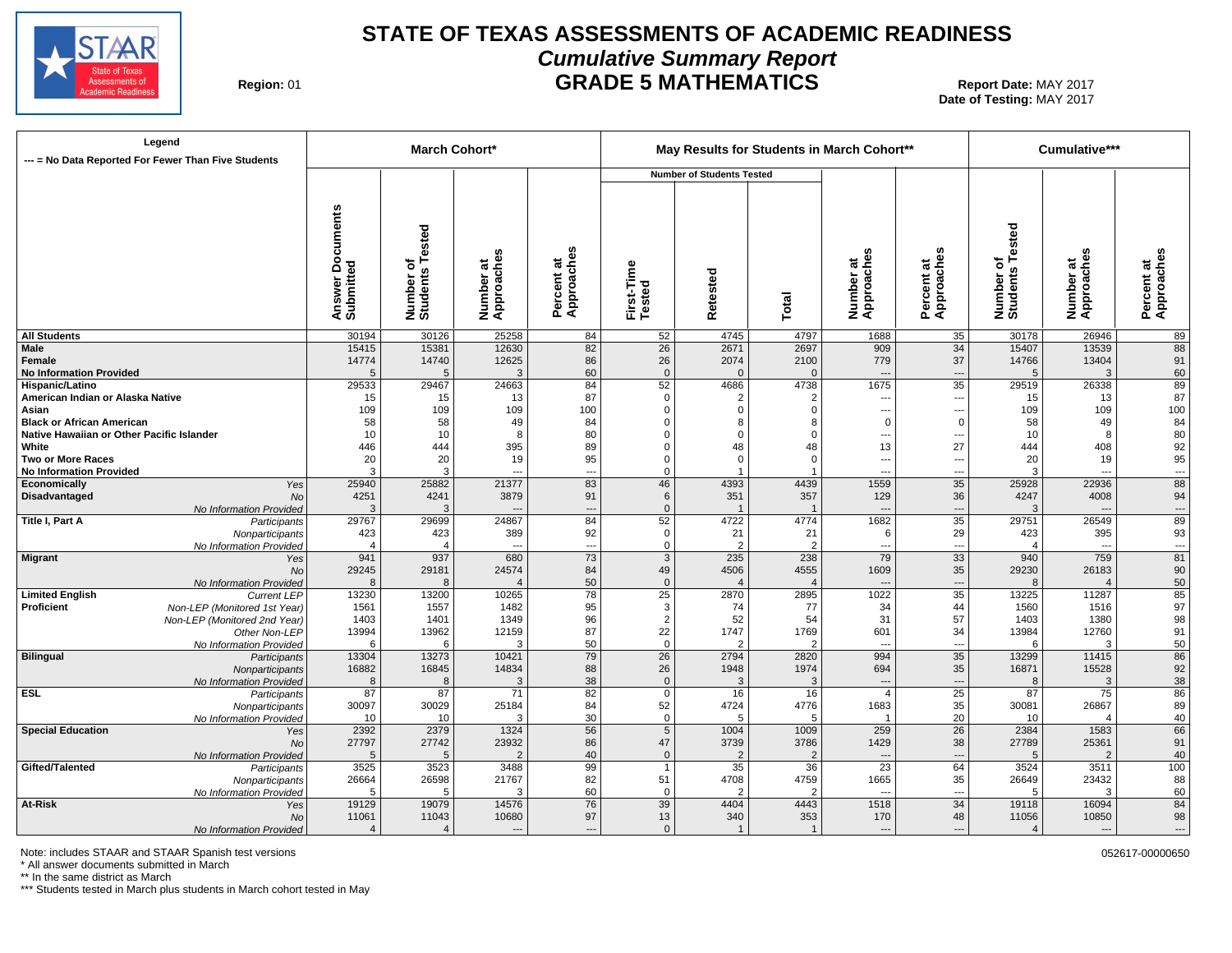

# **STATE OF TEXAS ASSESSMENTS OF ACADEMIC READINESS Cumulative Summary Report GRADE 5 MATHEMATICS** Report Date: MAY 2017

**Region: 01** 

**Date of Testing:**  MAY 2017

| Legend<br>--- = No Data Reported For Fewer Than Five Students |                                            | <b>March Cohort*</b>                 |                              |                            |                      | May Results for Students in March Cohort** |                        |                                  |                                |                                             | Cumulative***            |                                |
|---------------------------------------------------------------|--------------------------------------------|--------------------------------------|------------------------------|----------------------------|----------------------|--------------------------------------------|------------------------|----------------------------------|--------------------------------|---------------------------------------------|--------------------------|--------------------------------|
|                                                               |                                            |                                      |                              |                            |                      | <b>Number of Students Tested</b>           |                        |                                  |                                |                                             |                          |                                |
|                                                               | <b>Documents</b><br>Answer Do<br>Submitted | Tested<br>৳<br>Number of<br>Students | w<br>Number at<br>Approaches | Approaches<br>ಕ<br>Percent | First-Time<br>Tested | Retested                                   | Total                  | Number at<br>Approaches          | Percent at<br>Approaches       | <b>Tested</b><br>৳<br>Number of<br>Students | Number at<br>Approaches  | Percent at<br>Approaches       |
| <b>All Students</b>                                           | 30194                                      | 30126                                | 25258                        | 84                         | 52                   | 4745                                       | 4797                   | 1688                             | 35                             | 30178                                       | 26946                    | 89                             |
| Male                                                          | 15415                                      | 15381                                | 12630                        | 82                         | 26                   | 2671                                       | 2697                   | 909                              | 34                             | 15407                                       | 13539                    | 88                             |
| Female                                                        | 14774                                      | 14740                                | 12625                        | 86                         | 26                   | 2074                                       | 2100                   | 779                              | 37                             | 14766                                       | 13404                    | 91                             |
| <b>No Information Provided</b><br>Hispanic/Latino             | ŗ<br>29533                                 | 5<br>29467                           | 3<br>24663                   | 60<br>84                   | $\mathbf 0$<br>52    | $\Omega$<br>4686                           | $\mathbf 0$<br>4738    | $\hspace{0.05cm} \ldots$<br>1675 | ---<br>$\overline{35}$         | $\sqrt{5}$<br>29519                         | 3<br>26338               | 60<br>89                       |
| American Indian or Alaska Native                              | 15                                         | 15                                   | 13                           | 87                         | 0                    | $\overline{2}$                             | $\overline{2}$         | ---                              | ---                            | 15                                          | 13                       | 87                             |
| Asian                                                         | 109                                        | 109                                  | 109                          | 100                        | $\mathbf 0$          | $\Omega$                                   | $\mathbf 0$            | ---                              | ---                            | 109                                         | 109                      | 100                            |
| <b>Black or African American</b>                              | 58                                         | 58                                   | 49                           | 84                         | $\Omega$             | 8                                          | 8                      | $\Omega$                         | $\mathbf 0$                    | 58                                          | 49                       | 84                             |
| Native Hawaiian or Other Pacific Islander                     | 10                                         | 10                                   | 8                            | 80                         | 0                    | $\Omega$                                   | 0                      | $\qquad \qquad \cdots$           | $\overline{\phantom{a}}$       | 10                                          | 8                        | 80                             |
| White                                                         | 446                                        | 444                                  | 395                          | 89                         | $\mathbf 0$          | 48                                         | 48                     | 13                               | 27                             | 444                                         | 408                      | 92                             |
| <b>Two or More Races</b>                                      | 20                                         | 20                                   | 19                           | 95                         | $\mathbf 0$          | $\mathbf 0$                                | $\mathbf 0$            | $\qquad \qquad \cdots$           | $\overline{\phantom{a}}$       | 20                                          | 19                       | 95                             |
| <b>No Information Provided</b>                                | 3                                          | 3                                    |                              | $\overline{\phantom{a}}$   | $\Omega$             |                                            |                        | ---                              | ---                            | 3                                           | $\overline{a}$           | $\sim$ $\sim$ $\sim$           |
| Economically<br>Yes                                           | 25940                                      | 25882                                | 21377                        | 83                         | 46                   | 4393                                       | 4439                   | 1559                             | 35                             | 25928                                       | 22936                    | 88                             |
| Disadvantaged<br>No                                           | 4251                                       | 4241                                 | 3879                         | 91                         | 6                    | 351                                        | 357                    | 129                              | 36                             | 4247                                        | 4008                     | 94                             |
| No Information Provided                                       | 3                                          | 3                                    |                              | $\overline{\phantom{a}}$   | $\mathbf 0$          |                                            |                        | $\overline{\phantom{a}}$         | ---<br>35                      | 3                                           | ---                      | $\hspace{0.05cm} \ldots$<br>89 |
| Title I, Part A<br>Participants                               | 29767<br>423                               | 29699<br>423                         | 24867<br>389                 | 84<br>92                   | 52<br>$\mathsf 0$    | 4722<br>21                                 | 4774<br>21             | 1682<br>6                        | 29                             | 29751<br>423                                | 26549<br>395             | 93                             |
| Nonparticipants<br>No Information Provided                    | $\sqrt{2}$                                 | $\overline{4}$                       | $\overline{a}$               | $---$                      | 0                    | $\overline{2}$                             | $\overline{2}$         | $\overline{\phantom{a}}$         | ---                            | $\overline{4}$                              | $\overline{a}$           | $\cdots$                       |
| Migrant<br>Yes                                                | 941                                        | 937                                  | 680                          | 73                         | $\mathbf{3}$         | 235                                        | 238                    | 79                               | $\overline{33}$                | 940                                         | 759                      | 81                             |
| No                                                            | 29245                                      | 29181                                | 24574                        | 84                         | 49                   | 4506                                       | 4555                   | 1609                             | 35                             | 29230                                       | 26183                    | 90                             |
| No Information Provided                                       | 8                                          | 8                                    |                              | 50                         | $\mathbf 0$          | $\overline{4}$                             | $\overline{4}$         | $\overline{\phantom{a}}$         | ---                            | 8                                           | $\overline{\mathcal{L}}$ | 50                             |
| <b>Limited English</b><br><b>Current LEP</b>                  | 13230                                      | 13200                                | 10265                        | 78                         | 25                   | 2870                                       | 2895                   | 1022                             | $\overline{35}$                | 13225                                       | 11287                    | 85                             |
| Proficient<br>Non-LEP (Monitored 1st Year)                    | 1561                                       | 1557                                 | 1482                         | 95                         | 3                    | 74                                         | 77                     | 34                               | 44                             | 1560                                        | 1516                     | 97                             |
| Non-LEP (Monitored 2nd Year)                                  | 1403                                       | 1401                                 | 1349                         | 96                         | $\overline{2}$       | 52                                         | 54                     | 31                               | 57                             | 1403                                        | 1380                     | 98                             |
| Other Non-LEP                                                 | 13994                                      | 13962                                | 12159                        | 87                         | 22                   | 1747                                       | 1769                   | 601                              | 34                             | 13984                                       | 12760                    | 91                             |
| No Information Provided                                       | 6                                          | 6                                    | 3                            | 50                         | $\mathbf 0$          |                                            | 2                      | $\overline{\phantom{a}}$         | ---                            | 6                                           | p                        | 50                             |
| <b>Bilingual</b><br>Participants                              | 13304<br>16882                             | 13273<br>16845                       | 10421<br>14834               | 79<br>88                   | 26<br>26             | 2794<br>1948                               | 2820<br>1974           | 994<br>694                       | 35<br>35                       | 13299<br>16871                              | 11415<br>15528           | 86<br>92                       |
| Nonparticipants<br>No Information Provided                    | 8                                          | 8                                    | 3                            | 38                         | $\mathbf 0$          | 3                                          | 3                      | $\overline{\phantom{a}}$         | ---                            | 8                                           | 3                        | 38                             |
| <b>ESL</b><br>Participants                                    | 87                                         | 87                                   | 71                           | 82                         | 0                    | 16                                         | 16                     | $\overline{4}$                   | $\overline{25}$                | 87                                          | 75                       | 86                             |
| Nonparticipants                                               | 30097                                      | 30029                                | 25184                        | 84                         | 52                   | 4724                                       | 4776                   | 1683                             | 35                             | 30081                                       | 26867                    | 89                             |
| No Information Provided                                       | 10                                         | 10                                   | 3                            | 30                         | $\mathsf 0$          | 5                                          | 5                      | $\overline{1}$                   | 20                             | 10                                          | $\overline{4}$           | 40                             |
| <b>Special Education</b><br>Yes                               | 2392                                       | 2379                                 | 1324                         | 56                         | $\overline{5}$       | 1004                                       | 1009                   | 259                              | $\overline{26}$                | 2384                                        | 1583                     | 66                             |
| No                                                            | 27797                                      | 27742                                | 23932                        | 86                         | 47                   | 3739                                       | 3786                   | 1429                             | 38                             | 27789                                       | 25361                    | 91                             |
| No Information Provided                                       | 5                                          | 5                                    |                              | 40                         | $\mathbf 0$          | $\overline{c}$                             | $\overline{2}$         | $\overline{\phantom{a}}$         | ---                            | 5                                           | 2                        | 40                             |
| Gifted/Talented<br>Participants                               | 3525                                       | 3523                                 | 3488                         | 99                         | $\mathbf{1}$         | 35                                         | 36                     | 23                               | 64                             | 3524                                        | 3511                     | 100                            |
| Nonparticipants                                               | 26664<br>5                                 | 26598                                | 21767                        | 82                         | 51                   | 4708<br>$\overline{2}$                     | 4759                   | 1665<br>$\overline{\phantom{a}}$ | 35                             | 26649                                       | 23432<br>-3              | 88<br>60                       |
| No Information Provided<br>At-Risk                            | 19129                                      | 5<br>19079                           | 3<br>14576                   | 60<br>76                   | 0<br>39              | 4404                                       | $\overline{2}$<br>4443 | 1518                             | $\overline{\phantom{a}}$<br>34 | 5<br>19118                                  | 16094                    | 84                             |
| Yes<br>No                                                     | 11061                                      | 11043                                | 10680                        | 97                         | 13                   | 340                                        | 353                    | 170                              | 48                             | 11056                                       | 10850                    | 98                             |
| No Information Provided                                       | $\overline{4}$                             | $\overline{4}$                       | $---$                        | $---$                      | $\mathbf{0}$         |                                            | $\mathbf 1$            | $---$                            | $---$                          | $\overline{4}$                              | $\overline{a}$           | $\overline{\phantom{a}}$       |

Note: includes STAAR and STAAR Spanish test versions **by a state of the state of the state of the state of the state of the state of the state of the state of the state of the state of the state of the state of the state o** 

\* All answer documents submitted in March

\*\* In the same district as March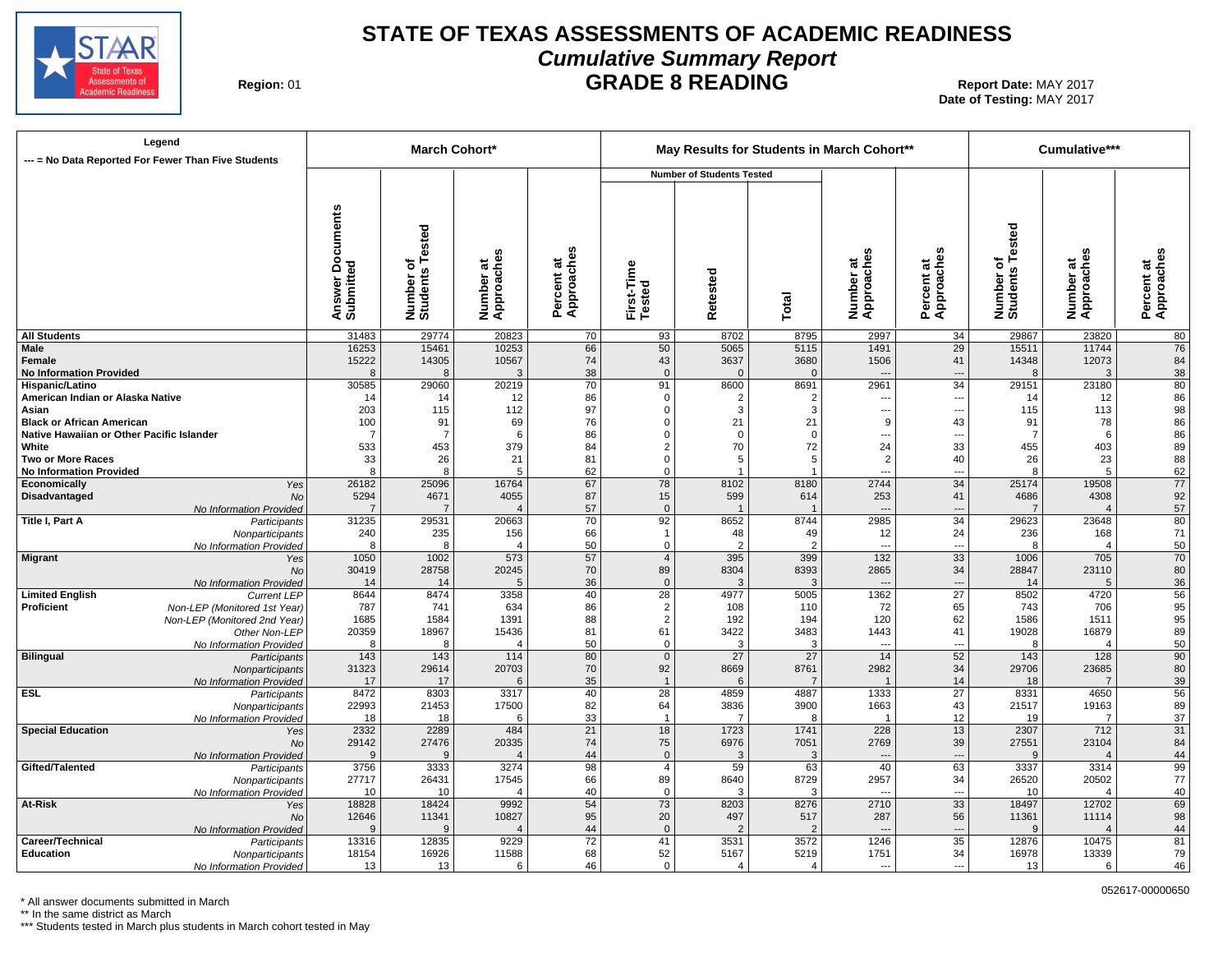

# **STATE OF TEXAS ASSESSMENTS OF ACADEMIC READINESS Cumulative Summary Report GRADE 8 READING** Report Date: MAY 2017

**Region: 01** 

**Date of Testing:**  MAY 2017

| Legend<br>--- = No Data Reported For Fewer Than Five Students  |                                     |                              | <b>March Cohort*</b>              |                              |                                   |                                  |                        | May Results for Students in March Cohort** |                          |                              | Cumulative***           |                          |
|----------------------------------------------------------------|-------------------------------------|------------------------------|-----------------------------------|------------------------------|-----------------------------------|----------------------------------|------------------------|--------------------------------------------|--------------------------|------------------------------|-------------------------|--------------------------|
|                                                                |                                     |                              |                                   |                              |                                   | <b>Number of Students Tested</b> |                        |                                            |                          |                              |                         |                          |
|                                                                | Documents<br>Answer Do<br>Submitted | Number of<br>Students Tested | Number at<br>Approaches           | n<br>Approache<br>Percent at | First-Time<br>Tested              | etested<br>œ                     | Total                  | Number at<br>Approaches                    | Percent at<br>Approaches | Number of<br>Students Tested | Number at<br>Approaches | Percent at<br>Approaches |
| <b>All Students</b>                                            | 31483                               | 29774                        | 20823                             | 70                           | 93                                | 8702                             | 8795                   | 2997                                       | 34                       | 29867                        | 23820                   | 80                       |
| <b>Male</b><br><b>Female</b>                                   | 16253<br>15222                      | 15461<br>14305               | 10253<br>10567                    | 66                           | 50                                | 5065                             | 5115                   | 1491<br>1506                               | 29<br>41                 | 15511                        | 11744<br>12073          | 76                       |
| <b>No Information Provided</b>                                 | R                                   | 8                            | 3                                 | 74<br>38                     | 43<br>$\overline{0}$              | 3637<br>$\Omega$                 | 3680<br>$\Omega$       |                                            | ---                      | 14348                        | 3                       | 84<br>38                 |
| Hispanic/Latino                                                | 30585                               | 29060                        | 20219                             | 70                           | 91                                | 8600                             | 8691                   | 2961                                       | $\overline{34}$          | 29151                        | 23180                   | 80                       |
| American Indian or Alaska Native                               | 14                                  | 14                           | 12                                | 86                           | $\Omega$                          | $\overline{2}$                   | 2                      |                                            | $\overline{\phantom{a}}$ | 14                           | 12                      | 86                       |
| Asian                                                          | 203                                 | 115                          | 112                               | 97                           | $\Omega$                          | 3                                | 3                      | ---                                        | ---                      | 115                          | 113                     | 98                       |
| <b>Black or African American</b>                               | 100                                 | 91                           | 69                                | 76                           | $\Omega$                          | 21                               | 21                     | 9                                          | 43                       | 91                           | 78                      | 86                       |
| Native Hawaiian or Other Pacific Islander<br>White             | - 7<br>533                          | -7<br>453                    | 6<br>379                          | 86<br>84                     | $\Omega$<br>2                     | $\Omega$<br>70                   | $\Omega$<br>72         | ---<br>24                                  | ---<br>33                | -7<br>455                    | 6<br>403                | 86<br>89                 |
| <b>Two or More Races</b>                                       | 33                                  | 26                           | 21                                | 81                           | $\Omega$                          | 5                                | 5                      | 2                                          | 40                       | 26                           | 23                      | 88                       |
| <b>No Information Provided</b>                                 | 8                                   | 8                            | 5                                 | 62                           | $\Omega$                          | $\overline{\mathbf{1}}$          |                        | $\overline{a}$                             |                          | 8                            | 5                       | 62                       |
| Economically<br>Yes                                            | 26182                               | 25096                        | 16764                             | 67                           | 78                                | 8102                             | 8180                   | 2744                                       | 34                       | 25174                        | 19508                   | 77                       |
| Disadvantaged<br>No                                            | 5294                                | 4671                         | 4055                              | 87                           | 15                                | 599                              | 614                    | 253                                        | 41                       | 4686                         | 4308                    | 92                       |
| No Information Provided                                        |                                     | 7<br>29531                   | $\overline{\mathcal{A}}$<br>20663 | 57<br>70                     | $\mathbf{0}$<br>92                | 8652                             |                        | $\overline{\phantom{a}}$<br>2985           | ---<br>$\overline{34}$   | 29623                        | $\overline{4}$<br>23648 | 57<br>80                 |
| Title I, Part A<br>Participants<br>Nonparticipants             | 31235<br>240                        | 235                          | 156                               | 66                           | $\overline{1}$                    | 48                               | 8744<br>49             | 12                                         | 24                       | 236                          | 168                     | 71                       |
| No Information Provided                                        | 8                                   | 8                            | $\overline{4}$                    | 50                           | 0                                 | $\overline{2}$                   | $\overline{2}$         | ---                                        | ---                      | 8                            | $\overline{4}$          | 50                       |
| <b>Migrant</b><br>Yes                                          | 1050                                | 1002                         | 573                               | 57                           | $\overline{4}$                    | 395                              | 399                    | $132$                                      | $\overline{33}$          | 1006                         | 705                     | $\overline{70}$          |
| No                                                             | 30419                               | 28758                        | 20245                             | 70                           | 89                                | 8304                             | 8393                   | 2865                                       | 34                       | 28847                        | 23110                   | 80                       |
| No Information Provided                                        | 14                                  | 14                           | 5                                 | 36                           | $\mathbf 0$                       | $\mathcal{R}$                    | 3                      | $\overline{\phantom{a}}$                   | $\overline{a}$           | 14                           | 5                       | 36                       |
| <b>Limited English</b><br><b>Current LEP</b><br>Proficient     | 8644<br>787                         | 8474<br>741                  | 3358<br>634                       | 40<br>86                     | $\overline{28}$<br>$\overline{2}$ | 4977<br>108                      | 5005<br>110            | 1362<br>72                                 | $\overline{27}$<br>65    | 8502<br>743                  | 4720<br>706             | $\overline{56}$<br>95    |
| Non-LEP (Monitored 1st Year)<br>Non-LEP (Monitored 2nd Year)   | 1685                                | 1584                         | 1391                              | 88                           | 2                                 | 192                              | 194                    | 120                                        | 62                       | 1586                         | 1511                    | 95                       |
| Other Non-LEP                                                  | 20359                               | 18967                        | 15436                             | 81                           | 61                                | 3422                             | 3483                   | 1443                                       | 41                       | 19028                        | 16879                   | 89                       |
| No Information Provided                                        | 8                                   | 8                            | $\overline{4}$                    | 50                           | 0                                 | 3                                | 3                      | $\overline{\phantom{a}}$                   | ---                      | 8                            | $\overline{4}$          | 50                       |
| <b>Bilingual</b><br>Participants                               | 143                                 | 143                          | 114                               | 80                           | $\mathbf 0$                       | 27                               | 27                     | 14                                         | 52                       | 143                          | 128                     | $\overline{90}$          |
| Nonparticipants                                                | 31323                               | 29614                        | 20703<br>6                        | 70                           | 92                                | 8669<br>6                        | 8761                   | 2982<br>$\overline{1}$                     | 34                       | 29706                        | 23685<br>$\overline{7}$ | 80                       |
| No Information Provided<br><b>ESL</b><br>Participants          | 17<br>8472                          | 17<br>8303                   | 3317                              | 35<br>40                     | $\overline{1}$<br>$\overline{28}$ | 4859                             | 7<br>4887              | 1333                                       | 14<br>$\overline{27}$    | 18<br>8331                   | 4650                    | 39<br>$\overline{56}$    |
| Nonparticipants                                                | 22993                               | 21453                        | 17500                             | 82                           | 64                                | 3836                             | 3900                   | 1663                                       | 43                       | 21517                        | 19163                   | 89                       |
| No Information Provided                                        | 18                                  | 18                           | 6                                 | 33                           | $\overline{1}$                    | $\overline{7}$                   | 8                      | $\overline{1}$                             | 12                       | 19                           | $\overline{7}$          | 37                       |
| <b>Special Education</b><br>Yes                                | 2332                                | 2289                         | 484                               | 21                           | 18                                | 1723                             | 1741                   | 228                                        | 13                       | 2307                         | $712$                   | 31                       |
| <b>No</b>                                                      | 29142                               | 27476                        | 20335                             | 74                           | 75                                | 6976                             | 7051                   | 2769                                       | 39                       | 27551                        | 23104                   | 84                       |
| No Information Provided                                        | $\mathbf{q}$                        | $\mathbf{Q}$                 | $\Delta$                          | 44                           | $\mathbf{0}$                      | $\mathcal{R}$                    | 3                      | $\overline{\phantom{a}}$<br>40             | $\overline{a}$           |                              | $\overline{4}$          | 44<br>$\overline{99}$    |
| Gifted/Talented<br>Participants<br>Nonparticipants             | 3756<br>27717                       | 3333<br>26431                | 3274<br>17545                     | 98<br>66                     | $\overline{4}$<br>89              | 59<br>8640                       | 63<br>8729             | 2957                                       | 63<br>34                 | 3337<br>26520                | 3314<br>20502           | $77\,$                   |
| No Information Provided                                        | 10                                  | 10                           | $\overline{4}$                    | 40                           | 0                                 | 3                                | 3                      | $\overline{a}$                             | ---                      | 10                           | $\overline{4}$          | 40                       |
| At-Risk<br>Yes                                                 | 18828                               | 18424                        | 9992                              | 54                           | 73                                | 8203                             | 8276                   | 2710                                       | 33                       | 18497                        | 12702                   | 69                       |
| No                                                             | 12646                               | 11341                        | 10827                             | 95                           | 20                                | 497                              | 517                    | 287                                        | 56                       | 11361                        | 11114                   | 98                       |
| No Information Provided                                        | c                                   | 9                            | $\overline{4}$                    | 44                           | $\mathbf{0}$                      |                                  |                        | $\overline{\phantom{a}}$                   | ---                      |                              | $\overline{4}$          | 44                       |
| Career/Technical<br>Participants                               | 13316                               | 12835                        | 9229                              | 72                           | 41                                | 3531                             | 3572                   | 1246                                       | $\overline{35}$          | 12876                        | 10475                   | 81                       |
| <b>Education</b><br>Nonparticipants<br>No Information Provided | 18154<br>13                         | 16926<br>13                  | 11588<br>6                        | 68<br>46                     | 52<br>$\Omega$                    | 5167<br>$\boldsymbol{\varDelta}$ | 5219<br>$\overline{4}$ | 1751<br>$\sim$                             | 34<br>$\overline{a}$     | 16978<br>13                  | 13339<br>6              | 79<br>46                 |
|                                                                |                                     |                              |                                   |                              |                                   |                                  |                        |                                            |                          |                              |                         |                          |

\* All answer documents submitted in March

\*\* In the same district as March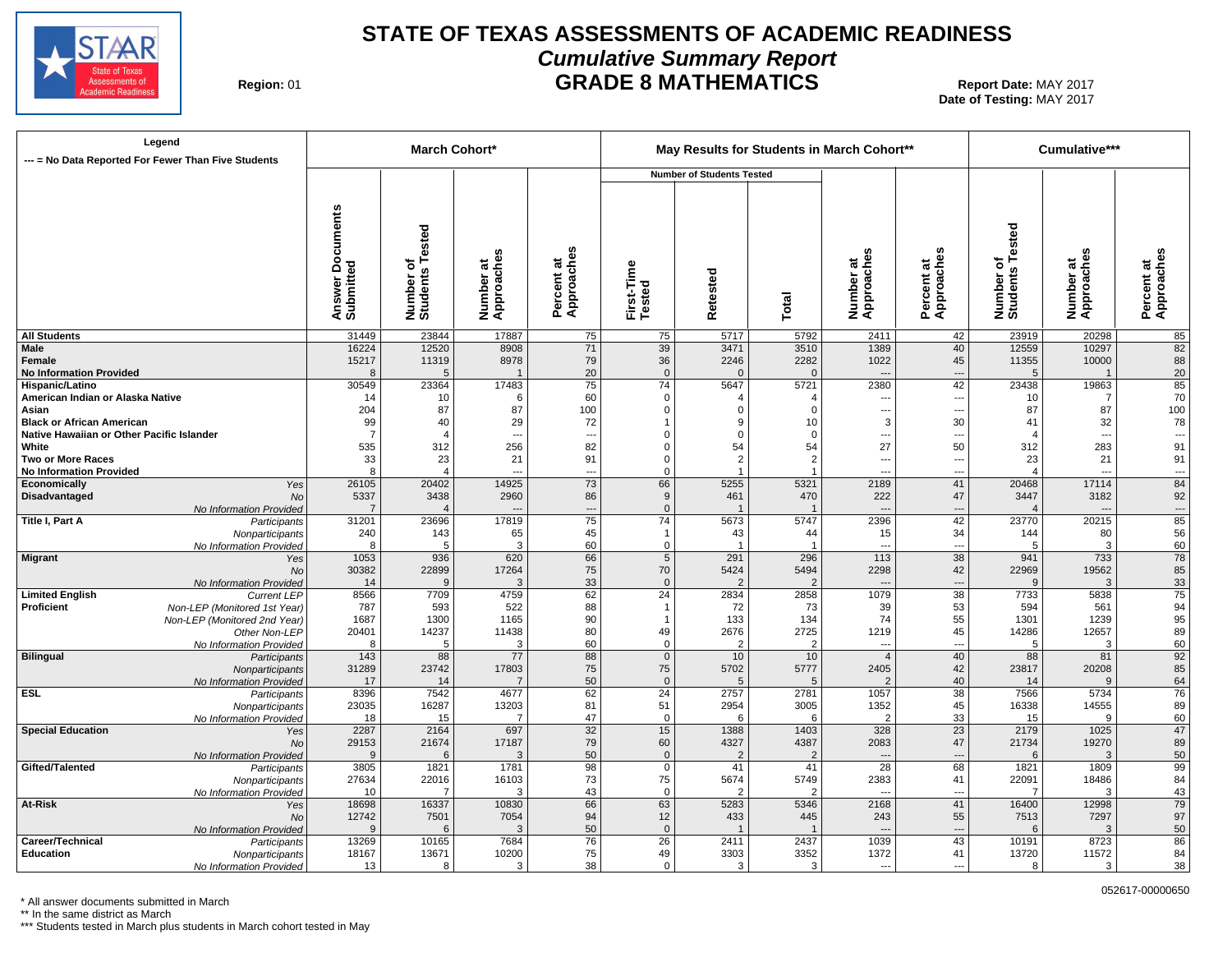

# **STATE OF TEXAS ASSESSMENTS OF ACADEMIC READINESS Cumulative Summary Report GRADE 8 MATHEMATICS** Report Date: MAY 2017

**Region: 01** 

**Date of Testing:**  MAY 2017

| <b>Number of Students Tested</b><br>Documents<br>Tested<br>Number of<br>Students Tested<br>Approaches<br>Percent at<br>Approaches<br>Number at<br>Approaches<br>Approaches<br>Number at<br>Approaches<br>Number at<br>Approaches<br>ಕ<br>৳<br>Answer Do<br>Submitted<br>First-Time<br>Tested<br>Percent at<br>Number of<br>Students<br>Retested<br>Percent<br>Total<br><b>All Students</b><br>31449<br>23844<br>17887<br>23919<br>20298<br>75<br>75<br>5717<br>5792<br>2411<br>42<br>85<br>$\overline{82}$<br>12520<br>71<br>39<br>3510<br>1389<br>40<br>Male<br>16224<br>8908<br>3471<br>12559<br>10297<br>15217<br>8978<br>2282<br>1022<br>11355<br>10000<br>88<br>Female<br>11319<br>79<br>36<br>2246<br>45<br>20<br>20<br><b>No Information Provided</b><br>$\mathbf{0}$<br>$\Omega$<br>$\Omega$<br>5<br>8<br>5<br>---<br>$\overline{\mathbf{1}}$<br>$\overline{\phantom{a}}$<br>2380<br>42<br>85<br>30549<br>23364<br>17483<br>75<br>74<br>5647<br>5721<br>23438<br>19863<br>70<br>American Indian or Alaska Native<br>60<br>14<br>10<br>6<br>$\Omega$<br>10<br>7<br>$\overline{4}$<br>$\overline{4}$<br>$\overline{\phantom{a}}$<br>---<br>87<br>87<br>100<br>204<br>87<br>$\Omega$<br>87<br>Asian<br>100<br>$\Omega$<br>$\Omega$<br>---<br>---<br>30<br>78<br><b>Black or African American</b><br>99<br>40<br>29<br>72<br>9<br>10<br>3<br>41<br>32<br>1<br>Native Hawaiian or Other Pacific Islander<br>- 7<br>$\Omega$<br>$\Omega$<br>$\Omega$<br>---<br>$\overline{a}$<br>$\overline{\phantom{a}}$<br>$\overline{a}$<br>---<br>---<br>54<br>50<br>256<br>82<br>54<br>27<br>283<br>91<br>White<br>535<br>312<br>312<br>$\Omega$<br>$\overline{2}$<br>91<br>33<br>23<br>23<br><b>Two or More Races</b><br>21<br>91<br>21<br>$\Omega$<br>2<br><br>$\overline{a}$<br>8<br>$\overline{4}$<br>$\Omega$<br>$\overline{1}$<br>---<br>$\overline{a}$<br>$\overline{1}$<br>$\overline{a}$<br>$\overline{4}$<br>$\overline{a}$<br>---<br>$\overline{a}$<br>84<br>26105<br>14925<br>73<br>66<br>5255<br>2189<br>41<br>17114<br>20402<br>5321<br>20468<br>Yes<br>92<br>3438<br>2960<br>222<br>3447<br>3182<br>5337<br>86<br>9<br>461<br>470<br>47<br>No<br>$\Omega$<br>No Information Provided<br>$\overline{4}$<br>$\cdots$<br>$\overline{\phantom{a}}$<br>---<br>$\overline{a}$<br>$\overline{\phantom{a}}$<br>$\overline{85}$<br>Title I, Part A<br>75<br>74<br>2396<br>42<br>20215<br>31201<br>23696<br>17819<br>5673<br>5747<br>23770<br>Participants<br>34<br>56<br>240<br>143<br>65<br>45<br>43<br>15<br>144<br>80<br>Nonparticipants<br>$\mathbf{1}$<br>44<br>60<br>60<br>No Information Provided<br>3<br>0<br>3<br>8<br>5<br>$\overline{1}$<br>---<br>---<br>5<br>$\overline{78}$<br>38<br>936<br>620<br>66<br>5<br>291<br>296<br>113<br>941<br>733<br>1053<br>Yes<br>85<br>75<br>2298<br>42<br>19562<br>30382<br>22899<br>17264<br>70<br>5424<br>5494<br>22969<br>No<br>33<br>33<br>14<br>9<br>3<br>$\Omega$<br>3<br>No Information Provided<br>$\overline{2}$<br>$\overline{2}$<br>9<br>$\overline{\phantom{a}}$<br>$\overline{a}$<br>$\overline{75}$<br>62<br>$\overline{38}$<br>4759<br>$\overline{24}$<br>1079<br>5838<br><b>Limited English</b><br>8566<br>7709<br>2834<br>2858<br>7733<br><b>Current LEP</b><br>94<br>Proficient<br>593<br>522<br>88<br>73<br>39<br>53<br>561<br>787<br>72<br>594<br>Non-LEP (Monitored 1st Year)<br>$\mathbf{1}$<br>95<br>1239<br>1687<br>1300<br>1165<br>90<br>133<br>134<br>74<br>55<br>1301<br>Non-LEP (Monitored 2nd Year)<br>$\mathbf{1}$<br>11438<br>80<br>45<br>12657<br>89<br>20401<br>14237<br>49<br>2676<br>2725<br>1219<br>14286<br>Other Non-LEP<br>60<br>60<br>$\mathbf 0$<br>No Information Provided<br>8<br>5<br>3<br>$\overline{2}$<br>$\overline{2}$<br>5<br>3<br>$\overline{\phantom{a}}$<br>---<br>$\overline{92}$<br>77<br>40<br>88<br>88<br>88<br>143<br>$\mathbf 0$<br>10<br>10<br>$\overline{4}$<br>81<br>Participants<br>85<br>75<br>31289<br>23742<br>17803<br>75<br>5702<br>2405<br>42<br>23817<br>20208<br>5777<br>Nonparticipants<br>64<br>50<br>40<br>17<br>14<br>$\mathbf{0}$<br>5<br>$\overline{2}$<br>No Information Provided<br>$\overline{7}$<br>5<br>14<br>9<br>$\overline{76}$<br>62<br>38<br><b>ESL</b><br>8396<br>7542<br>4677<br>$\overline{24}$<br>2757<br>1057<br>7566<br>5734<br>2781<br>Participants<br>89<br>16287<br>81<br>2954<br>1352<br>45<br>14555<br>23035<br>13203<br>51<br>3005<br>16338<br>Nonparticipants<br>60<br>47<br>33<br>18<br>15<br>$\overline{7}$<br>$\mathbf 0$<br>6<br>6<br>$\overline{2}$<br>15<br>9<br>No Information Provided | Legend<br>--- = No Data Reported For Fewer Than Five Students |      |      | <b>March Cohort*</b> |                 |    |      |      | May Results for Students in March Cohort** |                 |      | Cumulative*** |    |
|-----------------------------------------------------------------------------------------------------------------------------------------------------------------------------------------------------------------------------------------------------------------------------------------------------------------------------------------------------------------------------------------------------------------------------------------------------------------------------------------------------------------------------------------------------------------------------------------------------------------------------------------------------------------------------------------------------------------------------------------------------------------------------------------------------------------------------------------------------------------------------------------------------------------------------------------------------------------------------------------------------------------------------------------------------------------------------------------------------------------------------------------------------------------------------------------------------------------------------------------------------------------------------------------------------------------------------------------------------------------------------------------------------------------------------------------------------------------------------------------------------------------------------------------------------------------------------------------------------------------------------------------------------------------------------------------------------------------------------------------------------------------------------------------------------------------------------------------------------------------------------------------------------------------------------------------------------------------------------------------------------------------------------------------------------------------------------------------------------------------------------------------------------------------------------------------------------------------------------------------------------------------------------------------------------------------------------------------------------------------------------------------------------------------------------------------------------------------------------------------------------------------------------------------------------------------------------------------------------------------------------------------------------------------------------------------------------------------------------------------------------------------------------------------------------------------------------------------------------------------------------------------------------------------------------------------------------------------------------------------------------------------------------------------------------------------------------------------------------------------------------------------------------------------------------------------------------------------------------------------------------------------------------------------------------------------------------------------------------------------------------------------------------------------------------------------------------------------------------------------------------------------------------------------------------------------------------------------------------------------------------------------------------------------------------------------------------------------------------------------------------------------------------------------------------------------------------------------------------------------------------------------------------------------------------------------------------------------------------------------------------------------------------------------------------------------------------------------------------------------------------------------------------------------------------------------------------------------------------------------------------------------------------------------------------------------------------------------------------------------------------------------------------------------------------------------------------------------------------------------------------------------------------------------------|---------------------------------------------------------------|------|------|----------------------|-----------------|----|------|------|--------------------------------------------|-----------------|------|---------------|----|
|                                                                                                                                                                                                                                                                                                                                                                                                                                                                                                                                                                                                                                                                                                                                                                                                                                                                                                                                                                                                                                                                                                                                                                                                                                                                                                                                                                                                                                                                                                                                                                                                                                                                                                                                                                                                                                                                                                                                                                                                                                                                                                                                                                                                                                                                                                                                                                                                                                                                                                                                                                                                                                                                                                                                                                                                                                                                                                                                                                                                                                                                                                                                                                                                                                                                                                                                                                                                                                                                                                                                                                                                                                                                                                                                                                                                                                                                                                                                                                                                                                                                                                                                                                                                                                                                                                                                                                                                                                                                                                                                               |                                                               |      |      |                      |                 |    |      |      |                                            |                 |      |               |    |
|                                                                                                                                                                                                                                                                                                                                                                                                                                                                                                                                                                                                                                                                                                                                                                                                                                                                                                                                                                                                                                                                                                                                                                                                                                                                                                                                                                                                                                                                                                                                                                                                                                                                                                                                                                                                                                                                                                                                                                                                                                                                                                                                                                                                                                                                                                                                                                                                                                                                                                                                                                                                                                                                                                                                                                                                                                                                                                                                                                                                                                                                                                                                                                                                                                                                                                                                                                                                                                                                                                                                                                                                                                                                                                                                                                                                                                                                                                                                                                                                                                                                                                                                                                                                                                                                                                                                                                                                                                                                                                                                               |                                                               |      |      |                      |                 |    |      |      |                                            |                 |      |               |    |
|                                                                                                                                                                                                                                                                                                                                                                                                                                                                                                                                                                                                                                                                                                                                                                                                                                                                                                                                                                                                                                                                                                                                                                                                                                                                                                                                                                                                                                                                                                                                                                                                                                                                                                                                                                                                                                                                                                                                                                                                                                                                                                                                                                                                                                                                                                                                                                                                                                                                                                                                                                                                                                                                                                                                                                                                                                                                                                                                                                                                                                                                                                                                                                                                                                                                                                                                                                                                                                                                                                                                                                                                                                                                                                                                                                                                                                                                                                                                                                                                                                                                                                                                                                                                                                                                                                                                                                                                                                                                                                                                               |                                                               |      |      |                      |                 |    |      |      |                                            |                 |      |               |    |
|                                                                                                                                                                                                                                                                                                                                                                                                                                                                                                                                                                                                                                                                                                                                                                                                                                                                                                                                                                                                                                                                                                                                                                                                                                                                                                                                                                                                                                                                                                                                                                                                                                                                                                                                                                                                                                                                                                                                                                                                                                                                                                                                                                                                                                                                                                                                                                                                                                                                                                                                                                                                                                                                                                                                                                                                                                                                                                                                                                                                                                                                                                                                                                                                                                                                                                                                                                                                                                                                                                                                                                                                                                                                                                                                                                                                                                                                                                                                                                                                                                                                                                                                                                                                                                                                                                                                                                                                                                                                                                                                               |                                                               |      |      |                      |                 |    |      |      |                                            |                 |      |               |    |
|                                                                                                                                                                                                                                                                                                                                                                                                                                                                                                                                                                                                                                                                                                                                                                                                                                                                                                                                                                                                                                                                                                                                                                                                                                                                                                                                                                                                                                                                                                                                                                                                                                                                                                                                                                                                                                                                                                                                                                                                                                                                                                                                                                                                                                                                                                                                                                                                                                                                                                                                                                                                                                                                                                                                                                                                                                                                                                                                                                                                                                                                                                                                                                                                                                                                                                                                                                                                                                                                                                                                                                                                                                                                                                                                                                                                                                                                                                                                                                                                                                                                                                                                                                                                                                                                                                                                                                                                                                                                                                                                               |                                                               |      |      |                      |                 |    |      |      |                                            |                 |      |               |    |
|                                                                                                                                                                                                                                                                                                                                                                                                                                                                                                                                                                                                                                                                                                                                                                                                                                                                                                                                                                                                                                                                                                                                                                                                                                                                                                                                                                                                                                                                                                                                                                                                                                                                                                                                                                                                                                                                                                                                                                                                                                                                                                                                                                                                                                                                                                                                                                                                                                                                                                                                                                                                                                                                                                                                                                                                                                                                                                                                                                                                                                                                                                                                                                                                                                                                                                                                                                                                                                                                                                                                                                                                                                                                                                                                                                                                                                                                                                                                                                                                                                                                                                                                                                                                                                                                                                                                                                                                                                                                                                                                               | Hispanic/Latino                                               |      |      |                      |                 |    |      |      |                                            |                 |      |               |    |
|                                                                                                                                                                                                                                                                                                                                                                                                                                                                                                                                                                                                                                                                                                                                                                                                                                                                                                                                                                                                                                                                                                                                                                                                                                                                                                                                                                                                                                                                                                                                                                                                                                                                                                                                                                                                                                                                                                                                                                                                                                                                                                                                                                                                                                                                                                                                                                                                                                                                                                                                                                                                                                                                                                                                                                                                                                                                                                                                                                                                                                                                                                                                                                                                                                                                                                                                                                                                                                                                                                                                                                                                                                                                                                                                                                                                                                                                                                                                                                                                                                                                                                                                                                                                                                                                                                                                                                                                                                                                                                                                               |                                                               |      |      |                      |                 |    |      |      |                                            |                 |      |               |    |
|                                                                                                                                                                                                                                                                                                                                                                                                                                                                                                                                                                                                                                                                                                                                                                                                                                                                                                                                                                                                                                                                                                                                                                                                                                                                                                                                                                                                                                                                                                                                                                                                                                                                                                                                                                                                                                                                                                                                                                                                                                                                                                                                                                                                                                                                                                                                                                                                                                                                                                                                                                                                                                                                                                                                                                                                                                                                                                                                                                                                                                                                                                                                                                                                                                                                                                                                                                                                                                                                                                                                                                                                                                                                                                                                                                                                                                                                                                                                                                                                                                                                                                                                                                                                                                                                                                                                                                                                                                                                                                                                               |                                                               |      |      |                      |                 |    |      |      |                                            |                 |      |               |    |
|                                                                                                                                                                                                                                                                                                                                                                                                                                                                                                                                                                                                                                                                                                                                                                                                                                                                                                                                                                                                                                                                                                                                                                                                                                                                                                                                                                                                                                                                                                                                                                                                                                                                                                                                                                                                                                                                                                                                                                                                                                                                                                                                                                                                                                                                                                                                                                                                                                                                                                                                                                                                                                                                                                                                                                                                                                                                                                                                                                                                                                                                                                                                                                                                                                                                                                                                                                                                                                                                                                                                                                                                                                                                                                                                                                                                                                                                                                                                                                                                                                                                                                                                                                                                                                                                                                                                                                                                                                                                                                                                               |                                                               |      |      |                      |                 |    |      |      |                                            |                 |      |               |    |
|                                                                                                                                                                                                                                                                                                                                                                                                                                                                                                                                                                                                                                                                                                                                                                                                                                                                                                                                                                                                                                                                                                                                                                                                                                                                                                                                                                                                                                                                                                                                                                                                                                                                                                                                                                                                                                                                                                                                                                                                                                                                                                                                                                                                                                                                                                                                                                                                                                                                                                                                                                                                                                                                                                                                                                                                                                                                                                                                                                                                                                                                                                                                                                                                                                                                                                                                                                                                                                                                                                                                                                                                                                                                                                                                                                                                                                                                                                                                                                                                                                                                                                                                                                                                                                                                                                                                                                                                                                                                                                                                               |                                                               |      |      |                      |                 |    |      |      |                                            |                 |      |               |    |
|                                                                                                                                                                                                                                                                                                                                                                                                                                                                                                                                                                                                                                                                                                                                                                                                                                                                                                                                                                                                                                                                                                                                                                                                                                                                                                                                                                                                                                                                                                                                                                                                                                                                                                                                                                                                                                                                                                                                                                                                                                                                                                                                                                                                                                                                                                                                                                                                                                                                                                                                                                                                                                                                                                                                                                                                                                                                                                                                                                                                                                                                                                                                                                                                                                                                                                                                                                                                                                                                                                                                                                                                                                                                                                                                                                                                                                                                                                                                                                                                                                                                                                                                                                                                                                                                                                                                                                                                                                                                                                                                               |                                                               |      |      |                      |                 |    |      |      |                                            |                 |      |               |    |
|                                                                                                                                                                                                                                                                                                                                                                                                                                                                                                                                                                                                                                                                                                                                                                                                                                                                                                                                                                                                                                                                                                                                                                                                                                                                                                                                                                                                                                                                                                                                                                                                                                                                                                                                                                                                                                                                                                                                                                                                                                                                                                                                                                                                                                                                                                                                                                                                                                                                                                                                                                                                                                                                                                                                                                                                                                                                                                                                                                                                                                                                                                                                                                                                                                                                                                                                                                                                                                                                                                                                                                                                                                                                                                                                                                                                                                                                                                                                                                                                                                                                                                                                                                                                                                                                                                                                                                                                                                                                                                                                               | <b>No Information Provided</b>                                |      |      |                      |                 |    |      |      |                                            |                 |      |               |    |
|                                                                                                                                                                                                                                                                                                                                                                                                                                                                                                                                                                                                                                                                                                                                                                                                                                                                                                                                                                                                                                                                                                                                                                                                                                                                                                                                                                                                                                                                                                                                                                                                                                                                                                                                                                                                                                                                                                                                                                                                                                                                                                                                                                                                                                                                                                                                                                                                                                                                                                                                                                                                                                                                                                                                                                                                                                                                                                                                                                                                                                                                                                                                                                                                                                                                                                                                                                                                                                                                                                                                                                                                                                                                                                                                                                                                                                                                                                                                                                                                                                                                                                                                                                                                                                                                                                                                                                                                                                                                                                                                               | Economically                                                  |      |      |                      |                 |    |      |      |                                            |                 |      |               |    |
|                                                                                                                                                                                                                                                                                                                                                                                                                                                                                                                                                                                                                                                                                                                                                                                                                                                                                                                                                                                                                                                                                                                                                                                                                                                                                                                                                                                                                                                                                                                                                                                                                                                                                                                                                                                                                                                                                                                                                                                                                                                                                                                                                                                                                                                                                                                                                                                                                                                                                                                                                                                                                                                                                                                                                                                                                                                                                                                                                                                                                                                                                                                                                                                                                                                                                                                                                                                                                                                                                                                                                                                                                                                                                                                                                                                                                                                                                                                                                                                                                                                                                                                                                                                                                                                                                                                                                                                                                                                                                                                                               | Disadvantaged                                                 |      |      |                      |                 |    |      |      |                                            |                 |      |               |    |
|                                                                                                                                                                                                                                                                                                                                                                                                                                                                                                                                                                                                                                                                                                                                                                                                                                                                                                                                                                                                                                                                                                                                                                                                                                                                                                                                                                                                                                                                                                                                                                                                                                                                                                                                                                                                                                                                                                                                                                                                                                                                                                                                                                                                                                                                                                                                                                                                                                                                                                                                                                                                                                                                                                                                                                                                                                                                                                                                                                                                                                                                                                                                                                                                                                                                                                                                                                                                                                                                                                                                                                                                                                                                                                                                                                                                                                                                                                                                                                                                                                                                                                                                                                                                                                                                                                                                                                                                                                                                                                                                               |                                                               |      |      |                      |                 |    |      |      |                                            |                 |      |               |    |
|                                                                                                                                                                                                                                                                                                                                                                                                                                                                                                                                                                                                                                                                                                                                                                                                                                                                                                                                                                                                                                                                                                                                                                                                                                                                                                                                                                                                                                                                                                                                                                                                                                                                                                                                                                                                                                                                                                                                                                                                                                                                                                                                                                                                                                                                                                                                                                                                                                                                                                                                                                                                                                                                                                                                                                                                                                                                                                                                                                                                                                                                                                                                                                                                                                                                                                                                                                                                                                                                                                                                                                                                                                                                                                                                                                                                                                                                                                                                                                                                                                                                                                                                                                                                                                                                                                                                                                                                                                                                                                                                               |                                                               |      |      |                      |                 |    |      |      |                                            |                 |      |               |    |
|                                                                                                                                                                                                                                                                                                                                                                                                                                                                                                                                                                                                                                                                                                                                                                                                                                                                                                                                                                                                                                                                                                                                                                                                                                                                                                                                                                                                                                                                                                                                                                                                                                                                                                                                                                                                                                                                                                                                                                                                                                                                                                                                                                                                                                                                                                                                                                                                                                                                                                                                                                                                                                                                                                                                                                                                                                                                                                                                                                                                                                                                                                                                                                                                                                                                                                                                                                                                                                                                                                                                                                                                                                                                                                                                                                                                                                                                                                                                                                                                                                                                                                                                                                                                                                                                                                                                                                                                                                                                                                                                               |                                                               |      |      |                      |                 |    |      |      |                                            |                 |      |               |    |
|                                                                                                                                                                                                                                                                                                                                                                                                                                                                                                                                                                                                                                                                                                                                                                                                                                                                                                                                                                                                                                                                                                                                                                                                                                                                                                                                                                                                                                                                                                                                                                                                                                                                                                                                                                                                                                                                                                                                                                                                                                                                                                                                                                                                                                                                                                                                                                                                                                                                                                                                                                                                                                                                                                                                                                                                                                                                                                                                                                                                                                                                                                                                                                                                                                                                                                                                                                                                                                                                                                                                                                                                                                                                                                                                                                                                                                                                                                                                                                                                                                                                                                                                                                                                                                                                                                                                                                                                                                                                                                                                               | Migrant                                                       |      |      |                      |                 |    |      |      |                                            |                 |      |               |    |
|                                                                                                                                                                                                                                                                                                                                                                                                                                                                                                                                                                                                                                                                                                                                                                                                                                                                                                                                                                                                                                                                                                                                                                                                                                                                                                                                                                                                                                                                                                                                                                                                                                                                                                                                                                                                                                                                                                                                                                                                                                                                                                                                                                                                                                                                                                                                                                                                                                                                                                                                                                                                                                                                                                                                                                                                                                                                                                                                                                                                                                                                                                                                                                                                                                                                                                                                                                                                                                                                                                                                                                                                                                                                                                                                                                                                                                                                                                                                                                                                                                                                                                                                                                                                                                                                                                                                                                                                                                                                                                                                               |                                                               |      |      |                      |                 |    |      |      |                                            |                 |      |               |    |
|                                                                                                                                                                                                                                                                                                                                                                                                                                                                                                                                                                                                                                                                                                                                                                                                                                                                                                                                                                                                                                                                                                                                                                                                                                                                                                                                                                                                                                                                                                                                                                                                                                                                                                                                                                                                                                                                                                                                                                                                                                                                                                                                                                                                                                                                                                                                                                                                                                                                                                                                                                                                                                                                                                                                                                                                                                                                                                                                                                                                                                                                                                                                                                                                                                                                                                                                                                                                                                                                                                                                                                                                                                                                                                                                                                                                                                                                                                                                                                                                                                                                                                                                                                                                                                                                                                                                                                                                                                                                                                                                               |                                                               |      |      |                      |                 |    |      |      |                                            |                 |      |               |    |
|                                                                                                                                                                                                                                                                                                                                                                                                                                                                                                                                                                                                                                                                                                                                                                                                                                                                                                                                                                                                                                                                                                                                                                                                                                                                                                                                                                                                                                                                                                                                                                                                                                                                                                                                                                                                                                                                                                                                                                                                                                                                                                                                                                                                                                                                                                                                                                                                                                                                                                                                                                                                                                                                                                                                                                                                                                                                                                                                                                                                                                                                                                                                                                                                                                                                                                                                                                                                                                                                                                                                                                                                                                                                                                                                                                                                                                                                                                                                                                                                                                                                                                                                                                                                                                                                                                                                                                                                                                                                                                                                               |                                                               |      |      |                      |                 |    |      |      |                                            |                 |      |               |    |
|                                                                                                                                                                                                                                                                                                                                                                                                                                                                                                                                                                                                                                                                                                                                                                                                                                                                                                                                                                                                                                                                                                                                                                                                                                                                                                                                                                                                                                                                                                                                                                                                                                                                                                                                                                                                                                                                                                                                                                                                                                                                                                                                                                                                                                                                                                                                                                                                                                                                                                                                                                                                                                                                                                                                                                                                                                                                                                                                                                                                                                                                                                                                                                                                                                                                                                                                                                                                                                                                                                                                                                                                                                                                                                                                                                                                                                                                                                                                                                                                                                                                                                                                                                                                                                                                                                                                                                                                                                                                                                                                               |                                                               |      |      |                      |                 |    |      |      |                                            |                 |      |               |    |
|                                                                                                                                                                                                                                                                                                                                                                                                                                                                                                                                                                                                                                                                                                                                                                                                                                                                                                                                                                                                                                                                                                                                                                                                                                                                                                                                                                                                                                                                                                                                                                                                                                                                                                                                                                                                                                                                                                                                                                                                                                                                                                                                                                                                                                                                                                                                                                                                                                                                                                                                                                                                                                                                                                                                                                                                                                                                                                                                                                                                                                                                                                                                                                                                                                                                                                                                                                                                                                                                                                                                                                                                                                                                                                                                                                                                                                                                                                                                                                                                                                                                                                                                                                                                                                                                                                                                                                                                                                                                                                                                               |                                                               |      |      |                      |                 |    |      |      |                                            |                 |      |               |    |
|                                                                                                                                                                                                                                                                                                                                                                                                                                                                                                                                                                                                                                                                                                                                                                                                                                                                                                                                                                                                                                                                                                                                                                                                                                                                                                                                                                                                                                                                                                                                                                                                                                                                                                                                                                                                                                                                                                                                                                                                                                                                                                                                                                                                                                                                                                                                                                                                                                                                                                                                                                                                                                                                                                                                                                                                                                                                                                                                                                                                                                                                                                                                                                                                                                                                                                                                                                                                                                                                                                                                                                                                                                                                                                                                                                                                                                                                                                                                                                                                                                                                                                                                                                                                                                                                                                                                                                                                                                                                                                                                               |                                                               |      |      |                      |                 |    |      |      |                                            |                 |      |               |    |
|                                                                                                                                                                                                                                                                                                                                                                                                                                                                                                                                                                                                                                                                                                                                                                                                                                                                                                                                                                                                                                                                                                                                                                                                                                                                                                                                                                                                                                                                                                                                                                                                                                                                                                                                                                                                                                                                                                                                                                                                                                                                                                                                                                                                                                                                                                                                                                                                                                                                                                                                                                                                                                                                                                                                                                                                                                                                                                                                                                                                                                                                                                                                                                                                                                                                                                                                                                                                                                                                                                                                                                                                                                                                                                                                                                                                                                                                                                                                                                                                                                                                                                                                                                                                                                                                                                                                                                                                                                                                                                                                               | <b>Bilingual</b>                                              |      |      |                      |                 |    |      |      |                                            |                 |      |               |    |
|                                                                                                                                                                                                                                                                                                                                                                                                                                                                                                                                                                                                                                                                                                                                                                                                                                                                                                                                                                                                                                                                                                                                                                                                                                                                                                                                                                                                                                                                                                                                                                                                                                                                                                                                                                                                                                                                                                                                                                                                                                                                                                                                                                                                                                                                                                                                                                                                                                                                                                                                                                                                                                                                                                                                                                                                                                                                                                                                                                                                                                                                                                                                                                                                                                                                                                                                                                                                                                                                                                                                                                                                                                                                                                                                                                                                                                                                                                                                                                                                                                                                                                                                                                                                                                                                                                                                                                                                                                                                                                                                               |                                                               |      |      |                      |                 |    |      |      |                                            |                 |      |               |    |
|                                                                                                                                                                                                                                                                                                                                                                                                                                                                                                                                                                                                                                                                                                                                                                                                                                                                                                                                                                                                                                                                                                                                                                                                                                                                                                                                                                                                                                                                                                                                                                                                                                                                                                                                                                                                                                                                                                                                                                                                                                                                                                                                                                                                                                                                                                                                                                                                                                                                                                                                                                                                                                                                                                                                                                                                                                                                                                                                                                                                                                                                                                                                                                                                                                                                                                                                                                                                                                                                                                                                                                                                                                                                                                                                                                                                                                                                                                                                                                                                                                                                                                                                                                                                                                                                                                                                                                                                                                                                                                                                               |                                                               |      |      |                      |                 |    |      |      |                                            |                 |      |               |    |
|                                                                                                                                                                                                                                                                                                                                                                                                                                                                                                                                                                                                                                                                                                                                                                                                                                                                                                                                                                                                                                                                                                                                                                                                                                                                                                                                                                                                                                                                                                                                                                                                                                                                                                                                                                                                                                                                                                                                                                                                                                                                                                                                                                                                                                                                                                                                                                                                                                                                                                                                                                                                                                                                                                                                                                                                                                                                                                                                                                                                                                                                                                                                                                                                                                                                                                                                                                                                                                                                                                                                                                                                                                                                                                                                                                                                                                                                                                                                                                                                                                                                                                                                                                                                                                                                                                                                                                                                                                                                                                                                               |                                                               |      |      |                      |                 |    |      |      |                                            |                 |      |               |    |
|                                                                                                                                                                                                                                                                                                                                                                                                                                                                                                                                                                                                                                                                                                                                                                                                                                                                                                                                                                                                                                                                                                                                                                                                                                                                                                                                                                                                                                                                                                                                                                                                                                                                                                                                                                                                                                                                                                                                                                                                                                                                                                                                                                                                                                                                                                                                                                                                                                                                                                                                                                                                                                                                                                                                                                                                                                                                                                                                                                                                                                                                                                                                                                                                                                                                                                                                                                                                                                                                                                                                                                                                                                                                                                                                                                                                                                                                                                                                                                                                                                                                                                                                                                                                                                                                                                                                                                                                                                                                                                                                               |                                                               |      |      |                      |                 |    |      |      |                                            |                 |      |               |    |
|                                                                                                                                                                                                                                                                                                                                                                                                                                                                                                                                                                                                                                                                                                                                                                                                                                                                                                                                                                                                                                                                                                                                                                                                                                                                                                                                                                                                                                                                                                                                                                                                                                                                                                                                                                                                                                                                                                                                                                                                                                                                                                                                                                                                                                                                                                                                                                                                                                                                                                                                                                                                                                                                                                                                                                                                                                                                                                                                                                                                                                                                                                                                                                                                                                                                                                                                                                                                                                                                                                                                                                                                                                                                                                                                                                                                                                                                                                                                                                                                                                                                                                                                                                                                                                                                                                                                                                                                                                                                                                                                               | <b>Special Education</b><br>Yes                               | 2287 | 2164 | 697                  | $\overline{32}$ | 15 | 1388 | 1403 | 328                                        | $\overline{23}$ | 2179 | 1025          | 47 |
| 89<br>29153<br>21674<br>17187<br>79<br>60<br>4327<br>2083<br>47<br>19270<br><b>No</b><br>4387<br>21734                                                                                                                                                                                                                                                                                                                                                                                                                                                                                                                                                                                                                                                                                                                                                                                                                                                                                                                                                                                                                                                                                                                                                                                                                                                                                                                                                                                                                                                                                                                                                                                                                                                                                                                                                                                                                                                                                                                                                                                                                                                                                                                                                                                                                                                                                                                                                                                                                                                                                                                                                                                                                                                                                                                                                                                                                                                                                                                                                                                                                                                                                                                                                                                                                                                                                                                                                                                                                                                                                                                                                                                                                                                                                                                                                                                                                                                                                                                                                                                                                                                                                                                                                                                                                                                                                                                                                                                                                                        |                                                               |      |      |                      |                 |    |      |      |                                            |                 |      |               |    |
| 50<br>50<br>$\mathcal{P}$<br>No Information Provided<br>$\mathbf{q}$<br>6<br>$\mathcal{R}$<br>$\mathbf{0}$<br>$\overline{2}$<br>6<br>$\mathcal{R}$<br>$\overline{\phantom{a}}$<br>$\overline{\phantom{a}}$<br>99<br>41<br>28<br>68<br>$\Omega$<br>41                                                                                                                                                                                                                                                                                                                                                                                                                                                                                                                                                                                                                                                                                                                                                                                                                                                                                                                                                                                                                                                                                                                                                                                                                                                                                                                                                                                                                                                                                                                                                                                                                                                                                                                                                                                                                                                                                                                                                                                                                                                                                                                                                                                                                                                                                                                                                                                                                                                                                                                                                                                                                                                                                                                                                                                                                                                                                                                                                                                                                                                                                                                                                                                                                                                                                                                                                                                                                                                                                                                                                                                                                                                                                                                                                                                                                                                                                                                                                                                                                                                                                                                                                                                                                                                                                          |                                                               |      |      |                      |                 |    |      |      |                                            |                 |      |               |    |
| 98<br>3805<br>1821<br>1781<br>1821<br>1809<br>Participants<br>73<br>84<br>27634<br>22016<br>16103<br>75<br>5674<br>5749<br>2383<br>41<br>22091<br>18486<br>Nonparticipants                                                                                                                                                                                                                                                                                                                                                                                                                                                                                                                                                                                                                                                                                                                                                                                                                                                                                                                                                                                                                                                                                                                                                                                                                                                                                                                                                                                                                                                                                                                                                                                                                                                                                                                                                                                                                                                                                                                                                                                                                                                                                                                                                                                                                                                                                                                                                                                                                                                                                                                                                                                                                                                                                                                                                                                                                                                                                                                                                                                                                                                                                                                                                                                                                                                                                                                                                                                                                                                                                                                                                                                                                                                                                                                                                                                                                                                                                                                                                                                                                                                                                                                                                                                                                                                                                                                                                                    | Gifted/Talented                                               |      |      |                      |                 |    |      |      |                                            |                 |      |               |    |
| 43<br>43<br>10<br>3<br>3<br>No Information Provided<br>$\overline{7}$<br>$\mathbf 0$<br>$\overline{2}$<br>2<br>7<br>$\sim$<br>---                                                                                                                                                                                                                                                                                                                                                                                                                                                                                                                                                                                                                                                                                                                                                                                                                                                                                                                                                                                                                                                                                                                                                                                                                                                                                                                                                                                                                                                                                                                                                                                                                                                                                                                                                                                                                                                                                                                                                                                                                                                                                                                                                                                                                                                                                                                                                                                                                                                                                                                                                                                                                                                                                                                                                                                                                                                                                                                                                                                                                                                                                                                                                                                                                                                                                                                                                                                                                                                                                                                                                                                                                                                                                                                                                                                                                                                                                                                                                                                                                                                                                                                                                                                                                                                                                                                                                                                                             |                                                               |      |      |                      |                 |    |      |      |                                            |                 |      |               |    |
| 79<br>18698<br>16337<br>10830<br>66<br>63<br>5283<br>2168<br>41<br>12998<br>5346<br>16400<br>Yes                                                                                                                                                                                                                                                                                                                                                                                                                                                                                                                                                                                                                                                                                                                                                                                                                                                                                                                                                                                                                                                                                                                                                                                                                                                                                                                                                                                                                                                                                                                                                                                                                                                                                                                                                                                                                                                                                                                                                                                                                                                                                                                                                                                                                                                                                                                                                                                                                                                                                                                                                                                                                                                                                                                                                                                                                                                                                                                                                                                                                                                                                                                                                                                                                                                                                                                                                                                                                                                                                                                                                                                                                                                                                                                                                                                                                                                                                                                                                                                                                                                                                                                                                                                                                                                                                                                                                                                                                                              | At-Risk                                                       |      |      |                      |                 |    |      |      |                                            |                 |      |               |    |
| 97<br>94<br>12742<br>7501<br>7054<br>12<br>433<br>445<br>243<br>55<br>7513<br>7297<br>No                                                                                                                                                                                                                                                                                                                                                                                                                                                                                                                                                                                                                                                                                                                                                                                                                                                                                                                                                                                                                                                                                                                                                                                                                                                                                                                                                                                                                                                                                                                                                                                                                                                                                                                                                                                                                                                                                                                                                                                                                                                                                                                                                                                                                                                                                                                                                                                                                                                                                                                                                                                                                                                                                                                                                                                                                                                                                                                                                                                                                                                                                                                                                                                                                                                                                                                                                                                                                                                                                                                                                                                                                                                                                                                                                                                                                                                                                                                                                                                                                                                                                                                                                                                                                                                                                                                                                                                                                                                      |                                                               |      |      |                      |                 |    |      |      |                                            |                 |      |               |    |
| 50<br>50<br>No Information Provided<br>6<br>3<br>$\Omega$<br>3<br>$\mathbf c$<br>6<br>$\overline{\phantom{a}}$<br>---                                                                                                                                                                                                                                                                                                                                                                                                                                                                                                                                                                                                                                                                                                                                                                                                                                                                                                                                                                                                                                                                                                                                                                                                                                                                                                                                                                                                                                                                                                                                                                                                                                                                                                                                                                                                                                                                                                                                                                                                                                                                                                                                                                                                                                                                                                                                                                                                                                                                                                                                                                                                                                                                                                                                                                                                                                                                                                                                                                                                                                                                                                                                                                                                                                                                                                                                                                                                                                                                                                                                                                                                                                                                                                                                                                                                                                                                                                                                                                                                                                                                                                                                                                                                                                                                                                                                                                                                                         |                                                               |      |      |                      |                 |    |      |      |                                            |                 |      |               |    |
| 43<br>86<br>13269<br>10165<br>7684<br>76<br>26<br>2411<br>2437<br>1039<br>10191<br>8723<br>Participants<br>84<br>18167<br>10200<br>49<br>1372<br>41<br>11572                                                                                                                                                                                                                                                                                                                                                                                                                                                                                                                                                                                                                                                                                                                                                                                                                                                                                                                                                                                                                                                                                                                                                                                                                                                                                                                                                                                                                                                                                                                                                                                                                                                                                                                                                                                                                                                                                                                                                                                                                                                                                                                                                                                                                                                                                                                                                                                                                                                                                                                                                                                                                                                                                                                                                                                                                                                                                                                                                                                                                                                                                                                                                                                                                                                                                                                                                                                                                                                                                                                                                                                                                                                                                                                                                                                                                                                                                                                                                                                                                                                                                                                                                                                                                                                                                                                                                                                  | Career/Technical                                              |      |      |                      |                 |    |      |      |                                            |                 |      |               |    |
| 13671<br>75<br>3303<br>3352<br>13720<br>Nonparticipants<br>38<br>13<br>38<br>3<br>3<br>No Information Provided<br>8<br>3<br>$\Omega$<br>8<br>3<br>$\overline{a}$<br>$\overline{a}$                                                                                                                                                                                                                                                                                                                                                                                                                                                                                                                                                                                                                                                                                                                                                                                                                                                                                                                                                                                                                                                                                                                                                                                                                                                                                                                                                                                                                                                                                                                                                                                                                                                                                                                                                                                                                                                                                                                                                                                                                                                                                                                                                                                                                                                                                                                                                                                                                                                                                                                                                                                                                                                                                                                                                                                                                                                                                                                                                                                                                                                                                                                                                                                                                                                                                                                                                                                                                                                                                                                                                                                                                                                                                                                                                                                                                                                                                                                                                                                                                                                                                                                                                                                                                                                                                                                                                            | Education                                                     |      |      |                      |                 |    |      |      |                                            |                 |      |               |    |

\* All answer documents submitted in March

\*\* In the same district as March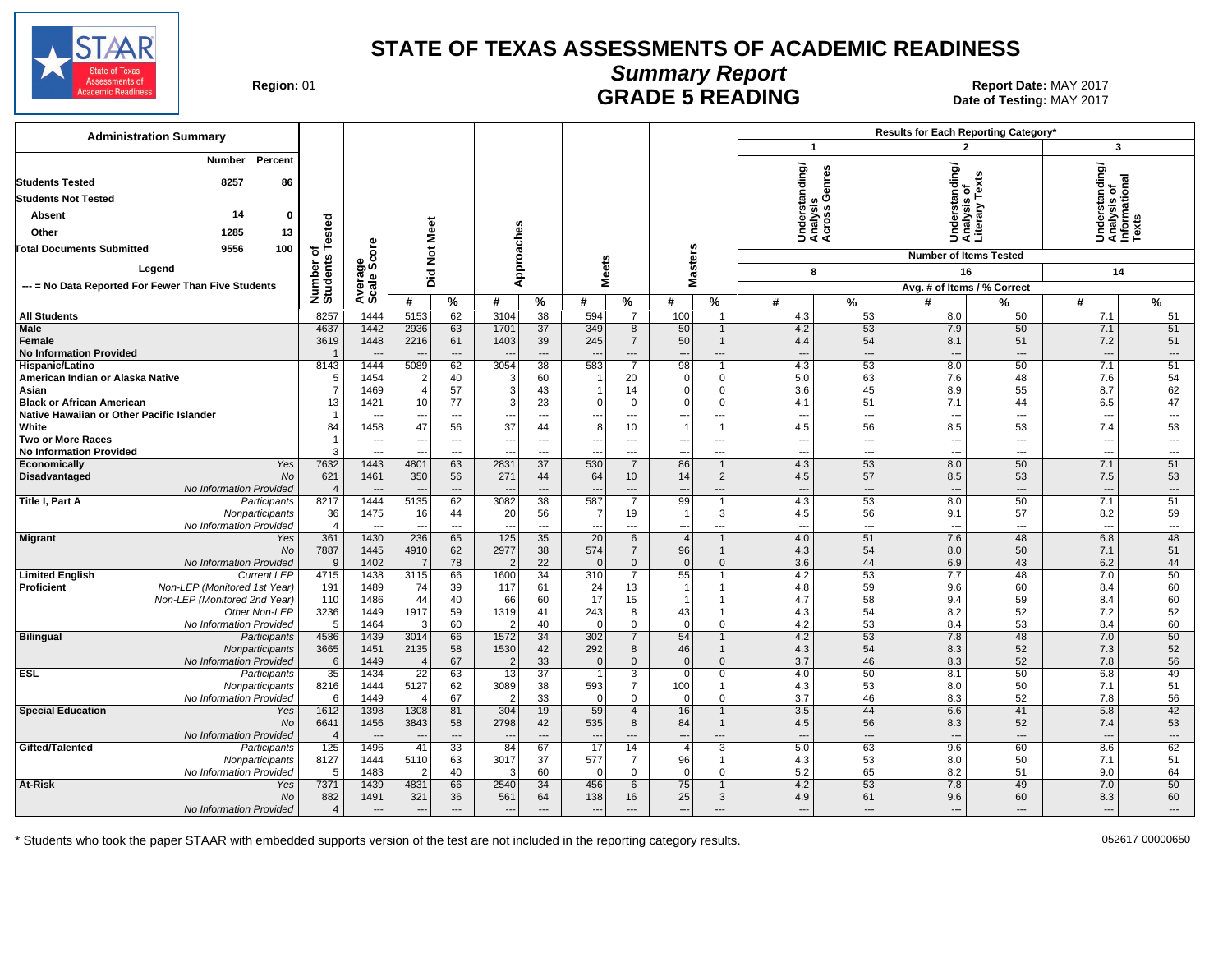

#### **Summary Report** Region: 01 **Region: 01 Report Date: MAY 2017**<br>**GRADE 5 READING** Date of Testing: MAY 2017

Date of Testing: MAY 2017

| <b>Administration Summary</b>                                                                  |                          |                                                      |                                |                                                      |                                  |                                 |                       |                               |                                                      |                             |                                             |                          | Results for Each Reporting Category*           |                                |                                                |                          |
|------------------------------------------------------------------------------------------------|--------------------------|------------------------------------------------------|--------------------------------|------------------------------------------------------|----------------------------------|---------------------------------|-----------------------|-------------------------------|------------------------------------------------------|-----------------------------|---------------------------------------------|--------------------------|------------------------------------------------|--------------------------------|------------------------------------------------|--------------------------|
|                                                                                                |                          |                                                      |                                |                                                      |                                  |                                 |                       |                               |                                                      |                             | $\mathbf{1}$                                |                          | $\overline{2}$                                 |                                | $\mathbf{3}$                                   |                          |
| <b>Number</b><br>Percent<br>8257<br><b>Students Tested</b><br>86<br><b>Students Not Tested</b> |                          |                                                      |                                |                                                      |                                  |                                 |                       |                               |                                                      |                             | Understanding/<br>Analysis<br>Across Genres |                          | Inderstanding/<br>Inalysis of<br>Iterary Texts |                                | Understanding/<br>Analysis of<br>Informational |                          |
| 14<br>$\mathbf 0$<br>Absent                                                                    |                          |                                                      |                                |                                                      |                                  |                                 |                       |                               |                                                      |                             |                                             |                          |                                                |                                |                                                |                          |
| Other<br>1285                                                                                  | ested                    |                                                      | Meet                           |                                                      |                                  |                                 |                       |                               |                                                      |                             |                                             |                          |                                                |                                |                                                |                          |
| 13                                                                                             |                          |                                                      |                                |                                                      |                                  |                                 |                       |                               |                                                      |                             |                                             |                          | ŠËÏ                                            |                                |                                                |                          |
| 100<br><b>Total Documents Submitted</b><br>9556                                                | ۴<br>৳                   | ige<br>Score                                         | <b>Did Not</b>                 |                                                      | Approaches                       |                                 |                       |                               | <b>Masters</b>                                       |                             |                                             |                          | <b>Number of Items Tested</b>                  |                                |                                                |                          |
| Legend                                                                                         |                          |                                                      |                                |                                                      |                                  |                                 | <b>Meets</b>          |                               |                                                      |                             | 8                                           |                          | 16                                             |                                | 14                                             |                          |
| --- = No Data Reported For Fewer Than Five Students                                            | Number of<br>Students    | Avera                                                |                                |                                                      |                                  |                                 |                       |                               |                                                      |                             |                                             |                          | Avg. # of Items / % Correct                    |                                |                                                |                          |
|                                                                                                |                          |                                                      | #                              | %                                                    | #                                | %                               | #                     | %                             | #                                                    | %                           | #                                           | $\%$                     | #                                              | ℅                              | #                                              | $\%$                     |
| <b>All Students</b>                                                                            | 8257                     | 1444                                                 | 5153                           | 62                                                   | 3104                             | 38                              | 594                   | $\overline{7}$                | 100                                                  | $\mathbf{1}$                | 4.3                                         | 53                       | 8.0                                            | 50                             | 7.1                                            | 51                       |
| <b>Male</b>                                                                                    | 4637                     | 1442                                                 | 2936                           | 63                                                   | 1701                             | 37                              | 349                   | 8                             | 50                                                   | $\mathbf{1}$                | 4.2                                         | 53                       | 7.9                                            | 50                             | 7.1                                            | 51                       |
| Female<br><b>No Information Provided</b>                                                       | 3619<br>$\overline{1}$   | 1448                                                 | 2216                           | 61                                                   | 1403                             | 39<br>$\overline{\phantom{a}}$  | 245                   | $\overline{7}$<br>---         | 50                                                   | $\mathbf{1}$<br>---         | 4.4                                         | 54<br>$---$              | 8.1<br>$\overline{\phantom{a}}$                | 51<br>$\overline{\phantom{a}}$ | 7.2                                            | 51                       |
| Hispanic/Latino                                                                                | 8143                     | 1444                                                 | 5089                           | $\hspace{1.5cm} \ldots$<br>62                        | $\overline{\phantom{a}}$<br>3054 | 38                              | 583                   | 7                             | $\overline{\phantom{a}}$<br>98                       | $\mathbf 1$                 | $\overline{\phantom{a}}$<br>4.3             | 53                       | 8.0                                            | 50                             | $\overline{\phantom{a}}$<br>7.1                | ---<br>51                |
| American Indian or Alaska Native                                                               | 5                        | 1454                                                 | $\overline{2}$                 | 40                                                   | 3                                | 60                              |                       | 20                            | $\mathbf 0$                                          | 0                           | 5.0                                         | 63                       | 7.6                                            | 48                             | 7.6                                            | 54                       |
| Asian                                                                                          | $\overline{7}$           | 1469                                                 | $\overline{4}$                 | 57                                                   | 3                                | 43                              |                       | 14                            | $\Omega$                                             | $\mathbf 0$                 | 3.6                                         | 45                       | 8.9                                            | 55                             | 8.7                                            | 62                       |
| <b>Black or African American</b>                                                               | 13                       | 1421                                                 | 10                             | 77                                                   | 3                                | 23                              | $\Omega$              | $\mathbf 0$                   | $\Omega$                                             | $\mathbf 0$                 | 4.1                                         | 51                       | 7.1                                            | 44                             | 6.5                                            | 47                       |
| Native Hawaiian or Other Pacific Islander                                                      | $\mathbf{1}$             | --                                                   | $\sim$                         | $\overline{a}$                                       | ---                              | $\overline{\phantom{a}}$        | ---                   | $---$                         | $\overline{a}$                                       | $---$                       | $\sim$                                      | $\overline{a}$           | $\overline{a}$                                 | $\sim$                         | $\overline{\phantom{a}}$                       | $\overline{a}$           |
| White                                                                                          | 84<br>$\mathbf{1}$       | 1458                                                 | 47                             | 56                                                   | 37                               | 44                              | 8                     | 10                            | $\overline{\phantom{0}}$                             | $\mathbf{1}$                | 4.5                                         | 56                       | 8.5                                            | 53                             | 7.4                                            | 53                       |
| <b>Two or More Races</b><br><b>No Information Provided</b>                                     | 3                        | $\overline{\phantom{a}}$<br>$\overline{\phantom{a}}$ | $\overline{\phantom{a}}$       | $\overline{\phantom{a}}$<br>$\overline{\phantom{a}}$ | $\overline{\phantom{a}}$<br>---  | ---<br>$\overline{\phantom{a}}$ | ---<br>---            | ---<br>---                    | $\overline{\phantom{a}}$<br>$\overline{\phantom{a}}$ | ---<br>$---$                | $\overline{\phantom{a}}$<br>$---$           | ---<br>---               | ---<br>---                                     | ---<br>$\sim$                  | $\overline{\phantom{a}}$<br>---                | ---<br>---               |
| <b>Economically</b><br>Yes                                                                     | 7632                     | 1443                                                 | 4801                           | 63                                                   | 2831                             | 37                              | 530                   | $\overline{7}$                | 86                                                   | $\mathbf{1}$                | 4.3                                         | 53                       | 8.0                                            | 50                             | 7.1                                            | 51                       |
| <b>No</b><br><b>Disadvantaged</b>                                                              | 621                      | 1461                                                 | 350                            | 56                                                   | 271                              | 44                              | 64                    | 10                            | 14                                                   | $\overline{2}$              | 4.5                                         | 57                       | 8.5                                            | 53                             | 7.5                                            | 53                       |
| No Information Provided                                                                        | $\overline{4}$           | $\overline{\phantom{a}}$                             |                                | $---$                                                | $\sim$                           | $---$                           | $\overline{a}$        | $---$                         | $\overline{\phantom{a}}$                             | $---$                       | $\overline{a}$                              | $---$                    | $\overline{a}$                                 | $---$                          | ---                                            | $\overline{\phantom{a}}$ |
| Title I, Part A<br>Participants                                                                | 8217                     | 1444                                                 | 5135                           | 62                                                   | 3082                             | 38                              | 587                   | $\overline{7}$                | 99                                                   | $\mathbf{1}$                | 4.3                                         | 53                       | 8.0                                            | 50                             | 7.1                                            | 51                       |
| Nonparticipants<br>No Information Provided                                                     | 36<br>4                  | 1475<br>$\overline{\phantom{a}}$                     | 16<br>$\overline{\phantom{a}}$ | 44<br>$\overline{\phantom{a}}$                       | 20<br>$\overline{\phantom{a}}$   | 56<br>$\overline{\phantom{a}}$  | $\overline{7}$<br>--- | 19<br>---                     | $\overline{\mathbf{1}}$<br>$\overline{\phantom{a}}$  | 3<br>---                    | 4.5<br>$\overline{\phantom{a}}$             | 56<br>---                | 9.1<br>$\overline{\phantom{a}}$                | 57<br>$\overline{\phantom{a}}$ | 8.2<br>$\overline{\phantom{a}}$                | 59<br>---                |
| <b>Migrant</b><br>Yes                                                                          | 361                      | 1430                                                 | 236                            | 65                                                   | 125                              | 35                              | 20                    | 6                             | $\overline{4}$                                       | $\mathbf{1}$                | 4.0                                         | 51                       | 7.6                                            | 48                             | 6.8                                            | 48                       |
| No                                                                                             | 7887                     | 1445                                                 | 4910                           | 62                                                   | 2977                             | 38                              | 574                   | $\overline{7}$                | 96                                                   | $\mathbf{1}$                | 4.3                                         | 54                       | 8.0                                            | 50                             | 7.1                                            | 51                       |
| No Information Provided                                                                        | 9                        | 1402                                                 | $\overline{7}$                 | 78                                                   | $\overline{2}$                   | 22                              | $\Omega$              | $\overline{0}$                | $\Omega$                                             | $\mathbf{0}$                | 3.6                                         | 44                       | 6.9                                            | 43                             | 6.2                                            | 44                       |
| <b>Limited English</b><br><b>Current LEP</b>                                                   | 4715                     | 1438                                                 | 3115                           | 66                                                   | 1600                             | $\overline{34}$                 | 310                   | $\overline{7}$                | 55                                                   | $\overline{1}$              | 4.2                                         | 53                       | 7.7                                            | 48                             | 7.0                                            | 50                       |
| Non-LEP (Monitored 1st Year)<br><b>Proficient</b>                                              | 191                      | 1489                                                 | 74                             | 39                                                   | 117                              | 61                              | 24                    | 13                            | $\overline{1}$                                       | 1                           | 4.8                                         | 59                       | 9.6                                            | 60                             | 8.4                                            | 60                       |
| Non-LEP (Monitored 2nd Year)<br>Other Non-LEP                                                  | 110<br>3236              | 1486<br>1449                                         | 44<br>1917                     | 40<br>59                                             | 66<br>1319                       | 60<br>41                        | 17<br>243             | 15<br>8                       | -1<br>43                                             | $\mathbf 1$<br>$\mathbf{1}$ | 4.7<br>4.3                                  | 58<br>54                 | 9.4<br>8.2                                     | 59<br>52                       | 8.4<br>7.2                                     | 60<br>52                 |
| No Information Provided                                                                        | 5                        | 1464                                                 | 3                              | 60                                                   | $\overline{2}$                   | 40                              | $\Omega$              | $\mathbf 0$                   | $\overline{0}$                                       | $\mathbf 0$                 | 4.2                                         | 53                       | 8.4                                            | 53                             | 8.4                                            | 60                       |
| <b>Bilingual</b><br>Participants                                                               | 4586                     | 1439                                                 | 3014                           | 66                                                   | 1572                             | 34                              | 302                   | $\overline{7}$                | 54                                                   | $\mathbf{1}$                | 4.2                                         | 53                       | 7.8                                            | 48                             | 7.0                                            | 50                       |
| Nonparticipants                                                                                | 3665                     | 1451                                                 | 2135                           | 58                                                   | 1530                             | 42                              | 292                   | 8                             | 46                                                   | $\mathbf{1}$                | 4.3                                         | 54                       | 8.3                                            | 52                             | 7.3                                            | 52                       |
| No Information Provided                                                                        | 6                        | 1449                                                 |                                | 67                                                   | $\overline{2}$                   | 33                              | $\Omega$              | $\mathbf{0}$                  | $\Omega$                                             | $\mathbf{0}$                | 3.7                                         | 46                       | 8.3                                            | 52                             | 7.8                                            | 56                       |
| <b>ESL</b><br>Participants                                                                     | 35                       | 1434                                                 | $\overline{22}$                | 63                                                   | $\overline{13}$                  | $\overline{37}$                 | $\overline{1}$        | $\overline{3}$                | $\mathbf 0$                                          | $\mathbf 0$                 | 4.0                                         | 50                       | 8.1                                            | 50                             | 6.8                                            | 49                       |
| Nonparticipants<br>No Information Provided                                                     | 8216<br>6                | 1444<br>1449                                         | 5127                           | 62<br>67                                             | 3089<br>-2                       | 38<br>33                        | 593<br>$\overline{0}$ | $\overline{7}$<br>$\mathbf 0$ | 100<br>$\overline{0}$                                | $\mathbf{1}$<br>$\mathbf 0$ | 4.3<br>3.7                                  | 53<br>46                 | 8.0<br>8.3                                     | 50<br>52                       | 7.1<br>7.8                                     | 51<br>56                 |
| <b>Special Education</b><br>Yes                                                                | 1612                     | 1398                                                 | 1308                           | 81                                                   | 304                              | 19                              | 59                    | $\overline{4}$                | 16                                                   | $\mathbf{1}$                | 3.5                                         | 44                       | 6.6                                            | 41                             | 5.8                                            | 42                       |
| No                                                                                             | 6641                     | 1456                                                 | 3843                           | 58                                                   | 2798                             | 42                              | 535                   | 8                             | 84                                                   | $\mathbf{1}$                | 4.5                                         | 56                       | 8.3                                            | 52                             | 7.4                                            | 53                       |
| No Information Provided                                                                        | $\overline{\mathcal{L}}$ | $\sim$                                               | $\sim$                         | $\sim$                                               | ----                             | $\overline{a}$                  | $\sim$                | $\overline{a}$                | $\overline{a}$                                       | $\overline{a}$              | $\overline{a}$                              | $\overline{\phantom{a}}$ | $\overline{a}$                                 | $\overline{\phantom{a}}$       | $\overline{\phantom{a}}$                       | $\overline{\phantom{a}}$ |
| Gifted/Talented<br>Participants                                                                | 125                      | 1496                                                 | 41                             | $\overline{33}$                                      | 84                               | 67                              | $\overline{17}$       | 14                            | $\overline{4}$                                       | $\overline{3}$              | 5.0                                         | 63                       | 9.6                                            | 60                             | 8.6                                            | 62                       |
| Nonparticipants                                                                                | 8127                     | 1444                                                 | 5110                           | 63                                                   | 3017                             | 37                              | 577                   | $\overline{7}$                | 96                                                   | $\mathbf{1}$                | 4.3                                         | 53                       | 8.0                                            | 50                             | 7.1                                            | 51                       |
| No Information Provided<br>At-Risk<br>Yes                                                      | 5<br>7371                | 1483<br>1439                                         | $\overline{2}$<br>4831         | 40<br>66                                             | 3<br>2540                        | 60<br>34                        | $\sqrt{ }$<br>456     | $\mathbf 0$<br>6              | $\Omega$<br>75                                       | $\mathbf 0$<br>$\mathbf{1}$ | 5.2<br>4.2                                  | 65<br>53                 | 8.2<br>7.8                                     | 51<br>49                       | 9.0<br>7.0                                     | 64<br>50                 |
| No                                                                                             | 882                      | 1491                                                 | 321                            | 36                                                   | 561                              | 64                              | 138                   | 16                            | 25                                                   | 3                           | 4.9                                         | 61                       | 9.6                                            | 60                             | 8.3                                            | 60                       |
| No Information Provided                                                                        | $\overline{4}$           | $\overline{\phantom{a}}$                             | $---$                          | $\overline{a}$                                       | $\overline{\phantom{a}}$         | $---$                           | $\overline{a}$        | $---$                         | $\overline{a}$                                       | $---$                       | $---$                                       | $---$                    | $\overline{a}$                                 | $---$                          | $\overline{\phantom{a}}$                       | $---$                    |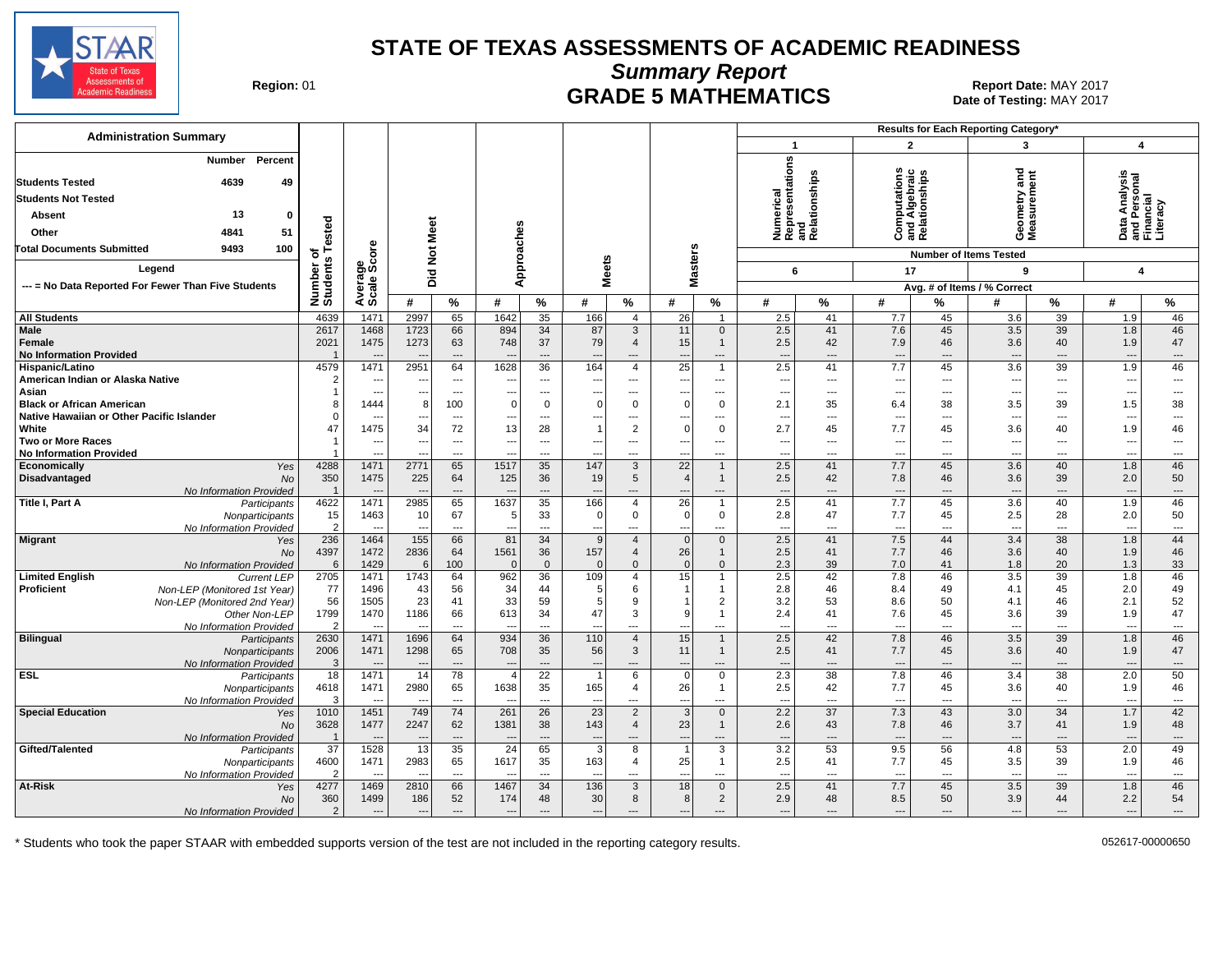

**Summary Report**

Region: 01 **Region: 01 CRADE 5 MATHEMATICS Report Date: MAY 2017 Report Date: MAY 2017** Date of Testing: MAY 2017

| <b>Administration Summary</b>                                                           |                    |                          |                                  |                          |                |                                |                                 |                        |                          |                                  |                                                      |                      |                                                       |                          | Results for Each Reporting Category' |                                |                                                        |                               |
|-----------------------------------------------------------------------------------------|--------------------|--------------------------|----------------------------------|--------------------------|----------------|--------------------------------|---------------------------------|------------------------|--------------------------|----------------------------------|------------------------------------------------------|----------------------|-------------------------------------------------------|--------------------------|--------------------------------------|--------------------------------|--------------------------------------------------------|-------------------------------|
|                                                                                         |                    |                          |                                  |                          |                |                                |                                 |                        |                          |                                  | $\mathbf{1}$                                         |                      | $\overline{2}$                                        |                          | 3                                    |                                | $\overline{\mathbf{A}}$                                |                               |
| Percent<br>Number<br><b>Students Tested</b><br>4639<br>49<br><b>Students Not Tested</b> |                    |                          |                                  |                          |                |                                |                                 |                        |                          |                                  | Numerical<br>Representations<br>and<br>Relationships |                      | <b>Computations</b><br>and Algebraic<br>Relationships |                          | and<br>ometry and<br>ssurement       |                                | Data Analysis<br>and Personal<br>Financial<br>Literacy |                               |
| 13<br><b>Absent</b><br>$\bf{0}$                                                         |                    |                          |                                  |                          |                |                                |                                 |                        |                          |                                  |                                                      |                      |                                                       |                          |                                      |                                |                                                        |                               |
| 4841<br>51<br>Other                                                                     | ested              |                          |                                  | Meet                     |                |                                |                                 |                        |                          |                                  |                                                      |                      |                                                       |                          | Gea<br>Nea                           |                                |                                                        |                               |
|                                                                                         |                    |                          |                                  |                          |                |                                |                                 |                        |                          |                                  |                                                      |                      |                                                       |                          |                                      |                                |                                                        |                               |
| <b>Total Documents Submitted</b><br>100<br>9493                                         | ৳<br>w             | <b>ore</b>               | $\frac{5}{2}$                    |                          | Approaches     |                                |                                 |                        | <b>Masters</b>           |                                  |                                                      |                      |                                                       |                          | <b>Number of Items Tested</b>        |                                |                                                        |                               |
| Legend                                                                                  |                    | န္တပ္တိ                  | Did                              |                          |                |                                | <b>Meets</b>                    |                        |                          |                                  | 6                                                    |                      | 17                                                    |                          | 9                                    |                                | $\overline{\mathbf{A}}$                                |                               |
| --- = No Data Reported For Fewer Than Five Students                                     | Number<br>Students | Average:                 |                                  |                          |                |                                |                                 |                        |                          |                                  |                                                      |                      |                                                       |                          | Avg. # of Items / % Correct          |                                |                                                        |                               |
|                                                                                         |                    |                          | #                                | $\%$                     | #              | %                              | #                               | $\%$                   | #                        | $\%$                             | #                                                    | %                    | #                                                     | %                        | #                                    | %                              | #                                                      | %                             |
| <b>All Students</b>                                                                     | 4639               | 1471                     | 2997                             | 65                       | 1642           | 35                             | 166                             | $\overline{4}$         | 26                       | $\overline{1}$                   | 2.5                                                  | 41                   | 7.7                                                   | 45                       | 3.6                                  | 39                             | 1.9                                                    | 46                            |
| <b>Male</b>                                                                             | 2617               | 1468                     | 1723                             | 66                       | 894            | 34                             | 87                              | 3                      | 11                       | $\overline{0}$                   | 2.5                                                  | 41                   | 7.6                                                   | 45                       | 3.5                                  | 39                             | 1.8                                                    | 46                            |
| Female                                                                                  | 2021               | 1475                     | 1273                             | 63                       | 748            | 37                             | 79                              | $\overline{4}$         | 15                       | $\overline{1}$                   | 2.5                                                  | 42                   | 7.9                                                   | 46                       | 3.6                                  | 40                             | 1.9                                                    | 47                            |
| <b>No Information Provided</b>                                                          | 4579               | 1471                     |                                  | $---$<br>64              | 1628           | $\overline{a}$<br>36           |                                 | ---<br>$\overline{4}$  | $\overline{a}$           | ---<br>$\overline{1}$            | $\overline{\phantom{a}}$                             | $\overline{a}$<br>41 | $\overline{\phantom{a}}$                              | $\overline{a}$           | $---$<br>3.6                         | $---$                          | $\overline{\phantom{a}}$                               | $\hspace{0.05cm} \ldots$      |
| Hispanic/Latino<br>American Indian or Alaska Native                                     |                    | $---$                    | 2951<br>$\ddotsc$                | $\cdots$                 | ---            | ---                            | 164<br>$\overline{\phantom{a}}$ | $\qquad \qquad \cdots$ | 25<br>---                | ---                              | 2.5<br>$\overline{\phantom{a}}$                      | ---                  | 7.7<br>$\hspace{0.05cm} \ldots$                       | 45<br>$---$              | $\overline{\phantom{a}}$             | 39<br>$\overline{\phantom{a}}$ | 1.9<br>$\overline{\phantom{a}}$                        | 46<br>---                     |
| Asian                                                                                   |                    | $---$                    | ---                              | $---$                    | $- -$          | $---$                          | ---                             | ---                    | ---                      | ---                              | $\overline{\phantom{a}}$                             | $---$                | $\overline{\phantom{a}}$                              | $---$                    | ---                                  | $---$                          | ---                                                    | ---                           |
| <b>Black or African American</b>                                                        |                    | 1444                     | 8                                | 100                      | $\mathbf 0$    | $\mathbf 0$                    | $\Omega$                        | $\mathbf 0$            | $\overline{0}$           | $\overline{0}$                   | 2.1                                                  | 35                   | 6.4                                                   | 38                       | 3.5                                  | 39                             | 1.5                                                    | 38                            |
| Native Hawaiian or Other Pacific Islander                                               |                    | $---$                    | $\overline{a}$                   | $\overline{\phantom{a}}$ | $- -$          | ---                            | ---                             | ---                    | ---                      | ---                              | $\overline{\phantom{a}}$                             | ---                  | $\overline{\phantom{a}}$                              | $\overline{\phantom{a}}$ | $\overline{\phantom{a}}$             | $\overline{\phantom{a}}$       | $\overline{\phantom{a}}$                               | ---                           |
| White                                                                                   | 47                 | 1475                     | 34                               | 72                       | 13             | 28                             |                                 | $\overline{2}$         | $\Omega$                 | $\overline{0}$                   | 2.7                                                  | 45                   | 7.7                                                   | 45                       | 3.6                                  | 40                             | 1.9                                                    | 46                            |
| <b>Two or More Races</b>                                                                |                    | ---                      |                                  | $\overline{\phantom{a}}$ |                | ---                            |                                 | ---                    |                          | ---                              | ---                                                  | ---                  | ---                                                   | ---                      | ---                                  | $\overline{\phantom{a}}$       | ---                                                    | ---                           |
| <b>No Information Provided</b>                                                          |                    | $---$                    |                                  | $---$                    | $- -$          | $---$                          | $\overline{\phantom{a}}$        | ---                    | ---                      | ---                              | ---                                                  | ---                  | $\overline{\phantom{a}}$                              | $---$                    | $\ddotsc$                            | $\overline{\phantom{a}}$       | $\ddotsc$                                              | $\overline{\phantom{a}}$      |
| Economically<br>Yes                                                                     | 4288               | 1471                     | 2771                             | 65                       | 1517           | 35                             | 147                             | 3                      | 22                       | $\overline{1}$                   | 2.5                                                  | 41                   | 7.7                                                   | 45                       | 3.6                                  | 40                             | 1.8                                                    | 46                            |
| Disadvantaged<br>No                                                                     | 350                | 1475                     | 225                              | 64                       | 125            | 36<br>$\overline{a}$           | 19                              | 5                      | $\overline{4}$           | $\overline{1}$                   | 2.5                                                  | 42                   | 7.8                                                   | 46<br>$\overline{a}$     | 3.6                                  | 39                             | 2.0                                                    | 50<br>---                     |
| No Information Provided<br>Title I, Part A<br>Participants                              | 4622               | $---$<br>1471            | $\overline{\phantom{a}}$<br>2985 | $\overline{a}$<br>65     | 1637           | 35                             | 166                             | ---<br>$\overline{4}$  | $---$<br>$\overline{26}$ | ---<br>$\overline{1}$            | ---<br>2.5                                           | $\cdots$<br>41       | $\overline{\phantom{a}}$<br>7.7                       | 45                       | $\overline{\phantom{a}}$<br>3.6      | $\overline{\phantom{a}}$<br>40 | $\overline{\phantom{a}}$<br>1.9                        | 46                            |
| Nonparticipants                                                                         | 15                 | 1463                     | 10                               | 67                       | 5              | 33                             | 0                               | $\mathbf 0$            | $\overline{0}$           | $\mathbf 0$                      | 2.8                                                  | 47                   | 7.7                                                   | 45                       | 2.5                                  | 28                             | 2.0                                                    | 50                            |
| No Information Provided                                                                 | $\overline{2}$     | $\overline{\phantom{a}}$ |                                  | $\overline{\phantom{a}}$ |                | ---                            |                                 | ---                    | ---                      | ---                              | $\overline{\phantom{a}}$                             | ---                  | $\hspace{0.05cm} \ldots$                              | ---                      | $\overline{\phantom{a}}$             | $\overline{\phantom{a}}$       | $\overline{\phantom{a}}$                               | ---                           |
| <b>Migrant</b><br>Yes                                                                   | 236                | 1464                     | 155                              | 66                       | 81             | 34                             | 9                               | $\overline{4}$         | $\overline{0}$           | $\mathbf{0}$                     | 2.5                                                  | 41                   | 7.5                                                   | 44                       | 3.4                                  | 38                             | 1.8                                                    | 44                            |
| <b>No</b>                                                                               | 4397               | 1472                     | 2836                             | 64                       | 1561           | 36                             | 157                             | $\overline{4}$         | 26                       | $\mathbf{1}$                     | 2.5                                                  | 41                   | 7.7                                                   | 46                       | 3.6                                  | 40                             | 1.9                                                    | 46                            |
| No Information Provided                                                                 | 6                  | 1429                     | 6                                | 100                      | $\Omega$       | $\mathbf{0}$                   | $\Omega$                        | $\Omega$               | $\mathbf{0}$             | $\mathbf 0$                      | 2.3                                                  | 39                   | 7.0                                                   | 41                       | 1.8                                  | 20                             | 1.3                                                    | 33                            |
| <b>Limited English</b><br><b>Current LEP</b>                                            | 2705               | 1471                     | 1743                             | 64                       | 962            | 36                             | 109                             | $\overline{4}$         | 15                       | $\overline{1}$                   | 2.5                                                  | 42                   | 7.8                                                   | 46                       | 3.5                                  | 39                             | 1.8                                                    | 46                            |
| Proficient<br>Non-LEP (Monitored 1st Year)                                              | 77                 | 1496                     | 43                               | 56                       | 34             | 44                             | 5                               | 6                      |                          | $\overline{1}$                   | 2.8                                                  | 46                   | 8.4                                                   | 49                       | 4.1                                  | 45                             | 2.0                                                    | 49                            |
| Non-LEP (Monitored 2nd Year)<br>Other Non-LEP                                           | 56<br>1799         | 1505<br>1470             | 23<br>1186                       | 41<br>66                 | 33<br>613      | 59<br>34                       | 5<br>47                         | 9<br>3                 | 9                        | $\overline{2}$<br>$\overline{1}$ | 3.2<br>2.4                                           | 53<br>41             | 8.6<br>7.6                                            | 50<br>45                 | 4.1<br>3.6                           | 46<br>39                       | 2.1<br>1.9                                             | 52<br>47                      |
| No Information Provided                                                                 | $\mathcal{P}$      | $\sim$                   | $\overline{\phantom{a}}$         | $---$                    |                | $---$                          |                                 | ---                    | $\overline{a}$           | ---                              | $\overline{a}$                                       | $\overline{a}$       | $\overline{\phantom{a}}$                              | $\overline{a}$           | $\overline{\phantom{a}}$             | $---$                          | $\overline{a}$                                         | $\overline{\phantom{a}}$      |
| Bilingual<br>Participants                                                               | 2630               | 1471                     | 1696                             | 64                       | 934            | 36                             | 110                             | $\overline{4}$         | 15                       | $\overline{1}$                   | 2.5                                                  | 42                   | 7.8                                                   | 46                       | $\overline{3.5}$                     | 39                             | 1.8                                                    | 46                            |
| Nonparticipants                                                                         | 2006               | 1471                     | 1298                             | 65                       | 708            | 35                             | 56                              | 3                      | 11                       | $\mathbf{1}$                     | 2.5                                                  | 41                   | 7.7                                                   | 45                       | 3.6                                  | 40                             | 1.9                                                    | 47                            |
| No Information Provided                                                                 | -3                 |                          |                                  | $\overline{a}$           |                | $\overline{\phantom{a}}$       |                                 | ---                    |                          | ---                              | $\overline{\phantom{a}}$                             | ---                  | $\overline{\phantom{a}}$                              | $\hspace{0.05cm} \ldots$ | $---$                                | $\overline{\phantom{a}}$       | ---                                                    | $\hspace{1.5cm} \cdots$       |
| <b>ESL</b><br>Participants                                                              | 18                 | 1471                     | 14                               | 78                       | $\overline{4}$ | 22                             |                                 | 6                      | $\mathbf 0$              | $\mathbf 0$                      | 2.3                                                  | 38                   | 7.8                                                   | 46                       | 3.4                                  | 38                             | 2.0                                                    | 50                            |
| Nonparticipants                                                                         | 4618               | 1471                     | 2980                             | 65                       | 1638           | 35                             | 165                             | $\overline{4}$         | 26                       | $\overline{1}$                   | 2.5                                                  | 42                   | 7.7                                                   | 45                       | 3.6                                  | 40                             | 1.9                                                    | 46                            |
| No Information Provideo                                                                 | 3                  | $\sim$                   | $\sim$                           | $---$                    |                | $\overline{\phantom{a}}$       |                                 | ---                    | $\overline{\phantom{a}}$ | ---                              | $\overline{a}$                                       | $\overline{a}$       | $\sim$                                                | $\overline{a}$           | $\overline{\phantom{a}}$             | $---$                          | ---                                                    | $\overline{\phantom{a}}$      |
| <b>Special Education</b><br>Yes                                                         | 1010               | 1451                     | 749                              | 74                       | 261            | $\overline{26}$                | $\overline{23}$                 | $\overline{2}$         | $\overline{3}$           | $\mathbf 0$<br>$\overline{1}$    | 2.2                                                  | $\overline{37}$      | 7.3                                                   | 43                       | 3.0                                  | 34                             | 1.7                                                    | 42                            |
| <b>No</b>                                                                               | 3628               | 1477                     | 2247                             | 62<br>$---$              | 1381           | 38<br>$\overline{\phantom{a}}$ | 143                             | $\overline{4}$         | 23<br>$\sim$             |                                  | 2.6<br>$\overline{\phantom{a}}$                      | 43<br>---            | 7.8<br>$\overline{a}$                                 | 46<br>$---$              | 3.7<br>$\overline{\phantom{a}}$      | 41<br>$\overline{\phantom{a}}$ | 1.9<br>--                                              | 48                            |
| No Information Provided<br>Gifted/Talented<br>Participants                              | 37                 | 1528                     | 13                               | 35                       | 24             | 65                             | 3                               | ---<br>8               | $\overline{1}$           | ---<br>3                         | 3.2                                                  | 53                   | 9.5                                                   | 56                       | 4.8                                  | 53                             | 2.0                                                    | $\hspace{1.5cm} \cdots$<br>49 |
| Nonparticipants                                                                         | 4600               | 1471                     | 2983                             | 65                       | 1617           | 35                             | 163                             | $\overline{4}$         | 25                       | $\mathbf{1}$                     | 2.5                                                  | 41                   | 7.7                                                   | 45                       | 3.5                                  | 39                             | 1.9                                                    | 46                            |
| No Information Provideo                                                                 | r,                 | $\sim$                   | $\overline{\phantom{a}}$         | $---$                    |                | $---$                          |                                 | ---                    | $\overline{\phantom{a}}$ | ---                              | $\overline{a}$                                       | $\overline{a}$       | $\overline{\phantom{a}}$                              | $\overline{a}$           | $\overline{a}$                       | $---$                          | ---                                                    | $\overline{\phantom{a}}$      |
| At-Risk<br>Yes                                                                          | 4277               | 1469                     | 2810                             | 66                       | 1467           | 34                             | 136                             | 3                      | 18                       | $\mathbf 0$                      | 2.5                                                  | 41                   | 7.7                                                   | 45                       | 3.5                                  | 39                             | 1.8                                                    | 46                            |
| No                                                                                      | 360                | 1499                     | 186                              | 52                       | 174            | 48                             | 30                              | 8                      | 8 <sup>1</sup>           | $\overline{2}$                   | 2.9                                                  | 48                   | 8.5                                                   | 50                       | 3.9                                  | 44                             | 2.2                                                    | 54                            |
| No Information Provided                                                                 | $\overline{2}$     | $---$                    | $- - -$                          | $---$                    | ---            | $\overline{a}$                 | $\overline{\phantom{a}}$        | $---$                  | ---                      | $---$                            | $\overline{\phantom{a}}$                             | $---$                | $---$                                                 | $---$                    | $\overline{\phantom{a}}$             | $---$                          | $\overline{\phantom{a}}$                               | $\cdots$                      |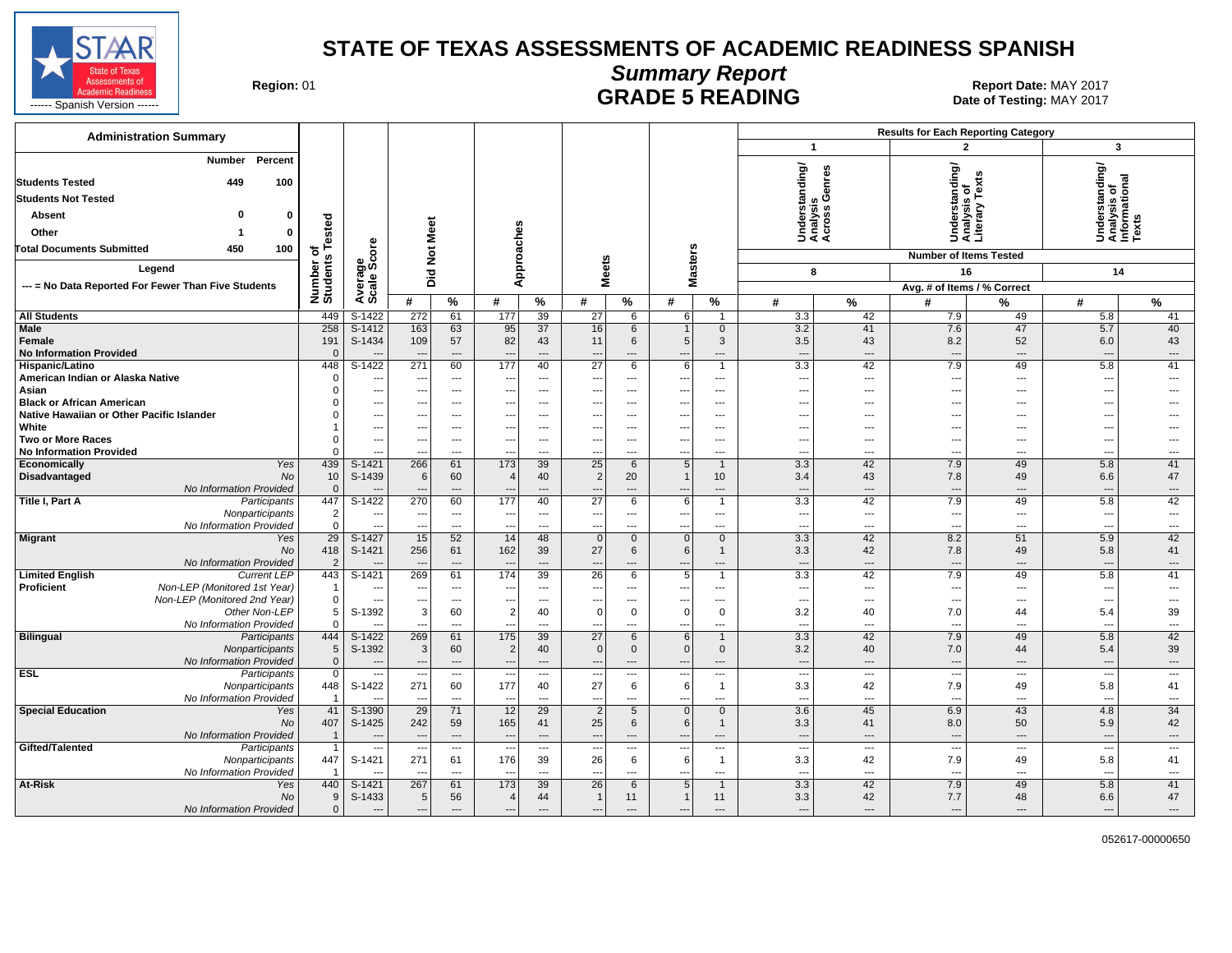

#### **Summary Report** Region: 01 **Region: 01 Report Date: MAY 2017**<br>**GRADE 5 READING** Date of Testing: MAY 2017

| <b>Administration Summary</b>                                                                                                          |                                |                            |                                                      |                                                      |                                      |                                   |                                                      |                |                                                      |                                                      |                                                      |                          | <b>Results for Each Reporting Category</b>                          |                      |                                                         |                                |
|----------------------------------------------------------------------------------------------------------------------------------------|--------------------------------|----------------------------|------------------------------------------------------|------------------------------------------------------|--------------------------------------|-----------------------------------|------------------------------------------------------|----------------|------------------------------------------------------|------------------------------------------------------|------------------------------------------------------|--------------------------|---------------------------------------------------------------------|----------------------|---------------------------------------------------------|--------------------------------|
|                                                                                                                                        |                                |                            |                                                      |                                                      |                                      |                                   |                                                      |                |                                                      |                                                      | $\overline{1}$                                       |                          | $\mathbf{c}$                                                        |                      | $\mathbf{3}$                                            |                                |
| Percent<br><b>Number</b><br>449<br>100<br><b>Students Tested</b><br><b>Students Not Tested</b><br>0<br>0<br>Absent<br>Other<br>0<br>-1 | Number of<br>Students Tested   |                            | Did Not Meet                                         |                                                      | Approaches                           |                                   |                                                      |                |                                                      |                                                      | Understanding/<br>Analysis<br>Across Genres<br>្វ ចំ |                          | tanding/<br>s of<br>း္တ<br>- 주 트<br>ទី ទី ទំ<br>5 <del>ខ</del> ី –ំ | ð<br>≿               | Understanding/<br>Analysis of<br>Informational<br>Texts |                                |
| 450<br>100<br><b>Total Documents Submitted</b>                                                                                         |                                |                            |                                                      |                                                      |                                      |                                   |                                                      |                | sters                                                |                                                      |                                                      |                          | <b>Number of Items Tested</b>                                       |                      |                                                         |                                |
| Legend                                                                                                                                 |                                | Average<br>Scale Score     |                                                      |                                                      |                                      |                                   | <b>Meets</b>                                         |                | š                                                    |                                                      | 8                                                    |                          | 16                                                                  |                      | 14                                                      |                                |
| --- = No Data Reported For Fewer Than Five Students                                                                                    |                                |                            |                                                      |                                                      |                                      |                                   |                                                      |                |                                                      |                                                      |                                                      |                          | Avg. # of Items / % Correct                                         |                      |                                                         |                                |
|                                                                                                                                        |                                |                            | #                                                    | %                                                    | #                                    | %                                 | #                                                    | $\%$           | #                                                    | $\bar{\%}$                                           | #                                                    | $\%$                     | #                                                                   | %                    | #                                                       | %                              |
| <b>All Students</b>                                                                                                                    | 449                            | S-1422                     | 272                                                  | 61                                                   | 177                                  | 39                                | 27                                                   | 6              | 6                                                    | $\overline{1}$                                       | 3.3                                                  | 42                       | 7.9                                                                 | 49                   | 5.8                                                     | 41                             |
| Male<br>Female<br><b>No Information Provided</b>                                                                                       | 258<br>191<br>$\Omega$         | S-1412<br>S-1434           | 163<br>109<br>$\overline{a}$                         | 63<br>57<br>$\cdots$                                 | 95<br>82<br>$\overline{\phantom{a}}$ | 37<br>43<br>$\overline{a}$        | 16<br>11<br>$\overline{a}$                           | 6<br>6<br>---  | 5<br>$\overline{\phantom{a}}$                        | $\mathbf 0$<br>3<br>$\overline{a}$                   | 3.2<br>3.5<br>$---$                                  | 41<br>43<br>$---$        | 7.6<br>8.2<br>$---$                                                 | 47<br>52<br>---      | 5.7<br>6.0<br>---                                       | 40<br>43<br>$---$              |
| Hispanic/Latino                                                                                                                        | 448                            | $S-1422$                   | 271                                                  | 60                                                   | 177                                  | 40                                | $\overline{27}$                                      | 6              | 6                                                    | $\overline{1}$                                       | 3.3                                                  | 42                       | 7.9                                                                 | 49                   | 5.8                                                     | 41                             |
| American Indian or Alaska Native                                                                                                       | $\Omega$                       | ---                        | $\overline{\phantom{a}}$                             | $\overline{\phantom{a}}$                             | ---                                  | $\overline{\phantom{a}}$          | $\overline{\phantom{a}}$                             | ---            | $\overline{\phantom{a}}$                             | ---                                                  | $\overline{\phantom{a}}$                             | ---                      | $\overline{\phantom{a}}$                                            | ---                  | ---                                                     | $\overline{\phantom{a}}$       |
| Asian                                                                                                                                  | $\Omega$<br>$\Omega$           | $- - -$                    | ---                                                  | $---$                                                | $\overline{\phantom{a}}$             | $\overline{a}$                    | $\overline{\phantom{a}}$                             | $---$          | $\overline{\phantom{a}}$                             | $---$                                                | $\sim$                                               | $---$                    | $---$                                                               | $\overline{a}$       | ---                                                     | $\overline{a}$                 |
| <b>Black or African American</b><br>Native Hawaiian or Other Pacific Islander                                                          | $\Omega$                       | $\overline{a}$<br>---      | $\overline{\phantom{a}}$<br>$\overline{\phantom{a}}$ | $\overline{a}$<br>$\overline{a}$                     | ---<br>---                           | $---$<br>$\overline{\phantom{a}}$ | $\overline{\phantom{a}}$<br>$\overline{\phantom{a}}$ | ---<br>---     | $\overline{\phantom{a}}$<br>$\overline{\phantom{a}}$ | $\overline{\phantom{a}}$<br>$\overline{\phantom{a}}$ | $\overline{a}$<br>$\overline{\phantom{a}}$           | $---$<br>---             | ---<br>---                                                          | ---<br>---           | ---<br>---                                              |                                |
| White                                                                                                                                  |                                | ---                        | ---                                                  | $\hspace{0.05cm} \ldots$                             | $\overline{\phantom{a}}$             | $---$                             | $\overline{\phantom{a}}$                             | ---            | $\overline{\phantom{a}}$                             | $---$                                                | ---                                                  | $---$                    | $---$                                                               | ---                  | ---                                                     |                                |
| <b>Two or More Races</b>                                                                                                               | $\Omega$                       | $\sim$                     | ---                                                  | $---$                                                | ---                                  | $\overline{a}$                    | $\overline{\phantom{a}}$                             | $\overline{a}$ | $\overline{\phantom{a}}$                             | $---$                                                | $- - -$                                              | $---$                    | $---$                                                               | $---$                | ---                                                     | $---$                          |
| <b>No Information Provided</b>                                                                                                         | $\Omega$                       | $\overline{a}$             | $\overline{\phantom{a}}$                             | $---$                                                | --                                   | $\sim$                            | $\overline{\phantom{a}}$                             | ---            | $\overline{\phantom{a}}$                             | ---                                                  | $\overline{a}$                                       | ---                      | ---                                                                 | ---                  | ---                                                     | ---                            |
| Yes<br>Economically                                                                                                                    | 439                            | $S-1421$                   | 266                                                  | 61                                                   | $\overline{173}$                     | 39                                | 25                                                   | 6              | 5                                                    | $\mathbf{1}$                                         | 3.3                                                  | 42                       | 7.9                                                                 | 49                   | 5.8                                                     | 41                             |
| Disadvantaged<br>No                                                                                                                    | 10                             | S-1439                     | 6                                                    | 60                                                   | $\prime$                             | 40                                | 2                                                    | 20             |                                                      | 10                                                   | 3.4                                                  | 43                       | 7.8                                                                 | 49                   | 6.6                                                     | 47                             |
| No Information Provided                                                                                                                | $\Omega$                       |                            |                                                      | $\overline{a}$                                       |                                      |                                   |                                                      | ---            |                                                      | $\overline{a}$                                       | $\overline{\phantom{a}}$                             | $\overline{a}$           | $\overline{a}$                                                      | ---                  | ---                                                     | $\hspace{1.5cm} \ldots$        |
| Title I, Part A<br>Participants<br>Nonparticipants                                                                                     | 447<br>$\overline{2}$          | $S-1422$<br>$\sim$         | 270<br>$\overline{\phantom{a}}$                      | 60<br>$\sim$                                         | 177<br>$\overline{\phantom{a}}$      | 40<br>$\sim$                      | $\overline{27}$<br>---                               | 6<br>$---$     | 6<br>$\overline{\phantom{a}}$                        | $\mathbf{1}$<br>$---$                                | 3.3<br>$\sim$                                        | 42<br>$---$              | 7.9<br>$\overline{a}$                                               | 49<br>---            | 5.8<br>---                                              | 42<br>$\overline{\phantom{a}}$ |
| No Information Provided                                                                                                                | $\mathbf 0$                    | $\overline{a}$             | $\overline{\phantom{a}}$                             | $---$                                                | $\overline{\phantom{a}}$             | $\sim$                            | $\overline{\phantom{a}}$                             | ---            | $\overline{\phantom{a}}$                             | $\overline{a}$                                       | $\overline{a}$                                       | ---                      | ---                                                                 | ---                  | ---                                                     | ---                            |
| <b>Migrant</b><br>Yes                                                                                                                  | 29                             | $S-1427$                   | 15                                                   | 52                                                   | 14                                   | 48                                | $\mathbf{0}$                                         | $\mathbf{0}$   | $\Omega$                                             | $\overline{0}$                                       | 3.3                                                  | 42                       | 8.2                                                                 | 51                   | 5.9                                                     | 42                             |
| No                                                                                                                                     | 418                            | S-1421                     | 256                                                  | 61                                                   | 162                                  | 39                                | 27                                                   | 6              | $6 \mid$                                             | $\mathbf{1}$                                         | 3.3                                                  | 42                       | 7.8                                                                 | 49                   | 5.8                                                     | 41                             |
| No Information Provided                                                                                                                | $\overline{2}$                 |                            |                                                      | $---$                                                | $\overline{\phantom{a}}$<br>174      | $\overline{\phantom{a}}$          | $\overline{\phantom{a}}$                             | ---            | $\overline{\phantom{a}}$                             | $---$                                                | $---$                                                | $---$                    | $---$                                                               | ---                  | ---                                                     | $---$                          |
| <b>Limited English</b><br><b>Current LEP</b><br>Non-LEP (Monitored 1st Year)<br>Proficient                                             | 443<br>$\overline{\mathbf{1}}$ | $S-1421$<br>$\overline{a}$ | 269<br>---                                           | 61<br>$---$                                          | --                                   | 39<br>$\overline{\phantom{a}}$    | 26<br>$\overline{\phantom{a}}$                       | 6<br>$---$     | 5<br>$\overline{\phantom{a}}$                        | $\mathbf{1}$<br>$---$                                | 3.3<br>$\sim$                                        | 42<br>$---$              | 7.9<br>$---$                                                        | 49<br>$\overline{a}$ | 5.8<br>$\sim$                                           | 41<br>$---$                    |
| Non-LEP (Monitored 2nd Year)                                                                                                           | $\mathsf 0$                    | $\sim$                     | ---                                                  | $---$                                                | $\overline{\phantom{a}}$             | $---$                             | $\overline{\phantom{a}}$                             | ---            | $\overline{\phantom{a}}$                             | $\cdots$                                             | $\overline{\phantom{a}}$                             | ---                      | $\overline{\phantom{a}}$                                            | ---                  | ---                                                     | $\overline{\phantom{a}}$       |
| Other Non-LEP                                                                                                                          | 5                              | S-1392                     | 3                                                    | 60                                                   | $\overline{2}$                       | 40                                | $\Omega$                                             | $\mathbf 0$    | $\Omega$                                             | $\Omega$                                             | 3.2                                                  | 40                       | 7.0                                                                 | 44                   | 5.4                                                     | 39                             |
| No Information Provided                                                                                                                | $\Omega$                       |                            | ---                                                  | $\sim$                                               | ---                                  | $\sim$                            | $\overline{\phantom{a}}$                             | ---            | $\overline{\phantom{a}}$                             | $\overline{\phantom{a}}$                             | $\overline{\phantom{a}}$                             | ---                      | ---                                                                 | ---                  | ---                                                     | $\overline{\phantom{a}}$       |
| <b>Bilingual</b><br>Participants                                                                                                       | 444                            | S-1422                     | 269                                                  | 61                                                   | 175                                  | 39                                | 27                                                   | 6              | 6                                                    | $\mathbf{1}$                                         | 3.3                                                  | 42                       | 7.9                                                                 | 49                   | 5.8                                                     | 42                             |
| Nonparticipants                                                                                                                        | 5                              | S-1392                     | 3                                                    | 60                                                   | $\overline{2}$                       | 40                                | $\Omega$                                             | $\mathbf 0$    | $\mathbf{0}$                                         | $\mathbf{0}$                                         | 3.2                                                  | 40                       | 7.0                                                                 | 44                   | 5.4                                                     | 39                             |
| No Information Provided                                                                                                                | $\mathbf{0}$                   | $\overline{\phantom{a}}$   | ---                                                  | $\hspace{0.05cm} \ldots$<br>$\overline{\phantom{a}}$ | $\overline{\phantom{a}}$             | $\overline{\phantom{a}}$          | $\overline{\phantom{a}}$                             | ---<br>---     | $\overline{\phantom{a}}$                             | $\cdots$<br>$\cdots$                                 | $\overline{\phantom{a}}$<br>$\overline{\phantom{a}}$ | ---                      | $\overline{\phantom{a}}$<br>$\overline{\phantom{a}}$                | ---<br>---           | $\overline{\phantom{a}}$<br>---                         | $---$<br>$---$                 |
| <b>ESL</b><br>Participants<br>Nonparticipants                                                                                          | 0<br>448                       | $\sim$<br>S-1422           | ---<br>271                                           | 60                                                   | $\overline{\phantom{a}}$<br>177      | $\overline{\phantom{a}}$<br>40    | $\overline{\phantom{a}}$<br>27                       | 6              | $\overline{\phantom{a}}$<br>6                        | $\mathbf{1}$                                         | 3.3                                                  | $\sim$<br>42             | 7.9                                                                 | 49                   | 5.8                                                     | 41                             |
| No Information Provided                                                                                                                |                                |                            | $\overline{\phantom{a}}$                             | $\overline{\phantom{a}}$                             | $\overline{\phantom{a}}$             | $\overline{\phantom{a}}$          | $\overline{\phantom{a}}$                             | ---            | $\overline{\phantom{a}}$                             | $\overline{\phantom{a}}$                             | $\overline{\phantom{a}}$                             | ---                      | ---                                                                 | ---                  | ---                                                     | $\hspace{0.05cm} \ldots$       |
| <b>Special Education</b><br>Yes                                                                                                        | 41                             | S-1390                     | 29                                                   | 71                                                   | 12                                   | 29                                | 2                                                    | 5              | $\Omega$                                             | $\mathbf{0}$                                         | 3.6                                                  | 45                       | 6.9                                                                 | 43                   | 4.8                                                     | 34                             |
| <b>No</b>                                                                                                                              | 407                            | S-1425                     | 242                                                  | 59                                                   | 165                                  | 41                                | 25                                                   | 6              | 6                                                    | $\mathbf{1}$                                         | 3.3                                                  | 41                       | 8.0                                                                 | 50                   | 5.9                                                     | 42                             |
| No Information Provided                                                                                                                | $\overline{1}$                 | $\overline{\phantom{a}}$   | $\overline{\phantom{a}}$                             | $\hspace{0.05cm} \ldots$                             | $\overline{\phantom{a}}$             | $\overline{\phantom{a}}$          | $\overline{\phantom{a}}$                             | ---            | $\overline{\phantom{a}}$                             | $\cdots$                                             | $\overline{\phantom{a}}$                             | ---                      | $\overline{\phantom{a}}$                                            | ---                  | $\overline{\phantom{a}}$                                | $\qquad \qquad \cdots$         |
| Gifted/Talented<br>Participants                                                                                                        | $\overline{1}$                 | $\overline{\phantom{a}}$   | $\overline{\phantom{a}}$                             | $---$                                                | $\overline{\phantom{a}}$             | ---                               | $\overline{\phantom{a}}$                             | ---            | $\overline{\phantom{a}}$                             | $\cdots$                                             | $\overline{\phantom{a}}$                             | $\overline{\phantom{a}}$ | $\overline{\phantom{a}}$                                            | ---                  | ---                                                     | $---$                          |
| Nonparticipants                                                                                                                        | 447                            | S-1421                     | 271                                                  | 61                                                   | 176                                  | 39                                | 26                                                   | 6              | 6                                                    | $\mathbf{1}$                                         | 3.3                                                  | 42                       | 7.9                                                                 | 49                   | 5.8                                                     | 41                             |
| No Information Provided                                                                                                                | $\overline{1}$                 |                            | $\sim$                                               | $---$                                                | $\overline{\phantom{a}}$             | $\overline{\phantom{a}}$          | $\overline{\phantom{a}}$                             | ---            | $\overline{\phantom{a}}$                             | $\cdots$                                             | $\overline{\phantom{a}}$                             | ---                      | $\overline{\phantom{a}}$                                            | ---                  | $\overline{\phantom{a}}$                                | $\qquad \qquad \cdots$         |
| At-Risk<br>Yes<br>No                                                                                                                   | 440<br>9                       | S-1421<br>S-1433           | 267                                                  | 61                                                   | 173<br>$\overline{4}$                | 39<br>44                          | $\overline{26}$<br>$\overline{1}$                    | 6<br>11        | 5 <sub>1</sub><br>-1                                 | $\mathbf{1}$<br>11                                   | 3.3                                                  | 42                       | 7.9                                                                 | 49<br>48             | 5.8                                                     | 41<br>47                       |
| No Information Provided                                                                                                                | $\Omega$                       |                            | 5<br>$\overline{\phantom{a}}$                        | 56<br>$\overline{\phantom{a}}$                       | $\overline{\phantom{a}}$             | $\overline{\phantom{a}}$          | $\overline{\phantom{a}}$                             | ---            | $\overline{\phantom{a}}$                             | ---                                                  | 3.3<br>$\overline{\phantom{a}}$                      | 42<br>---                | 7.7<br>$\overline{\phantom{a}}$                                     | ---                  | 6.6<br>---                                              | ---                            |
|                                                                                                                                        |                                |                            |                                                      |                                                      |                                      |                                   |                                                      |                |                                                      |                                                      |                                                      |                          |                                                                     |                      |                                                         |                                |

052617-00000650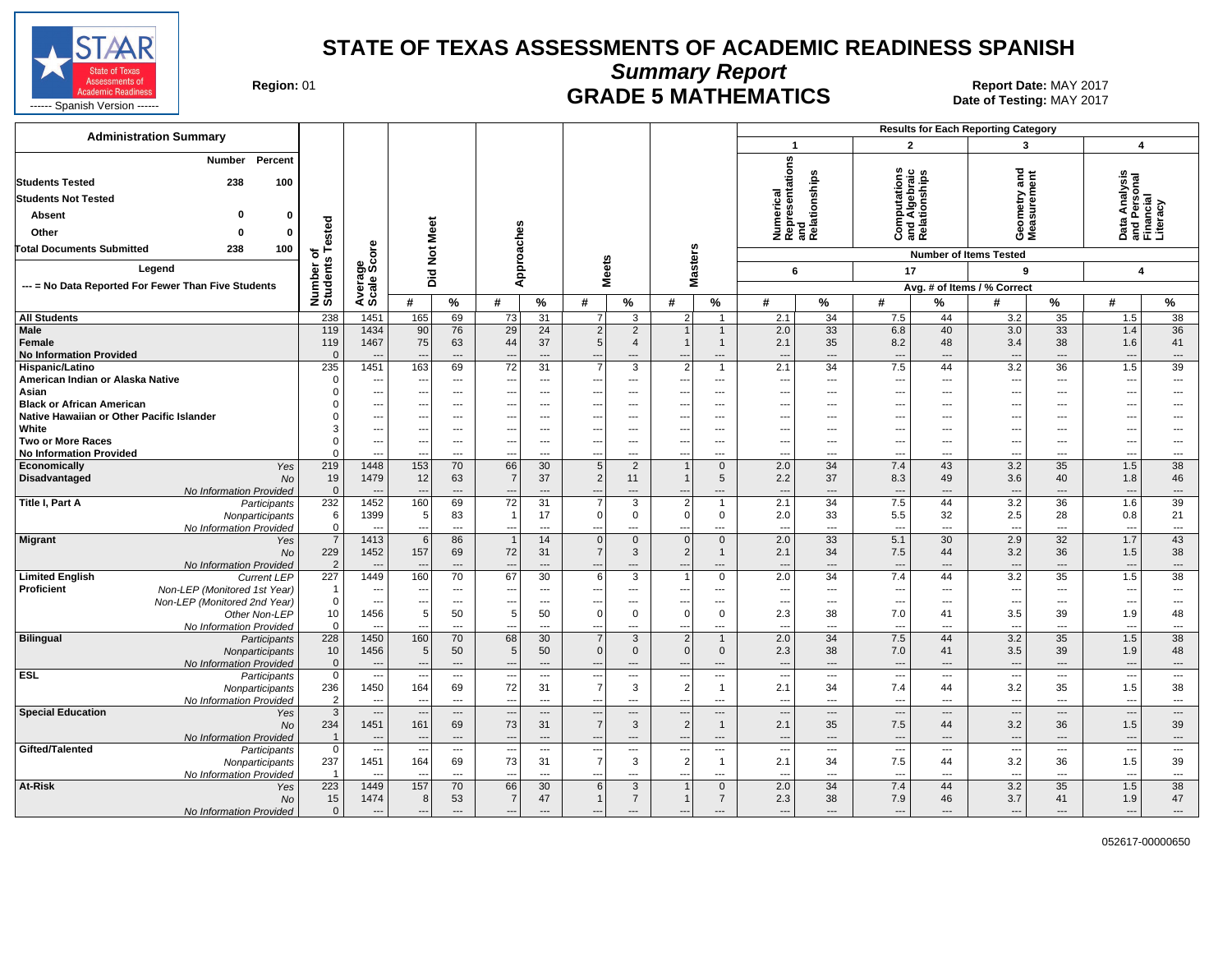

**Summary Report**

Region: 01 **Region: 01 CRADE 5 MATHEMATICS Report Date: MAY 2017 Report Date: MAY 2017** 

| <b>Administration Summary</b>                                                                                        |                                         |                                            |                                                      |                                      |                                                  |                                 |                                                              |                                         |                                                 |                                       |                                                      | <b>Results for Each Reporting Category</b> |                          |                              |                                                      |                            |                                                      |                                                      |
|----------------------------------------------------------------------------------------------------------------------|-----------------------------------------|--------------------------------------------|------------------------------------------------------|--------------------------------------|--------------------------------------------------|---------------------------------|--------------------------------------------------------------|-----------------------------------------|-------------------------------------------------|---------------------------------------|------------------------------------------------------|--------------------------------------------|--------------------------|------------------------------|------------------------------------------------------|----------------------------|------------------------------------------------------|------------------------------------------------------|
|                                                                                                                      |                                         |                                            |                                                      |                                      |                                                  |                                 |                                                              |                                         |                                                 |                                       | $\overline{1}$                                       |                                            | $\overline{2}$           |                              | 3                                                    |                            | $\overline{\mathbf{4}}$                              |                                                      |
| <b>Number</b><br>Percent<br><b>Students Tested</b><br>238<br>100<br><b>Students Not Tested</b><br><b>Absent</b><br>ŋ | ested                                   |                                            |                                                      |                                      |                                                  |                                 |                                                              |                                         |                                                 |                                       | Numerical<br>Representations<br>and                  | Relationships                              | <u>ة</u><br>Algebrai     | tionship                     | ठ<br>۴<br>Geometry<br>Measurem                       | 5                          | a Analysis<br>Personal<br>Incial<br>意 드 트            | racy                                                 |
| Other<br>O<br>0                                                                                                      |                                         |                                            | Meet                                                 |                                      |                                                  |                                 |                                                              |                                         |                                                 |                                       |                                                      |                                            | ᅙ<br>ပ                   | and<br>Relat                 |                                                      |                            | ப் கட்                                               |                                                      |
| <b>Total Documents Submitted</b><br>238<br>100                                                                       | ৳<br>w                                  | ge<br>Score                                | $\frac{\texttt{d}}{\texttt{d}}$                      |                                      | Approaches                                       |                                 |                                                              |                                         |                                                 |                                       |                                                      |                                            |                          |                              | <b>Number of Items Tested</b>                        |                            |                                                      |                                                      |
| Legend                                                                                                               | Number<br>Student                       |                                            | Did                                                  |                                      |                                                  |                                 | eets                                                         |                                         | lasters                                         |                                       | 6                                                    |                                            | 17                       |                              | 9                                                    |                            | $\overline{\mathbf{4}}$                              |                                                      |
| --- = No Data Reported For Fewer Than Five Students                                                                  |                                         | Average                                    |                                                      |                                      |                                                  |                                 | ż                                                            |                                         | Σ                                               |                                       |                                                      |                                            |                          |                              | Avg. # of Items / % Correct                          |                            |                                                      |                                                      |
|                                                                                                                      |                                         |                                            | #                                                    | $\%$                                 | #                                                | %                               | #                                                            | $\%$                                    | #                                               | $\%$                                  | #                                                    | %                                          | #                        | %                            | #                                                    | %                          | #                                                    | %                                                    |
| <b>All Students</b>                                                                                                  | 238                                     | 1451                                       | 165                                                  | 69                                   | 73                                               | 31                              | 7                                                            | 3                                       | $\overline{2}$                                  | $\overline{1}$                        | 2.1                                                  | 34                                         | 7.5                      | 44                           | 3.2                                                  | 35                         | 1.5                                                  | 38                                                   |
| Male<br>Female<br><b>No Information Provided</b>                                                                     | 119<br>119<br>$\Omega$                  | 1434<br>1467                               | 90<br>75                                             | 76<br>63<br>$---$                    | 29<br>44                                         | 24<br>37<br>$---$               | $\overline{2}$<br>5                                          | $\overline{2}$<br>$\overline{4}$<br>--- | $\mathbf{1}$<br>$\mathbf 1$                     | $\overline{1}$<br>$\mathbf{1}$<br>--- | 2.0<br>2.1<br>$\overline{\phantom{a}}$               | 33<br>35<br>---                            | 6.8<br>8.2<br>---        | 40<br>48<br>---              | 3.0<br>3.4<br>$\overline{\phantom{a}}$               | 33<br>38<br>$\overline{a}$ | 1.4<br>1.6<br>$\overline{\phantom{a}}$               | 36<br>41<br>$\cdots$                                 |
| Hispanic/Latino                                                                                                      | 235                                     | 1451                                       | 163                                                  | 69                                   | 72                                               | 31                              | $\overline{7}$                                               | 3                                       | $\overline{2}$                                  | $\mathbf{1}$                          | 2.1                                                  | 34                                         | 7.5                      | 44                           | 3.2                                                  | 36                         | 1.5                                                  | 39                                                   |
| American Indian or Alaska Native                                                                                     | $\Omega$                                | $---$                                      | --                                                   | $---$                                | ---                                              | $---$                           | $\sim$                                                       | $\overline{a}$                          | $\sim$                                          | $---$                                 | $\overline{\phantom{a}}$                             | $\overline{a}$                             | $---$                    | $---$                        | $---$                                                | $---$                      | $\overline{\phantom{a}}$                             | $\overline{\phantom{a}}$                             |
| Asian<br><b>Black or African American</b>                                                                            |                                         | $\overline{\phantom{a}}$<br>$\overline{a}$ |                                                      | $---$<br>$\overline{a}$              |                                                  | $---$<br>---                    | $\overline{\phantom{a}}$<br>$\overline{\phantom{a}}$         | ---<br>---                              |                                                 | ---<br>---                            | ---<br>---                                           | ---<br>---                                 | ---<br>---               | ---<br>---                   | $\overline{\phantom{a}}$<br>$\overline{\phantom{a}}$ | ---<br>---                 | ⊷<br>---                                             | ---<br>---                                           |
| Native Hawaiian or Other Pacific Islander                                                                            |                                         | ---                                        |                                                      | $\cdots$                             |                                                  | $\overline{\phantom{a}}$        | $\overline{\phantom{a}}$                                     | ---                                     |                                                 | ---                                   | ---                                                  | ---                                        | $\overline{\phantom{a}}$ | ---                          | $\overline{\phantom{a}}$                             | ---                        | ---                                                  | ---                                                  |
| White                                                                                                                |                                         | $\overline{\phantom{a}}$                   |                                                      | $\cdots$                             |                                                  | ---                             |                                                              | ---                                     |                                                 | ---                                   | ---                                                  | ---                                        | ---                      |                              | $\overline{\phantom{a}}$                             | ---                        | ⊷                                                    | ---                                                  |
| <b>Two or More Races</b>                                                                                             |                                         | $\cdots$                                   | --                                                   | $\cdots$                             | ---                                              | $\overline{\phantom{a}}$        | $\sim$                                                       | ---                                     | $\overline{\phantom{a}}$                        | $\overline{\phantom{a}}$              | ---                                                  | ---                                        | $---$                    | ---                          | $\sim$                                               | ---                        | ---                                                  | $\hspace{0.05cm} \ldots$                             |
| <b>No Information Provided</b>                                                                                       |                                         | $\overline{a}$                             | $\overline{\phantom{a}}$                             | $---$                                | ---                                              | $---$                           | $\sim$                                                       | $\overline{a}$                          | ---                                             | $---$                                 | ---                                                  | $\overline{a}$                             | $---$                    | $---$                        | $---$                                                | ---                        | $\overline{\phantom{a}}$                             | $\sim$                                               |
| Economically<br>Yes                                                                                                  | 219                                     | 1448                                       | 153                                                  | 70                                   | 66                                               | 30                              | 5                                                            | $\overline{2}$                          | $\overline{1}$                                  | $\mathbf{0}$                          | 2.0                                                  | 34                                         | 7.4                      | 43                           | 3.2                                                  | 35                         | 1.5                                                  | 38                                                   |
| Disadvantaged<br><b>No</b>                                                                                           | 19                                      | 1479                                       | 12                                                   | 63                                   | $\overline{7}$                                   | 37                              | $\overline{2}$                                               | 11                                      | $\mathbf{1}$                                    | $\sqrt{5}$                            | 2.2                                                  | 37                                         | 8.3                      | 49                           | 3.6                                                  | 40                         | 1.8                                                  | 46                                                   |
| No Information Provided<br>Title I, Part A<br>Participants                                                           | $\mathbf{0}$<br>232                     | $---$<br>1452                              | --<br>160                                            | $\cdots$<br>69                       | $--$<br>$\overline{72}$                          | $\overline{\phantom{a}}$<br>31  | $\overline{7}$                                               | ---<br>3                                | $\overline{\phantom{a}}$<br>$\overline{2}$      | ---<br>$\overline{1}$                 | $\overline{\phantom{a}}$<br>2.1                      | $\overline{\phantom{a}}$<br>34             | $---$<br>7.5             | $\hspace{1.5cm} \dots$<br>44 | $\overline{\phantom{a}}$<br>3.2                      | ---<br>$\overline{36}$     | $\overline{\phantom{a}}$<br>1.6                      | $\cdots$<br>39                                       |
| Nonparticipants                                                                                                      | 6                                       | 1399                                       | -5                                                   | 83                                   | $\overline{1}$                                   | 17                              | $\Omega$                                                     | $\mathsf 0$                             | $\overline{0}$                                  | $\mathbf 0$                           | 2.0                                                  | 33                                         | 5.5                      | 32                           | 2.5                                                  | 28                         | 0.8                                                  | 21                                                   |
| No Information Provided                                                                                              | $\mathbf 0$                             |                                            |                                                      | $\overline{a}$                       | $\overline{\phantom{a}}$                         | ---                             |                                                              | ---                                     |                                                 | ---                                   | $\overline{\phantom{a}}$                             | ---                                        | $\overline{a}$           | ---                          | $\overline{\phantom{a}}$                             | ---                        | $\overline{\phantom{a}}$                             | $\cdots$                                             |
| <b>Migrant</b><br>Yes<br><b>No</b><br>No Information Provided                                                        | $\overline{7}$<br>229<br>$\overline{2}$ | 1413<br>1452<br>$\overline{a}$             | 6<br>157<br>--                                       | 86<br>69<br>$---$                    | $\overline{1}$<br>72<br>$\overline{\phantom{a}}$ | 14<br>31<br>$---$               | $\overline{0}$<br>$\overline{7}$<br>$\overline{\phantom{a}}$ | $\mathbf 0$<br>$\mathbf{3}$<br>---      | $\overline{0}$<br>2<br>$\overline{\phantom{a}}$ | $\mathbf{0}$<br>$\mathbf{1}$<br>$---$ | 2.0<br>2.1<br>$\overline{\phantom{a}}$               | 33<br>34<br>$\overline{\phantom{a}}$       | 5.1<br>7.5<br>$---$      | 30<br>44<br>$---$            | 2.9<br>3.2<br>$---$                                  | 32<br>36<br>$---$          | 1.7<br>1.5<br>$---$                                  | 43<br>38<br>$\cdots$                                 |
| <b>Limited English</b><br><b>Current LEP</b>                                                                         | 227                                     | 1449                                       | 160                                                  | 70                                   | 67                                               | 30                              | 6                                                            | 3                                       | $\overline{1}$                                  | $\overline{0}$                        | 2.0                                                  | 34                                         | 7.4                      | 44                           | 3.2                                                  | 35                         | 1.5                                                  | 38                                                   |
| <b>Proficient</b><br>Non-LEP (Monitored 1st Year)<br>Non-LEP (Monitored 2nd Year)                                    | $\overline{1}$<br>$\mathbf 0$           | $\overline{a}$<br>---                      | $\overline{\phantom{a}}$<br>$\overline{\phantom{a}}$ | $\overline{\phantom{a}}$<br>$\cdots$ | $\overline{\phantom{a}}$<br>---                  | ---<br>$\overline{\phantom{a}}$ | $\overline{\phantom{a}}$<br>$\overline{\phantom{a}}$         | ---<br>---                              | ---<br>$\overline{\phantom{a}}$                 | ---<br>---                            | $\overline{\phantom{a}}$<br>$\overline{\phantom{a}}$ | ---<br>---                                 | ---<br>$---$             | ---<br>$---$                 | $\overline{\phantom{a}}$<br>$\overline{\phantom{a}}$ | ---<br>---                 | $\overline{\phantom{a}}$<br>$\overline{\phantom{a}}$ | $\hspace{0.05cm} \ldots$<br>$\hspace{0.05cm} \ldots$ |
| Other Non-LEP                                                                                                        | 10                                      | 1456                                       | 5                                                    | 50                                   | 5 <sup>5</sup>                                   | 50                              | $\Omega$                                                     | $\mathbf 0$                             | $\mathbf 0$                                     | $\mathbf 0$                           | 2.3                                                  | 38                                         | 7.0                      | 41                           | 3.5                                                  | 39                         | 1.9                                                  | 48                                                   |
| No Information Provided                                                                                              | $\Omega$                                | $\overline{\phantom{a}}$                   |                                                      | $\overline{\phantom{a}}$             | ---                                              | $\overline{\phantom{a}}$        | $\overline{\phantom{a}}$                                     | ---                                     | $\overline{a}$                                  | $\overline{\phantom{a}}$              | ---                                                  | ---                                        | $\overline{\phantom{a}}$ | $\overline{a}$               | $\overline{\phantom{a}}$                             | ---                        | $\overline{\phantom{a}}$                             | $\cdots$                                             |
| <b>Bilingual</b><br>Participants                                                                                     | 228                                     | 1450                                       | 160                                                  | $\overline{70}$                      | 68                                               | 30                              | $\overline{7}$                                               | $\overline{3}$                          | $\overline{2}$                                  | $\overline{1}$                        | 2.0                                                  | $\overline{34}$                            | 7.5                      | 44                           | 3.2                                                  | 35                         | 1.5                                                  | 38                                                   |
| Nonparticipants                                                                                                      | 10                                      | 1456                                       | 5                                                    | 50                                   | 5                                                | 50                              | $\overline{0}$                                               | $\mathbf{0}$                            | $\overline{0}$                                  | $\mathbf 0$                           | 2.3                                                  | 38                                         | 7.0                      | 41                           | 3.5                                                  | 39                         | 1.9                                                  | 48                                                   |
| No Information Provided                                                                                              | $\overline{0}$                          | $\overline{\phantom{a}}$                   |                                                      | $\cdots$                             | ---                                              | $\overline{\phantom{a}}$        |                                                              | ---                                     |                                                 | ---                                   | $\overline{\phantom{a}}$                             | $\overline{\phantom{a}}$                   | $\overline{\phantom{a}}$ | $\overline{\phantom{a}}$     | $\overline{\phantom{a}}$                             | ---                        | $\overline{\phantom{a}}$                             | $\cdots$                                             |
| <b>ESL</b><br>Participants                                                                                           | $\mathbf 0$                             | $\overline{\phantom{a}}$                   | $\sim$                                               | ---                                  | $\overline{\phantom{a}}$                         | ---                             | $\overline{\phantom{a}}$<br>$\overline{7}$                   | $\overline{\phantom{a}}$                | $\overline{\phantom{a}}$                        | ---                                   | $\overline{\phantom{a}}$                             | ---                                        | $\overline{\phantom{a}}$ | ---                          | $\overline{\phantom{a}}$                             | ---                        | $\overline{\phantom{a}}$                             | $\overline{\phantom{a}}$                             |
| Nonparticipants<br>No Information Provided                                                                           | 236<br>$\overline{2}$                   | 1450<br>---                                | 164<br>$\overline{\phantom{a}}$                      | 69<br>$---$                          | 72<br>$\overline{\phantom{a}}$                   | 31<br>---                       | $\sim$                                                       | 3<br>---                                | 2<br>$\overline{\phantom{a}}$                   | $\mathbf{1}$<br>---                   | 2.1<br>---                                           | 34<br>---                                  | 7.4<br>---               | 44<br>---                    | 3.2<br>$\overline{\phantom{a}}$                      | 35<br>---                  | 1.5<br>$\overline{\phantom{a}}$                      | 38<br>$\hspace{0.05cm} \ldots$                       |
| <b>Special Education</b><br>Yes                                                                                      | $\overline{3}$                          | $\cdots$                                   | ч.                                                   | $---$                                | $\overline{\phantom{a}}$                         | $\qquad \qquad \cdots$          | $\overline{\phantom{a}}$                                     | ---                                     | $\overline{\phantom{a}}$                        | $\cdots$                              | $\overline{\phantom{a}}$                             | ---                                        | $\hspace{0.05cm} \ldots$ | $\qquad \qquad \cdots$       | $\overline{\phantom{a}}$                             | ---                        | $\overline{\phantom{a}}$                             | $\cdots$                                             |
| <b>No</b>                                                                                                            | 234                                     | 1451                                       | 161                                                  | 69                                   | 73                                               | 31                              | $\overline{7}$                                               | $\mathbf{3}$                            | 2                                               | $\mathbf{1}$                          | 2.1                                                  | 35                                         | 7.5                      | 44                           | 3.2                                                  | 36                         | 1.5                                                  | 39                                                   |
| No Information Provided                                                                                              | $\overline{1}$                          |                                            |                                                      | $\cdots$                             | $\overline{\phantom{a}}$                         | $\overline{\phantom{a}}$        |                                                              | ---                                     |                                                 | $\overline{\phantom{a}}$              | $\overline{\phantom{a}}$                             | $\overline{\phantom{a}}$                   | $\overline{\phantom{a}}$ | ---                          | $\overline{\phantom{a}}$                             | ---                        | $\overline{\phantom{a}}$                             | $\cdots$                                             |
| Gifted/Talented<br>Participants                                                                                      | $\mathbf 0$                             | $\hspace{0.05cm} \ldots$                   | $\sim$                                               | ---                                  | $\sim$                                           | ---                             | $\sim$                                                       | $\overline{\phantom{a}}$                | $\overline{\phantom{a}}$                        | $\sim$ $\sim$                         | $\overline{\phantom{a}}$                             | ---                                        | $\sim$                   | $---$                        | $\overline{\phantom{a}}$                             | ---                        | $\overline{\phantom{a}}$                             | $\overline{\phantom{a}}$                             |
| Nonparticipants                                                                                                      | 237                                     | 1451                                       | 164                                                  | 69                                   | 73                                               | 31                              | $\overline{7}$                                               | 3                                       | 2                                               | $\mathbf{1}$                          | 2.1                                                  | 34                                         | 7.5                      | 44                           | 3.2                                                  | 36                         | 1.5                                                  | 39                                                   |
| No Information Provided                                                                                              | $\overline{\mathbf{1}}$                 |                                            |                                                      | $\overline{\phantom{a}}$             | ---                                              | ---                             | $\overline{\phantom{a}}$                                     | ---                                     |                                                 | ---                                   | ---                                                  | ---                                        | ---                      | ---                          | $\overline{\phantom{a}}$                             | ---                        | $\overline{\phantom{a}}$                             | $\cdots$                                             |
| At-Risk<br>Yes                                                                                                       | 223                                     | 1449<br>1474                               | 157<br>8                                             | 70<br>53                             | 66<br>$\overline{7}$                             | 30<br>47                        | 6                                                            | $\mathbf{3}$<br>$\overline{7}$          | $\mathbf{1}$                                    | $\mathbf 0$<br>$\overline{7}$         | 2.0                                                  | 34<br>38                                   | 7.4                      | 44                           | 3.2<br>3.7                                           | 35                         | 1.5                                                  | 38                                                   |
| No<br>No Information Provided                                                                                        | 15<br>$\mathbf{0}$                      | $\overline{\phantom{a}}$                   | $\overline{\phantom{a}}$                             | $\cdots$                             | $\overline{\phantom{a}}$                         | $\overline{\phantom{a}}$        | $\overline{\phantom{a}}$                                     | ---                                     |                                                 | ---                                   | 2.3<br>---                                           | ---                                        | 7.9<br>---               | 46<br>---                    | $\overline{\phantom{a}}$                             | 41<br>---                  | 1.9<br>$\overline{\phantom{a}}$                      | 47<br>---                                            |
|                                                                                                                      |                                         |                                            |                                                      |                                      |                                                  |                                 |                                                              |                                         |                                                 |                                       |                                                      |                                            |                          |                              |                                                      |                            |                                                      |                                                      |

052617-00000650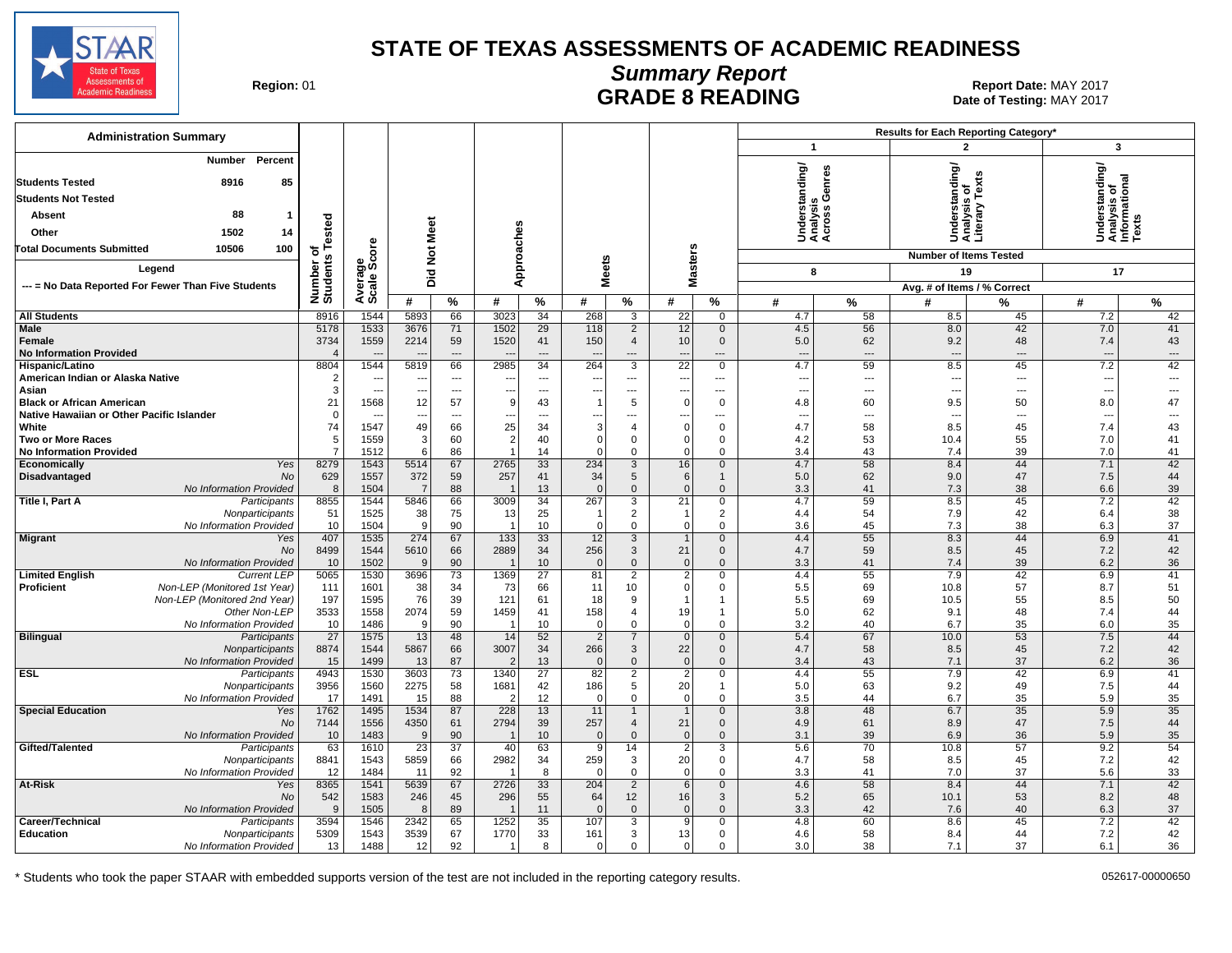

# **Summary Report**

Region: 01 **Region: 01 CONTRITY OF STATE 8 READING Report Date: MAY 2017**<br>Date of Testing: MAY 2017 Date of Testing: MAY 2017

| <b>Administration Summary</b>                               |                              |                          |                          |                       |                          |                 |                          |                               |                                             |                              |                                             |                                | Results for Each Reporting Category* |                                                 |                                                         |           |
|-------------------------------------------------------------|------------------------------|--------------------------|--------------------------|-----------------------|--------------------------|-----------------|--------------------------|-------------------------------|---------------------------------------------|------------------------------|---------------------------------------------|--------------------------------|--------------------------------------|-------------------------------------------------|---------------------------------------------------------|-----------|
|                                                             |                              |                          |                          |                       |                          |                 |                          |                               |                                             |                              | $\overline{1}$                              |                                | $\overline{2}$                       |                                                 | 3                                                       |           |
| Percent<br>Number<br>85<br><b>Students Tested</b><br>8916   |                              |                          |                          |                       |                          |                 |                          |                               |                                             |                              | Understanding/<br>Analysis<br>Across Genres |                                |                                      | Understanding/<br>Analysis of<br>Literary Texts | Understanding/<br>Analysis of<br>Informational<br>Texts |           |
| <b>Students Not Tested</b>                                  |                              |                          |                          |                       |                          |                 |                          |                               |                                             |                              |                                             |                                |                                      |                                                 |                                                         |           |
|                                                             |                              |                          |                          |                       |                          |                 |                          |                               |                                             |                              |                                             |                                |                                      |                                                 |                                                         |           |
| 88<br>Absent<br>-1                                          |                              |                          |                          |                       |                          |                 |                          |                               |                                             |                              |                                             |                                |                                      |                                                 |                                                         |           |
| Other<br>1502<br>14                                         |                              |                          |                          |                       |                          |                 |                          |                               |                                             |                              |                                             |                                |                                      |                                                 |                                                         |           |
| <b>Total Documents Submitted</b><br>10506<br>100            | Number of<br>Students Tested | <b>ore</b>               | Did Not Meet             |                       |                          | Approaches      |                          |                               | <b>Masters</b>                              |                              |                                             |                                | <b>Number of Items Tested</b>        |                                                 |                                                         |           |
| Legend                                                      |                              | န္တပ္တိ                  |                          |                       |                          |                 | <b>Meets</b>             |                               |                                             |                              | 8                                           |                                |                                      | 19                                              | 17                                                      |           |
| --- = No Data Reported For Fewer Than Five Students         |                              |                          |                          |                       |                          |                 |                          |                               |                                             |                              |                                             |                                | Avg. # of Items / % Correct          |                                                 |                                                         |           |
|                                                             |                              | Average                  | #                        | $\%$                  | #                        | $\%$            | #                        | $\%$                          | #                                           | $\%$                         | #                                           | %                              | #                                    | %                                               | #                                                       | $\%$      |
| <b>All Students</b>                                         | 8916                         | 1544                     | 5893                     | 66                    | 3023                     | 34              | 268                      | 3                             | 22                                          | 0                            | 4.7                                         | 58                             | 8.5                                  | 45                                              | 7.2                                                     | 42        |
| <b>Male</b>                                                 | 5178                         | 1533                     | 3676                     | 71                    | 1502                     | 29              | 118                      | $\overline{2}$                | 12                                          | $\mathbf 0$                  | 4.5                                         | 56                             | 8.0                                  | 42                                              | 7.0                                                     | 41        |
| Female                                                      | 3734                         | 1559                     | 2214                     | 59                    | 1520                     | 41              | 150                      | $\overline{4}$                | 10                                          | $\mathbf 0$                  | 5.0                                         | 62                             | 9.2                                  | 48                                              | 7.4                                                     | 43        |
| <b>No Information Provided</b>                              | $\overline{4}$               | 1544                     |                          | $---$                 | $\overline{\phantom{a}}$ | ---             | $\overline{\phantom{a}}$ | ---                           | $\overline{\phantom{a}}$                    | ---                          | $\overline{\phantom{a}}$                    | $\overline{\phantom{a}}$       | $\overline{\phantom{a}}$             | $\overline{\phantom{a}}$                        | $\overline{\phantom{a}}$                                | ---       |
| Hispanic/Latino<br>American Indian or Alaska Native         | 8804<br>$\overline{2}$       | ---                      | 5819                     | 66<br>---             | 2985<br>---              | 34<br>---       | 264<br>---               | 3<br>$\overline{a}$           | $\overline{22}$<br>$\overline{\phantom{a}}$ | 0<br>---                     | 4.7<br>---                                  | 59<br>$\overline{\phantom{a}}$ | 8.5<br>$\overline{a}$                | 45<br>$\sim$                                    | 7.2<br>---                                              | 42<br>--- |
| Asian                                                       | 3                            | $\overline{\phantom{a}}$ | ---                      | ---                   | ---                      | ---             | ---                      | $\overline{a}$                | $\overline{\phantom{a}}$                    | $\overline{a}$               | ---                                         | $---$                          | ---                                  | $\sim$                                          | $\overline{\phantom{a}}$                                | ---       |
| <b>Black or African American</b>                            | 21                           | 1568                     | 12                       | 57                    | 9                        | 43              | $\overline{1}$           | 5                             | $\Omega$                                    | $\mathbf 0$                  | 4.8                                         | 60                             | 9.5                                  | 50                                              | 8.0                                                     | 47        |
| Native Hawaiian or Other Pacific Islander                   | $\mathbf 0$                  |                          | $\overline{\phantom{a}}$ | ---                   | ---                      | ---             | ---                      | ---                           | $\overline{\phantom{a}}$                    | ---                          | $\overline{\phantom{a}}$                    | ---                            | ---                                  | $\overline{\phantom{a}}$                        | $\overline{\phantom{a}}$                                | ---       |
| White<br><b>Two or More Races</b>                           | 74<br>5                      | 1547<br>1559             | 49<br>3                  | 66<br>60              | 25<br>$\overline{2}$     | 34<br>40        | 3<br>$\Omega$            | 4<br>$\mathbf 0$              | $\Omega$<br>$\Omega$                        | $\Omega$<br>0                | 4.7<br>4.2                                  | 58<br>53                       | 8.5<br>10.4                          | 45<br>55                                        | 7.4<br>7.0                                              | 43<br>41  |
| <b>No Information Provided</b>                              | $\overline{7}$               | 1512                     | 6                        | 86                    |                          | 14              | $\Omega$                 | 0                             | $\Omega$                                    | $\mathbf 0$                  | 3.4                                         | 43                             | 7.4                                  | 39                                              | 7.0                                                     | 41        |
| Economically<br>Yes                                         | 8279                         | 1543                     | 5514                     | 67                    | 2765                     | 33              | 234                      | $\overline{3}$                | 16                                          | $\mathbf 0$                  | 4.7                                         | 58                             | 8.4                                  | 44                                              | 7.1                                                     | 42        |
| Disadvantaged<br>No                                         | 629                          | 1557                     | 372                      | 59                    | 257                      | 41              | 34                       | 5                             | 6                                           | $\mathbf{1}$                 | 5.0                                         | 62                             | 9.0                                  | 47                                              | 7.5                                                     | 44        |
| No Information Provided<br>Title I, Part A                  | 8<br>8855                    | 1504<br>1544             | $\overline{7}$<br>5846   | 88<br>66              | 3009                     | 13<br>34        | $\Omega$<br>267          | $\mathbf 0$<br>$\mathbf{3}$   | $\overline{0}$<br>21                        | $\Omega$<br>0                | 3.3<br>4.7                                  | 41<br>59                       | 7.3<br>8.5                           | 38<br>45                                        | 6.6<br>7.2                                              | 39<br>42  |
| Participants<br>Nonparticipants                             | 51                           | 1525                     | 38                       | 75                    | 13                       | 25              |                          | $\overline{2}$                | -1                                          | $\overline{2}$               | 4.4                                         | 54                             | 7.9                                  | 42                                              | 6.4                                                     | 38        |
| No Information Provided                                     | 10                           | 1504                     | 9                        | 90                    | $\overline{1}$           | 10              | $\Omega$                 | $\mathbf 0$                   | $\Omega$                                    | $\Omega$                     | 3.6                                         | 45                             | 7.3                                  | 38                                              | 6.3                                                     | 37        |
| <b>Migrant</b><br>Yes                                       | 407                          | 1535                     | 274                      | 67                    | $\overline{133}$         | 33              | 12                       | 3                             | $\overline{1}$                              | $\mathbf{0}$                 | 4.4                                         | 55                             | 8.3                                  | 44                                              | 6.9                                                     | 41        |
| <b>No</b><br>No Information Provided                        | 8499<br>10                   | 1544<br>1502             | 5610<br>9                | 66<br>90              | 2889                     | 34<br>10        | 256<br>$\Omega$          | 3<br>$\mathbf{0}$             | 21<br>$\overline{0}$                        | $\mathbf{0}$<br>$\mathbf{0}$ | 4.7<br>3.3                                  | 59<br>41                       | 8.5<br>7.4                           | 45<br>39                                        | 7.2<br>6.2                                              | 42<br>36  |
| <b>Limited English</b><br><b>Current LEP</b>                | 5065                         | 1530                     | 3696                     | 73                    | 1369                     | $\overline{27}$ | 81                       | 2                             | $\overline{2}$                              | 0                            | 4.4                                         | 55                             | 7.9                                  | 42                                              | 6.9                                                     | 41        |
| Proficient<br>Non-LEP (Monitored 1st Year)                  | 111                          | 1601                     | 38                       | 34                    | 73                       | 66              | 11                       | 10                            | $\Omega$                                    | $\mathbf 0$                  | 5.5                                         | 69                             | 10.8                                 | 57                                              | 8.7                                                     | 51        |
| Non-LEP (Monitored 2nd Year)                                | 197                          | 1595                     | 76                       | 39                    | 121                      | 61              | 18                       | 9                             | 1                                           | $\mathbf{1}$                 | 5.5                                         | 69                             | 10.5                                 | 55                                              | 8.5                                                     | 50        |
| Other Non-LEP                                               | 3533                         | 1558                     | 2074                     | 59                    | 1459                     | 41              | 158<br>$\Omega$          | $\overline{4}$                | 19                                          | $\mathbf{1}$<br>$\Omega$     | 5.0                                         | 62                             | 9.1                                  | 48                                              | 7.4                                                     | 44        |
| No Information Provided<br><b>Bilingual</b><br>Participants | 10<br>27                     | 1486<br>1575             | 9<br>13                  | 90<br>48              | 14                       | 10<br>52        | $\overline{2}$           | $\mathbf 0$<br>$\overline{7}$ | $\overline{0}$<br>$\mathbf 0$               | $\mathbf 0$                  | 3.2<br>5.4                                  | 40<br>67                       | 6.7<br>10.0                          | 35<br>53                                        | 6.0<br>7.5                                              | 35<br>44  |
| Nonparticipants                                             | 8874                         | 1544                     | 5867                     | 66                    | 3007                     | 34              | 266                      | 3                             | 22                                          | $\mathbf 0$                  | 4.7                                         | 58                             | 8.5                                  | 45                                              | 7.2                                                     | 42        |
| No Information Provided                                     | 15                           | 1499                     | 13                       | 87                    | $\overline{2}$           | 13              | $\Omega$                 | $\mathbf 0$                   | $\overline{0}$                              | $\mathbf 0$                  | 3.4                                         | 43                             | 7.1                                  | 37                                              | 6.2                                                     | 36        |
| ESL<br>Participants                                         | 4943                         | 1530                     | 3603                     | 73                    | 1340                     | 27              | 82                       | $\overline{2}$                | $\overline{2}$                              | $\mathbf 0$                  | 4.4                                         | 55                             | 7.9                                  | 42                                              | 6.9                                                     | 41        |
| Nonparticipants<br>No Information Provided                  | 3956<br>17                   | 1560<br>1491             | 2275<br>15               | 58<br>88              | 1681<br>$\overline{2}$   | 42<br>12        | 186<br>$\Omega$          | 5<br>$\mathbf 0$              | 20<br>$\overline{0}$                        | $\mathbf{1}$<br>0            | 5.0<br>3.5                                  | 63<br>44                       | 9.2<br>6.7                           | 49<br>35                                        | 7.5<br>5.9                                              | 44<br>35  |
| <b>Special Education</b><br>Yes                             | 1762                         | 1495                     | 1534                     | 87                    | 228                      | 13              | 11                       | $\mathbf{1}$                  | $\overline{1}$                              | $\mathbf{0}$                 | 3.8                                         | 48                             | 6.7                                  | 35                                              | 5.9                                                     | 35        |
| No                                                          | 7144                         | 1556                     | 4350                     | 61                    | 2794                     | 39              | 257                      | $\overline{4}$                | 21                                          | $\mathbf{0}$                 | 4.9                                         | 61                             | 8.9                                  | 47                                              | 7.5                                                     | 44        |
| No Information Provided                                     | 10                           | 1483                     | 9                        | 90                    | $\overline{1}$           | 10              | $\overline{0}$           | $\mathbf{0}$                  | $\overline{0}$                              | $\mathbf{0}$                 | 3.1                                         | 39                             | 6.9                                  | 36                                              | 5.9                                                     | 35        |
| Gifted/Talented<br>Participants<br>Nonparticipants          | 63<br>8841                   | 1610<br>1543             | $\overline{23}$<br>5859  | $\overline{37}$<br>66 | 40<br>2982               | 63<br>34        | $\overline{9}$<br>259    | 14<br>3                       | $\overline{2}$<br>20                        | $\overline{3}$<br>0          | 5.6<br>4.7                                  | 70<br>58                       | 10.8<br>8.5                          | 57<br>45                                        | 9.2<br>7.2                                              | 54<br>42  |
| No Information Provided                                     | 12                           | 1484                     | 11                       | 92                    |                          | 8               | $\Omega$                 | 0                             | $\overline{0}$                              | $\mathbf 0$                  | 3.3                                         | 41                             | 7.0                                  | 37                                              | 5.6                                                     | 33        |
| At-Risk<br>Yes                                              | 8365                         | 1541                     | 5639                     | 67                    | 2726                     | 33              | 204                      | $\overline{2}$                | 6                                           | $\mathbf 0$                  | 4.6                                         | 58                             | 8.4                                  | 44                                              | 7.1                                                     | 42        |
| No                                                          | 542                          | 1583                     | 246                      | 45                    | 296                      | 55              | 64                       | 12                            | 16                                          | 3                            | 5.2                                         | 65                             | 10.1                                 | 53                                              | 8.2                                                     | 48        |
| No Information Provided<br>Career/Technical<br>Participants | 9<br>3594                    | 1505<br>1546             | 8<br>2342                | 89<br>65              | 1252                     | 11<br>35        | $\Omega$<br>107          | $\mathbf{0}$<br>3             | $\Omega$<br>9                               | $\Omega$<br>$\mathbf 0$      | 3.3<br>4.8                                  | 42<br>60                       | 7.6<br>8.6                           | 40<br>45                                        | 6.3<br>7.2                                              | 37<br>42  |
| <b>Education</b><br>Nonparticipants                         | 5309                         | 1543                     | 3539                     | 67                    | 1770                     | 33              | 161                      | 3                             | 13                                          | 0                            | 4.6                                         | 58                             | 8.4                                  | 44                                              | 7.2                                                     | 42        |
| No Information Provided                                     | 13                           | 1488                     | 12                       | 92                    |                          | 8               | $\Omega$                 | 0                             | $\Omega$                                    | 0                            | 3.0                                         | 38                             | 7.1                                  | 37                                              | 6.1                                                     | 36        |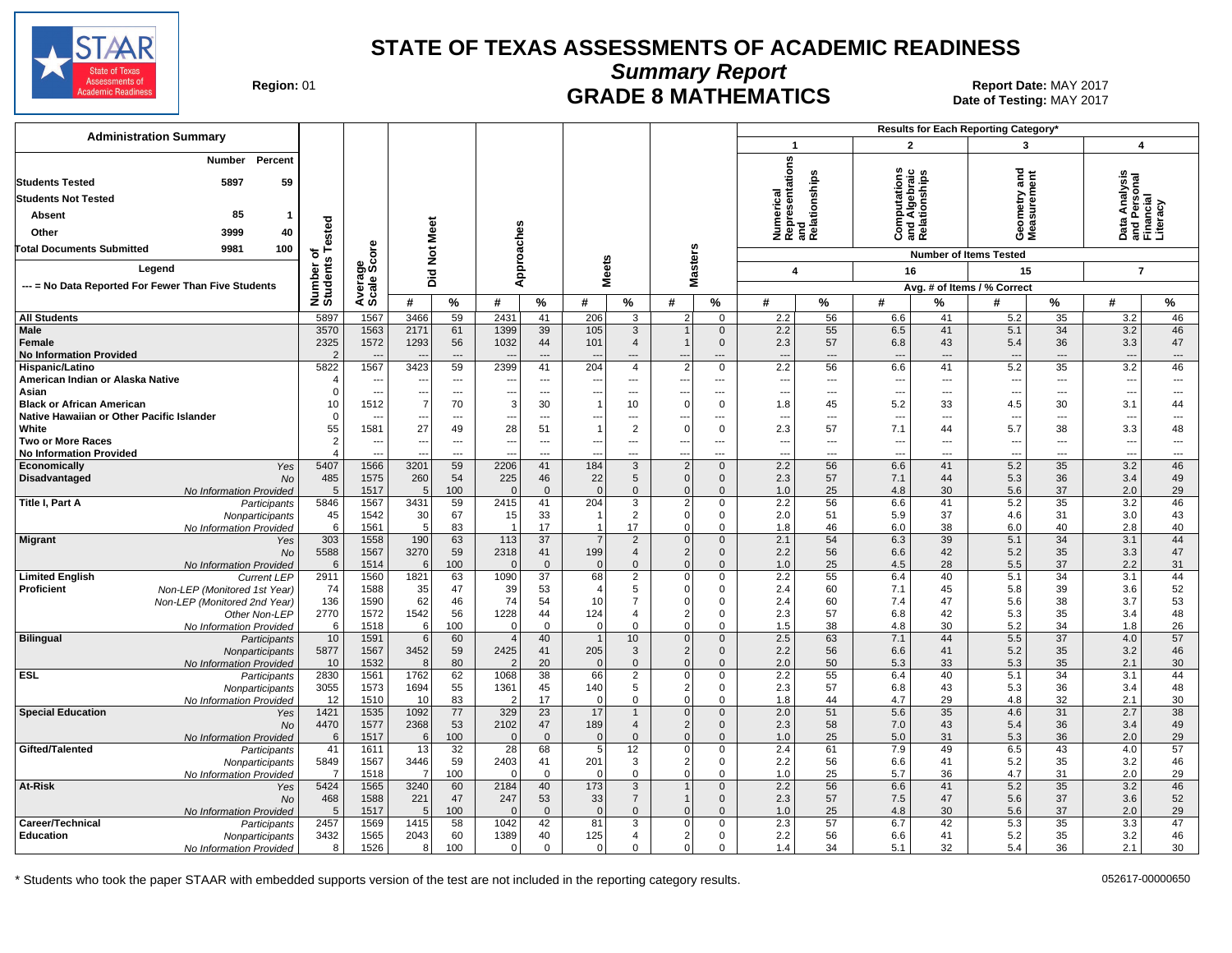

**Summary Report**

Region: 01 **Region: 01 CRADE 8 MATHEMATICS Report Date: MAY 2017 Report Date: MAY 2017** Date of Testing: MAY 2017

| <b>Administration Summary</b>                                           |                                |                                                      |                          |                                            |                            |                                            |                               |                                       |                                  |                                   |                                                      |                 | <b>Results for Each Reporting Category*</b> |                                |                                            |                       |                                        |                                                      |
|-------------------------------------------------------------------------|--------------------------------|------------------------------------------------------|--------------------------|--------------------------------------------|----------------------------|--------------------------------------------|-------------------------------|---------------------------------------|----------------------------------|-----------------------------------|------------------------------------------------------|-----------------|---------------------------------------------|--------------------------------|--------------------------------------------|-----------------------|----------------------------------------|------------------------------------------------------|
|                                                                         |                                |                                                      |                          |                                            |                            |                                            |                               |                                       |                                  |                                   | $\mathbf 1$                                          |                 | $\overline{2}$                              |                                | 3                                          |                       | $\boldsymbol{4}$                       |                                                      |
| Percent<br>Number<br><b>Students Tested</b><br>5897<br>59               |                                |                                                      |                          |                                            |                            |                                            |                               |                                       |                                  |                                   | Numerical<br>Representations<br>and<br>Relationships |                 | tation                                      | ind Algebraic<br>Relationships | ठ<br>ā<br>۴                                |                       |                                        |                                                      |
| <b>Students Not Tested</b>                                              |                                |                                                      |                          |                                            |                            |                                            |                               |                                       |                                  |                                   |                                                      |                 |                                             |                                |                                            |                       | nalysi                                 |                                                      |
| 85<br><b>Absent</b>                                                     |                                |                                                      |                          |                                            |                            |                                            |                               |                                       |                                  |                                   |                                                      |                 | mputati<br>d Algebi                         |                                | eometry<br>leasurem                        |                       |                                        |                                                      |
| Other<br>3999<br>40                                                     | ested                          |                                                      | Meet                     |                                            |                            |                                            |                               |                                       |                                  |                                   |                                                      |                 |                                             |                                |                                            |                       | Data<br>ang<br>Fina                    |                                                      |
| 9981<br>100<br><b>Total Documents Submitted</b>                         |                                |                                                      |                          |                                            |                            |                                            |                               |                                       |                                  |                                   |                                                      |                 | ن ڇهر                                       |                                | ÖΣ                                         |                       |                                        |                                                      |
|                                                                         | $\circ$<br>ŵ                   |                                                      | $\frac{5}{2}$            |                                            | pproaches                  |                                            |                               |                                       | asters                           |                                   |                                                      |                 |                                             |                                | <b>Number of Items Tested</b>              |                       |                                        |                                                      |
| Legend                                                                  | Number<br>Students             | Average<br>Scale Score                               | Did                      |                                            |                            |                                            | leets                         |                                       |                                  |                                   | 4                                                    |                 | 16                                          |                                | 15                                         |                       | $\overline{7}$                         |                                                      |
| --- = No Data Reported For Fewer Than Five Students                     |                                |                                                      |                          |                                            | ⋖                          |                                            | Σ                             |                                       | Σ                                |                                   |                                                      |                 |                                             |                                | Avg. # of Items / % Correct                |                       |                                        |                                                      |
|                                                                         |                                |                                                      | #                        | $\frac{0}{2}$                              | #                          | $\%$                                       | #                             | $\%$                                  | #                                | %                                 | #                                                    | %               | #                                           | %                              | #                                          | %                     | #                                      | %                                                    |
| <b>All Students</b>                                                     | 5897                           | 1567                                                 | 3466                     | 59                                         | 2431                       | 41                                         | 206                           | 3                                     | 2                                | $\mathbf 0$                       | 2.2                                                  | 56              | 6.6                                         | 41                             | 5.2                                        | 35                    | 3.2                                    | 46                                                   |
| <b>Male</b><br>Female<br><b>No Information Provided</b>                 | 3570<br>2325<br>$\overline{2}$ | 1563<br>1572                                         | 2171<br>1293             | 61<br>56<br>---                            | 1399<br>1032               | 39<br>44<br>$---$                          | 105<br>101                    | $\mathbf{3}$<br>$\overline{4}$<br>--- | $\mathbf{1}$<br>$\mathbf{1}$     | $\mathbf 0$<br>$\mathbf 0$<br>--- | 2.2<br>2.3<br>$\overline{\phantom{a}}$               | 55<br>57<br>--- | 6.5<br>6.8<br>$\overline{\phantom{a}}$      | 41<br>43<br>---                | 5.1<br>5.4<br>$\overline{\phantom{a}}$     | 34<br>36<br>---       | 3.2<br>3.3<br>$\overline{\phantom{a}}$ | 46<br>47<br>$\hspace{1.5cm} \cdots$                  |
| Hispanic/Latino                                                         | 5822                           | 1567                                                 | 3423                     | 59                                         | 2399                       | 41                                         | 204                           | $\overline{4}$                        | 2                                | $\mathbf 0$                       | 2.2                                                  | 56              | 6.6                                         | 41                             | 5.2                                        | 35                    | 3.2                                    | 46                                                   |
| American Indian or Alaska Native<br>Asian                               | $\angle$<br>$\Omega$           | $\overline{\phantom{a}}$<br>$\overline{\phantom{a}}$ | $\overline{\phantom{a}}$ | $\overline{a}$<br>$\scriptstyle\cdots$     | ---                        | $\overline{a}$<br>---                      |                               | ---<br>---                            | ---                              | ---<br>---                        | --<br>--                                             | ---<br>---      | ---<br>---                                  | ---<br>---                     | $\overline{\phantom{a}}$<br>$\ddotsc$      | ---<br>---            | ---<br>$\overline{\phantom{a}}$        | ---<br>---                                           |
| <b>Black or African American</b>                                        | 10                             | 1512                                                 | 7                        | 70                                         | 3                          | 30                                         | 1                             | 10                                    | $\overline{0}$                   | $\mathbf 0$                       | 1.8                                                  | 45              | 5.2                                         | 33                             | 4.5                                        | 30                    | 3.1                                    | 44                                                   |
| Native Hawaiian or Other Pacific Islander                               | 0                              | ---                                                  |                          | ---                                        | ---                        | $\overline{a}$                             |                               | ---                                   |                                  | ---                               | --                                                   | ---             | ---                                         |                                | $\sim$                                     | ---                   | $\overline{\phantom{a}}$               | ---                                                  |
| White                                                                   | 55                             | 1581                                                 | 27                       | 49                                         | 28                         | 51                                         |                               | $\overline{2}$                        | $\overline{0}$                   | $\mathbf 0$                       | 2.3                                                  | 57              | 7.1                                         | 44                             | 5.7                                        | 38                    | 3.3                                    | 48                                                   |
| <b>Two or More Races</b><br><b>No Information Provided</b>              | $\overline{2}$<br>$\Delta$     | $\overline{a}$                                       | <b>.</b>                 | $\overline{\phantom{a}}$<br>$\overline{a}$ | ---                        | $\overline{\phantom{a}}$<br>$\overline{a}$ | $\overline{\phantom{a}}$      | ---                                   | ---                              | ---<br>                           | $\overline{\phantom{a}}$<br>--                       | ---<br>---      | ---                                         | ---<br>$\overline{a}$          | $\overline{\phantom{a}}$<br>$\overline{a}$ | ---<br>$\overline{a}$ | $\overline{\phantom{a}}$<br>÷.,        | $\overline{\phantom{a}}$<br>$\overline{\phantom{a}}$ |
| Yes<br>Economically                                                     | 5407                           | 1566                                                 | 3201                     | 59                                         | 2206                       | 41                                         | 184                           | $\overline{3}$                        | $\overline{2}$                   | $\mathbf 0$                       | 2.2                                                  | 56              | 6.6                                         | 41                             | 5.2                                        | 35                    | 3.2                                    | 46                                                   |
| Disadvantaged<br><b>No</b>                                              | 485                            | 1575                                                 | 260                      | 54                                         | 225                        | 46                                         | 22                            | $5\phantom{.0}$                       | $\overline{0}$                   | $\mathbf 0$                       | 2.3                                                  | 57              | 7.1                                         | 44                             | 5.3                                        | 36                    | 3.4                                    | 49                                                   |
| No Information Provided                                                 | 5                              | 1517                                                 | $\overline{5}$           | 100                                        | $\Omega$                   | $\mathbf{0}$                               | $\mathbf{0}$                  | $\mathbf 0$                           | $\overline{0}$                   | $\mathbf 0$                       | 1.0                                                  | 25              | 4.8                                         | 30                             | 5.6                                        | 37                    | 2.0                                    | 29                                                   |
| Title I, Part A<br>Participants                                         | 5846                           | 1567<br>1542                                         | 3431                     | 59<br>67                                   | 2415                       | 41<br>33                                   | 204                           | 3<br>$\overline{2}$                   | 2 <br>$\overline{0}$             | $\mathbf 0$<br>$\mathbf 0$        | 2.2<br>2.0                                           | 56<br>51        | 6.6<br>5.9                                  | 41<br>37                       | 5.2<br>4.6                                 | 35<br>31              | 3.2<br>3.0                             | 46<br>43                                             |
| Nonparticipants<br>No Information Provided                              | 45<br>6                        | 1561                                                 | 30<br>5                  | 83                                         | 15<br>$\overline{1}$       | 17                                         | 1                             | 17                                    | $\overline{0}$                   | $\mathbf 0$                       | 1.8                                                  | 46              | 6.0                                         | 38                             | 6.0                                        | 40                    | 2.8                                    | 40                                                   |
| <b>Migrant</b><br>Yes                                                   | 303                            | 1558                                                 | 190                      | 63                                         | 113                        | 37                                         | $\overline{7}$                | 2                                     | $\overline{0}$                   | $\mathbf 0$                       | 2.1                                                  | 54              | 6.3                                         | 39                             | 5.1                                        | 34                    | 3.1                                    | 44                                                   |
| No                                                                      | 5588                           | 1567                                                 | 3270                     | 59                                         | 2318                       | 41                                         | 199                           | $\overline{4}$                        | 2                                | $\mathbf 0$                       | 2.2                                                  | 56              | 6.6                                         | 42                             | 5.2                                        | 35                    | 3.3                                    | 47                                                   |
| No Information Provided<br><b>Limited English</b><br><b>Current LEP</b> | 6<br>2911                      | 1514<br>1560                                         | 6<br>1821                | 100<br>63                                  | $\Omega$<br>1090           | $\mathbf{0}$<br>37                         | $\Omega$<br>68                | $\mathbf{0}$<br>$\overline{2}$        | 0 <br>$\overline{0}$             | $\mathbf{0}$<br>$\mathbf 0$       | 1.0<br>2.2                                           | 25<br>55        | 4.5<br>6.4                                  | 28<br>40                       | 5.5<br>5.1                                 | 37<br>34              | 2.2<br>3.1                             | 31<br>44                                             |
| Proficient<br>Non-LEP (Monitored 1st Year)                              | 74                             | 1588                                                 | 35                       | 47                                         | 39                         | 53                                         | $\overline{4}$                | 5                                     | $\overline{0}$                   | $\mathbf 0$                       | 2.4                                                  | 60              | 7.1                                         | 45                             | 5.8                                        | 39                    | 3.6                                    | 52                                                   |
| Non-LEP (Monitored 2nd Year)                                            | 136                            | 1590                                                 | 62                       | 46                                         | 74                         | 54                                         | 10                            | $\overline{7}$                        | $\overline{0}$                   | $\mathbf 0$                       | 2.4                                                  | 60              | 7.4                                         | 47                             | 5.6                                        | 38                    | 3.7                                    | 53                                                   |
| Other Non-LEP                                                           | 2770                           | 1572                                                 | 1542                     | 56                                         | 1228                       | 44                                         | 124                           | $\overline{4}$                        | 2                                | $\pmb{0}$                         | 2.3                                                  | 57              | 6.8                                         | 42                             | 5.3                                        | 35                    | 3.4                                    | 48                                                   |
| No Information Provided<br><b>Bilingual</b>                             | 6<br>10                        | 1518<br>1591                                         | 6<br>6                   | 100<br>60                                  | $\Omega$<br>$\overline{4}$ | $\mathbf 0$<br>40                          | $\mathbf 0$<br>$\overline{1}$ | $\mathbf 0$<br>10                     | $\overline{0}$<br>$\overline{0}$ | $\mathbf 0$<br>$\mathbf 0$        | 1.5<br>2.5                                           | 38<br>63        | 4.8<br>7.1                                  | 30<br>44                       | 5.2<br>5.5                                 | 34<br>$\overline{37}$ | 1.8<br>4.0                             | 26<br>57                                             |
| Participants<br>Nonparticipants                                         | 5877                           | 1567                                                 | 3452                     | 59                                         | 2425                       | 41                                         | 205                           | $\mathbf{3}$                          | 2                                | $\mathbf 0$                       | 2.2                                                  | 56              | 6.6                                         | 41                             | 5.2                                        | 35                    | 3.2                                    | 46                                                   |
| No Information Provided                                                 | 10                             | 1532                                                 | 8                        | 80                                         |                            | 20                                         | $\Omega$                      | $\mathbf{0}$                          | 0                                | $\mathbf{0}$                      | 2.0                                                  | 50              | 5.3                                         | 33                             | 5.3                                        | 35                    | 2.1                                    | 30                                                   |
| <b>ESL</b><br>Participants                                              | 2830                           | 1561                                                 | 1762                     | 62                                         | 1068                       | 38                                         | 66                            | $\overline{2}$                        | $\overline{0}$                   | $\mathbf 0$                       | 2.2                                                  | 55              | 6.4                                         | 40                             | 5.1                                        | 34                    | 3.1                                    | 44                                                   |
| Nonparticipants<br>No Information Provided                              | 3055<br>12                     | 1573<br>1510                                         | 1694<br>10               | 55<br>83                                   | 1361                       | 45<br>17                                   | 140<br>$\Omega$               | 5<br>$\mathbf 0$                      | 2 <br>$\overline{0}$             | $\mathbf 0$<br>$\mathbf 0$        | 2.3<br>1.8                                           | 57<br>44        | 6.8<br>4.7                                  | 43<br>29                       | 5.3<br>4.8                                 | 36<br>32              | 3.4<br>2.1                             | 48<br>30                                             |
| <b>Special Education</b><br>Yes                                         | 1421                           | 1535                                                 | 1092                     | 77                                         | 329                        | 23                                         | 17                            | $\mathbf{1}$                          | 0                                | $\mathbf 0$                       | 2.0                                                  | 51              | 5.6                                         | 35                             | 4.6                                        | 31                    | 2.7                                    | 38                                                   |
| No                                                                      | 4470                           | 1577                                                 | 2368                     | 53                                         | 2102                       | 47                                         | 189                           | $\overline{4}$                        | $\mathbf{2}$                     | $\mathbf{0}$                      | 2.3                                                  | 58              | 7.0                                         | 43                             | 5.4                                        | 36                    | 3.4                                    | 49                                                   |
| No Information Provided                                                 | 6                              | 1517                                                 | 6                        | 100                                        | $\Omega$                   | $\mathbf{0}$                               | $\mathbf{0}$                  | $\Omega$                              | $\overline{0}$                   | $\mathbf{0}$                      | 1.0                                                  | 25              | 5.0                                         | 31                             | 5.3                                        | 36                    | 2.0                                    | 29                                                   |
| Gifted/Talented<br>Participants                                         | 41<br>5849                     | 1611<br>1567                                         | 13<br>3446               | 32<br>59                                   | 28<br>2403                 | 68<br>41                                   | 5 <sup>1</sup><br>201         | 12<br>3                               | $\overline{0}$<br>2              | $\mathbf 0$<br>$\mathbf 0$        | 2.4<br>2.2                                           | 61<br>56        | 7.9<br>6.6                                  | 49<br>41                       | 6.5<br>5.2                                 | 43<br>35              | 4.0<br>3.2                             | 57<br>46                                             |
| Nonparticipants<br>No Information Provided                              | $\overline{7}$                 | 1518                                                 | -7                       | 100                                        | $\Omega$                   | $\mathbf 0$                                | $\Omega$                      | $\mathbf 0$                           | $\circ$                          | $\mathbf 0$                       | 1.0                                                  | 25              | 5.7                                         | 36                             | 4.7                                        | 31                    | 2.0                                    | 29                                                   |
| At-Risk<br>Yes                                                          | 5424                           | 1565                                                 | 3240                     | 60                                         | 2184                       | 40                                         | 173                           | $\mathbf{3}$                          | $\overline{1}$                   | $\mathbf 0$                       | 2.2                                                  | 56              | 6.6                                         | 41                             | 5.2                                        | 35                    | 3.2                                    | 46                                                   |
| <b>No</b>                                                               | 468                            | 1588                                                 | 221                      | 47                                         | 247                        | 53                                         | 33                            | $\overline{7}$                        | $\mathbf{1}$                     | $\mathbf 0$                       | 2.3                                                  | 57              | 7.5                                         | 47                             | 5.6                                        | 37                    | 3.6                                    | 52                                                   |
| No Information Provided<br>Career/Technical                             | 5<br>2457                      | 1517<br>1569                                         | $\overline{5}$           | 100<br>58                                  | $\Omega$<br>1042           | $\mathbf 0$<br>42                          | $\mathbf{0}$<br>81            | $\mathbf 0$<br>$\overline{3}$         | $\overline{0}$<br>$\overline{0}$ | $\mathbf 0$<br>$\overline{0}$     | 1.0<br>2.3                                           | 25<br>57        | 4.8<br>6.7                                  | 30<br>42                       | 5.6<br>5.3                                 | 37<br>$\overline{35}$ | 2.0<br>3.3                             | 29<br>47                                             |
| Participants<br><b>Education</b><br>Nonparticipants                     | 3432                           | 1565                                                 | 1415<br>2043             | 60                                         | 1389                       | 40                                         | 125                           | $\overline{4}$                        | $\overline{2}$                   | $\mathbf 0$                       | 2.2                                                  | 56              | 6.6                                         | 41                             | 5.2                                        | 35                    | 3.2                                    | 46                                                   |
| No Information Provided                                                 | 8                              | 1526                                                 | 8                        | 100                                        | $\Omega$                   | $\Omega$                                   | $\Omega$                      | $\Omega$                              | $\Omega$                         | $\Omega$                          | 1.4                                                  | 34              | 5.1                                         | 32                             | 5.4                                        | 36                    | 2.1                                    | 30                                                   |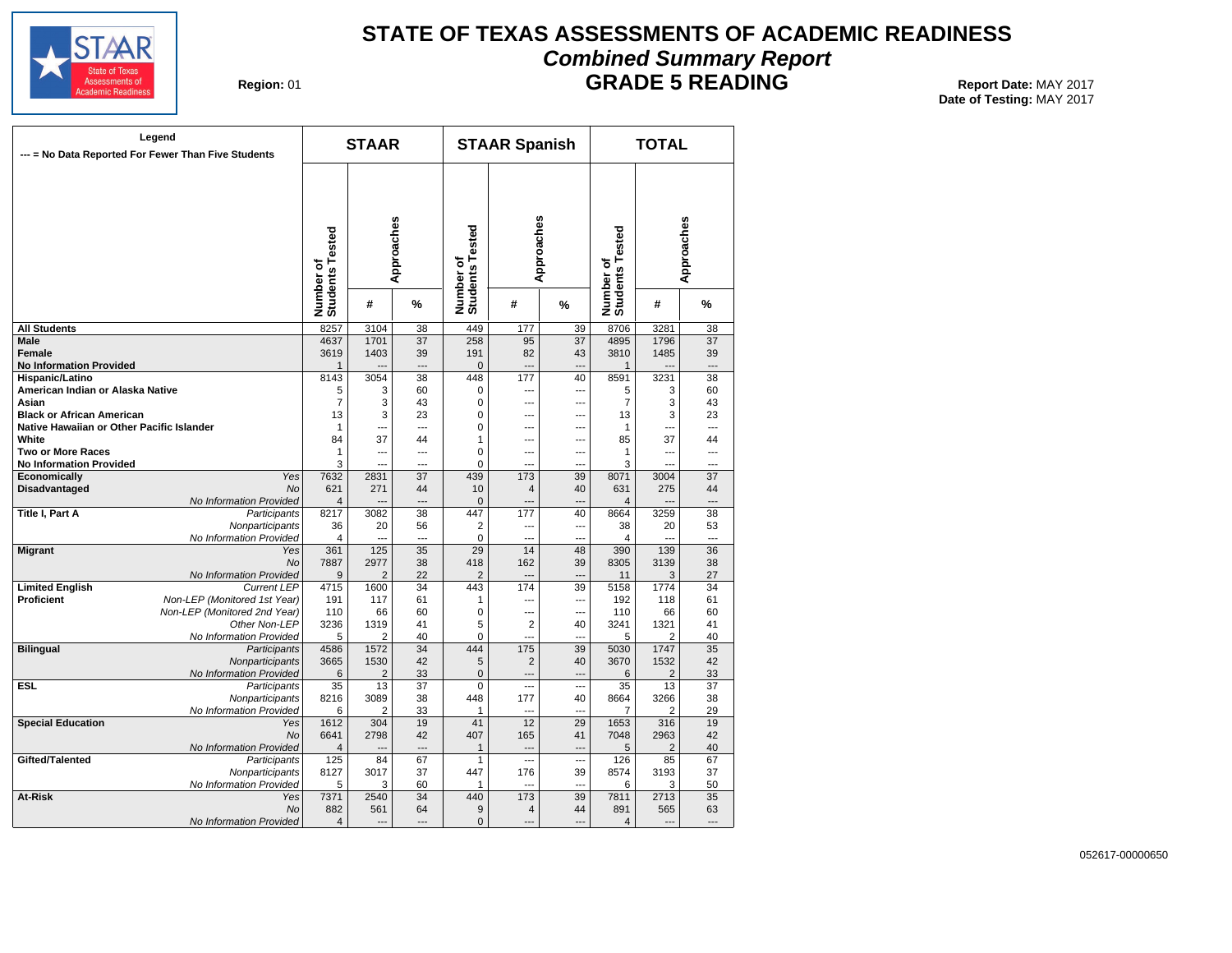

# **STATE OF TEXAS ASSESSMENTS OF ACADEMIC READINESS Combined Summary Report**

**Region: 01** 

**GRADE 5 READING** Report Date: MAY 2017

**Date of Testing:**  MAY 2017

| --- = No Data Reported For Fewer Than Five Students | Legend                                  |                              | <b>STAAR</b>   |                 |                              | <b>STAAR Spanish</b>     |                |                              | <b>TOTAL</b>           |            |
|-----------------------------------------------------|-----------------------------------------|------------------------------|----------------|-----------------|------------------------------|--------------------------|----------------|------------------------------|------------------------|------------|
|                                                     |                                         | Number of<br>Students Tested |                | Approaches      | Number of<br>Students Tested | Approaches               |                | Number of<br>Students Tested |                        | Approaches |
|                                                     |                                         |                              | #              | %               |                              | #                        | %              |                              | #                      | %          |
| <b>All Students</b>                                 |                                         | 8257                         | 3104           | 38              | 449                          | 177                      | 39             | 8706                         | 3281                   | 38         |
| Male                                                |                                         | 4637                         | 1701           | 37              | 258                          | 95                       | 37             | 4895                         | 1796                   | 37         |
| Female                                              |                                         | 3619                         | 1403           | 39              | 191                          | 82                       | 43             | 3810                         | 1485                   | 39         |
| <b>No Information Provided</b>                      |                                         | 1                            |                | $\overline{a}$  | $\mathbf 0$                  | Щ.                       | ---            | $\mathbf{1}$                 |                        | ---        |
| Hispanic/Latino                                     |                                         | 8143                         | 3054           | 38              | 448                          | 177                      | 40             | 8591                         | 3231                   | 38         |
| American Indian or Alaska Native                    |                                         | 5                            | 3              | 60              | $\mathbf 0$                  | ---                      | ---            | 5                            | 3                      | 60         |
| Asian                                               |                                         | $\overline{7}$               | 3              | 43              | $\pmb{0}$                    | ---                      | ---            | $\overline{7}$               | 3                      | 43         |
| <b>Black or African American</b>                    |                                         | 13                           | 3              | 23              | $\mathbf 0$                  | ---                      | ---            | 13                           | 3                      | 23         |
| Native Hawaiian or Other Pacific Islander           |                                         | 1                            | ---            | $\overline{a}$  | $\mathbf 0$                  | ---                      | ---            | 1                            | ---                    | ---        |
| White                                               |                                         | 84                           | 37             | 44              | $\mathbf{1}$                 | ---                      | ---            | 85                           | 37                     | 44         |
| <b>Two or More Races</b>                            |                                         | 1                            | ---            | $\overline{a}$  | 0                            | $\overline{a}$           | ---            | 1                            | ---                    | ---        |
| <b>No Information Provided</b><br>Economically      | Yes                                     | 3<br>7632                    | ---<br>2831    | ---<br>37       | $\mathbf 0$<br>439           | ---<br>173               | ---<br>39      | 3<br>8071                    | ---<br>3004            | 37         |
| <b>Disadvantaged</b>                                | No                                      | 621                          | 271            | 44              | 10                           | $\overline{4}$           | 40             | 631                          | 275                    | 44         |
|                                                     | No Information Provided                 | 4                            |                |                 | $\mathbf 0$                  |                          |                | $\overline{4}$               |                        |            |
| Title I, Part A                                     | Participants                            | 8217                         | 3082           | 38              | 447                          | 177                      | 40             | 8664                         | 3259                   | 38         |
|                                                     | Nonparticipants                         | 36                           | 20             | 56              | $\overline{2}$               | $\overline{\phantom{a}}$ | ---            | 38                           | 20                     | 53         |
|                                                     | No Information Provided                 | 4                            | $\overline{a}$ | $\overline{a}$  | $\mathbf 0$                  | $\overline{a}$           | ---            | $\overline{4}$               | $\sim$                 | ---        |
| <b>Migrant</b>                                      | Yes                                     | 361                          | 125            | $\overline{35}$ | 29                           | 14                       | 48             | 390                          | 139                    | 36         |
|                                                     | <b>No</b>                               | 7887                         | 2977           | 38              | 418                          | 162                      | 39             | 8305                         | 3139                   | 38         |
|                                                     | No Information Provided                 | 9                            | $\overline{2}$ | 22              | $\overline{2}$               | $\overline{a}$           | ---            | 11                           | 3                      | 27         |
| <b>Limited English</b>                              | <b>Current LEP</b>                      | 4715                         | 1600           | 34              | 443                          | 174                      | 39             | 5158                         | 1774                   | 34         |
| Proficient                                          | Non-LEP (Monitored 1st Year)            | 191                          | 117            | 61              | $\mathbf{1}$                 | Ξ.                       | ---            | 192                          | 118                    | 61         |
|                                                     | Non-LEP (Monitored 2nd Year)            | 110                          | 66             | 60              | $\mathbf 0$                  | ---                      | ---            | 110                          | 66                     | 60         |
|                                                     | Other Non-LEP                           | 3236                         | 1319           | 41              | 5                            | $\overline{2}$           | 40             | 3241                         | 1321                   | 41         |
|                                                     | No Information Provided                 | 5                            | $\overline{2}$ | 40              | $\pmb{0}$                    | $\overline{a}$           | ---            | 5                            | $\overline{2}$         | 40         |
| <b>Bilingual</b>                                    | Participants                            | 4586                         | 1572           | 34              | 444                          | 175                      | 39             | 5030                         | 1747                   | 35         |
|                                                     | Nonparticipants                         | 3665                         | 1530           | 42              | 5                            | $\overline{2}$           | 40             | 3670                         | 1532                   | 42         |
|                                                     | No Information Provided                 | 6                            | $\overline{2}$ | 33              | $\pmb{0}$                    | ---                      | $\overline{a}$ | 6                            | 2                      | 33         |
| ESL.                                                | Participants                            | 35                           | 13             | 37              | 0                            | $\overline{a}$           | $\overline{a}$ | 35                           | 13                     | 37         |
|                                                     | Nonparticipants                         | 8216                         | 3089           | 38              | 448                          | 177                      | 40             | 8664                         | 3266                   | 38         |
|                                                     | No Information Provided                 | 6                            | $\overline{2}$ | 33              | 1                            | $\sim$                   | $\sim$         | $\overline{7}$               | $\overline{2}$         | 29         |
| <b>Special Education</b>                            | Yes                                     | 1612                         | 304            | 19              | 41<br>407                    | 12                       | 29             | 1653                         | 316                    | 19         |
|                                                     | <b>No</b>                               | 6641<br>4                    | 2798           | 42              | $\mathbf{1}$                 | 165<br>$\overline{a}$    | 41<br>$\sim$   | 7048<br>5                    | 2963<br>$\overline{2}$ | 42<br>40   |
| Gifted/Talented                                     | No Information Provided<br>Participants | 125                          | 84             | 67              | 1                            | ---                      | ---            | 126                          | 85                     | 67         |
|                                                     | Nonparticipants                         | 8127                         | 3017           | 37              | 447                          | 176                      | 39             | 8574                         | 3193                   | 37         |
|                                                     | No Information Provided                 | 5                            | 3              | 60              | $\mathbf{1}$                 | $\overline{a}$           | ---            | 6                            | 3                      | 50         |
| At-Risk                                             | Yes                                     | 7371                         | 2540           | 34              | 440                          | 173                      | 39             | 7811                         | 2713                   | 35         |
|                                                     | <b>No</b>                               | 882                          | 561            | 64              | 9                            | $\overline{4}$           | 44             | 891                          | 565                    | 63         |
|                                                     | No Information Provided                 | $\overline{4}$               | $\overline{a}$ | $\overline{a}$  | $\mathbf{0}$                 | $-$                      | ---            | $\overline{4}$               | $\overline{a}$         | ---        |
|                                                     |                                         |                              |                |                 |                              |                          |                |                              |                        |            |